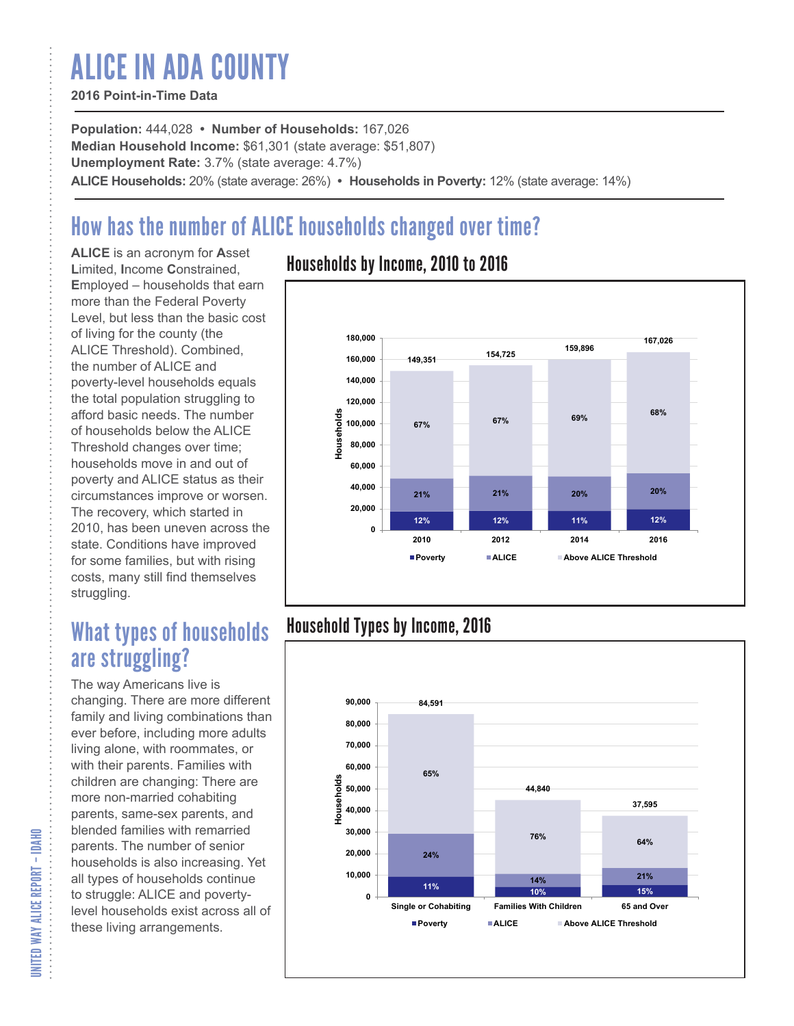# ALICE IN ADA COUNTY

#### **2016 Point-in-Time Data**

**Population:** 444,028 **• Number of Households:** 167,026 **Median Household Income:** \$61,301 (state average: \$51,807) **Unemployment Rate:** 3.7% (state average: 4.7%) **ALICE Households:** 20% (state average: 26%) **• Households in Poverty:** 12% (state average: 14%)

# How has the number of ALICE households changed over time?

**ALICE** is an acronym for **A**sset **L**imited, **I**ncome **C**onstrained, **E**mployed – households that earn more than the Federal Poverty Level, but less than the basic cost of living for the county (the ALICE Threshold). Combined, the number of ALICE and poverty-level households equals the total population struggling to afford basic needs. The number of households below the ALICE Threshold changes over time; households move in and out of poverty and ALICE status as their circumstances improve or worsen. The recovery, which started in 2010, has been uneven across the state. Conditions have improved for some families, but with rising costs, many still find themselves struggling.

## What types of households are struggling?

The way Americans live is changing. There are more different family and living combinations than ever before, including more adults living alone, with roommates, or with their parents. Families with children are changing: There are more non-married cohabiting parents, same-sex parents, and blended families with remarried parents. The number of senior households is also increasing. Yet all types of households continue to struggle: ALICE and povertylevel households exist across all of these living arrangements.

### Households by Income, 2010 to 2016



### Household Types by Income, 2016



UNITED WAY ALICE REPORT - IDAHO UNITED WAY ALICE REPORT – IDAHO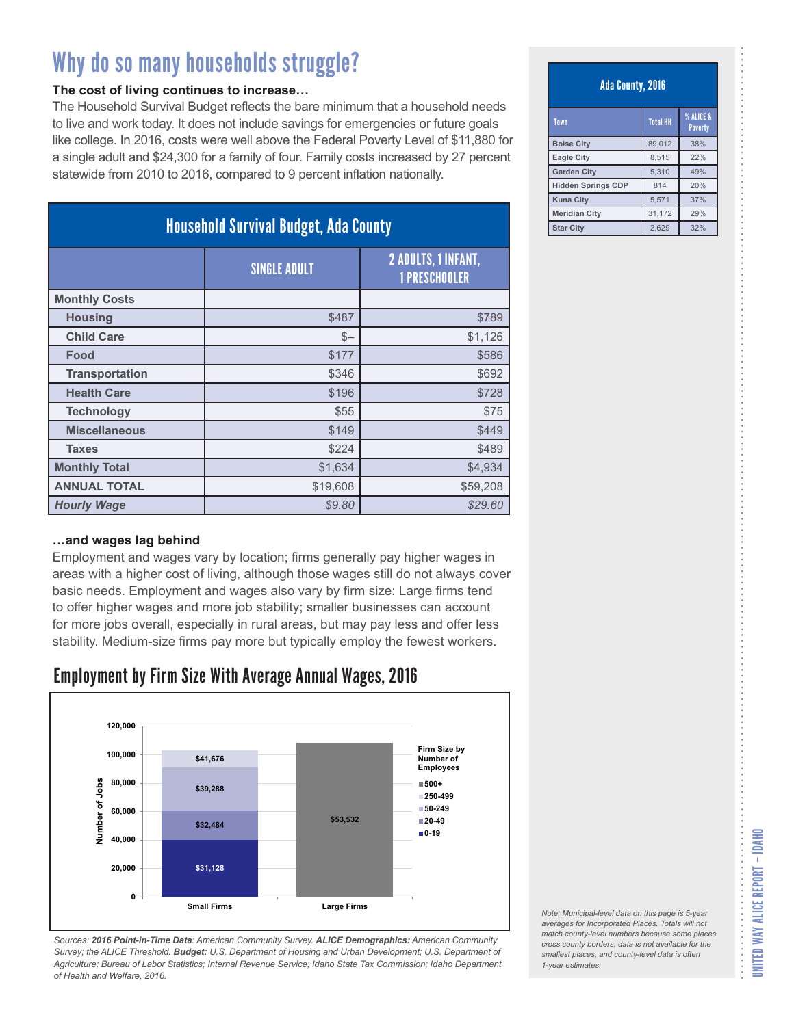#### **The cost of living continues to increase…**

The Household Survival Budget reflects the bare minimum that a household needs to live and work today. It does not include savings for emergencies or future goals like college. In 2016, costs were well above the Federal Poverty Level of \$11,880 for a single adult and \$24,300 for a family of four. Family costs increased by 27 percent statewide from 2010 to 2016, compared to 9 percent inflation nationally.

| <b>Household Survival Budget, Ada County</b> |                     |                                                    |
|----------------------------------------------|---------------------|----------------------------------------------------|
|                                              | <b>SINGLE ADULT</b> | <b>2 ADULTS, 1 INFANT,</b><br><b>1 PRESCHOOLER</b> |
| <b>Monthly Costs</b>                         |                     |                                                    |
| <b>Housing</b>                               | \$487               | \$789                                              |
| <b>Child Care</b>                            | $S-$                | \$1,126                                            |
| Food                                         | \$177               | \$586                                              |
| <b>Transportation</b>                        | \$346               | \$692                                              |
| <b>Health Care</b>                           | \$196               | \$728                                              |
| <b>Technology</b>                            | \$55                | \$75                                               |
| <b>Miscellaneous</b>                         | \$149               | \$449                                              |
| <b>Taxes</b>                                 | \$224               | \$489                                              |
| <b>Monthly Total</b>                         | \$1,634             | \$4,934                                            |
| <b>ANNUAL TOTAL</b>                          | \$19,608            | \$59,208                                           |
| <b>Hourly Wage</b>                           | \$9.80              | \$29.60                                            |

#### **…and wages lag behind**

Employment and wages vary by location; firms generally pay higher wages in areas with a higher cost of living, although those wages still do not always cover basic needs. Employment and wages also vary by firm size: Large firms tend to offer higher wages and more job stability; smaller businesses can account for more jobs overall, especially in rural areas, but may pay less and offer less stability. Medium-size firms pay more but typically employ the fewest workers.

### Employment by Firm Size With Average Annual Wages, 2016



*Sources: 2016 Point-in-Time Data: American Community Survey. ALICE Demographics: American Community Survey; the ALICE Threshold. Budget: U.S. Department of Housing and Urban Development; U.S. Department of Agriculture; Bureau of Labor Statistics; Internal Revenue Service; Idaho State Tax Commission; Idaho Department of Health and Welfare, 2016.*

#### Ada County, 2016

| Town                      | <b>Total HH</b> | % ALICE &<br><b>Poverty</b> |
|---------------------------|-----------------|-----------------------------|
| <b>Boise City</b>         | 89,012          | 38%                         |
| <b>Eagle City</b>         | 8.515           | 22%                         |
| <b>Garden City</b>        | 5,310           | 49%                         |
| <b>Hidden Springs CDP</b> | 814             | 20%                         |
| <b>Kuna City</b>          | 5,571           | 37%                         |
| <b>Meridian City</b>      | 31,172          | 29%                         |
| <b>Star City</b>          | 2.629           | 32%                         |

*Note: Municipal-level data on this page is 5-year averages for Incorporated Places. Totals will not match county-level numbers because some places cross county borders, data is not available for the smallest places, and county-level data is often 1-year estimates.*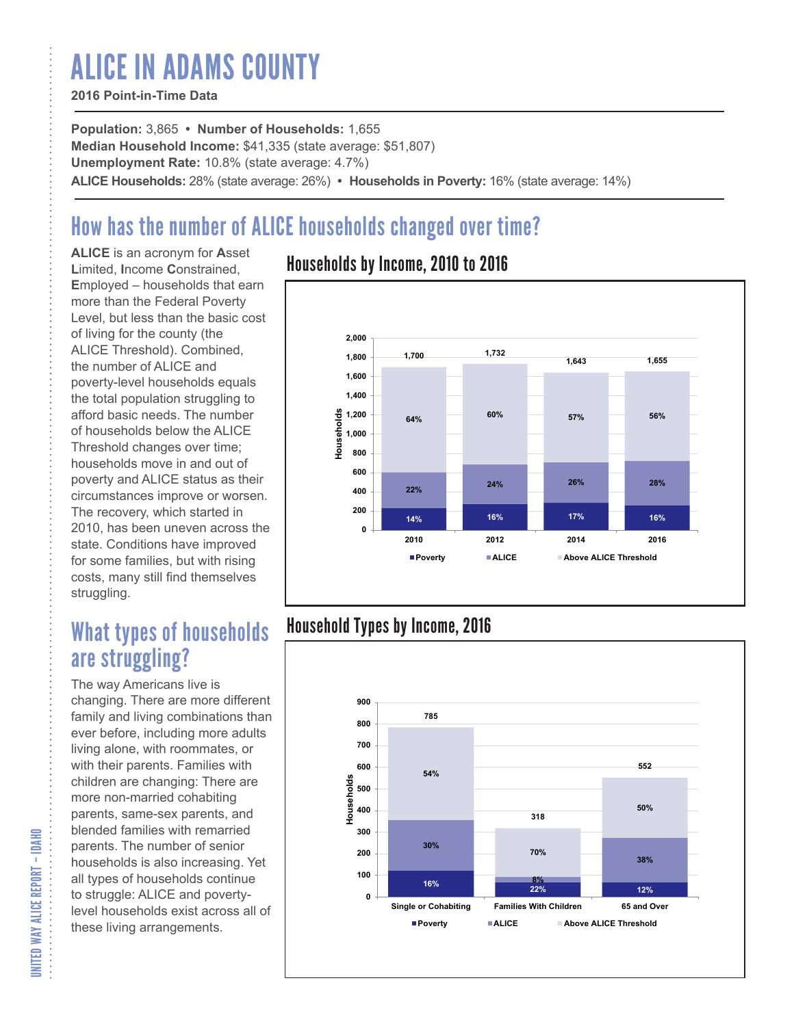# ALICE IN ADAMS COUNTY

#### **2016 Point-in-Time Data**

**Population:** 3,865 **• Number of Households:** 1,655 **Median Household Income:** \$41,335 (state average: \$51,807) **Unemployment Rate:** 10.8% (state average: 4.7%) **ALICE Households:** 28% (state average: 26%) **• Households in Poverty:** 16% (state average: 14%)

# How has the number of ALICE households changed over time?

**ALICE** is an acronym for **A**sset **L**imited, **I**ncome **C**onstrained, **E**mployed – households that earn more than the Federal Poverty Level, but less than the basic cost of living for the county (the ALICE Threshold). Combined, the number of ALICE and poverty-level households equals the total population struggling to afford basic needs. The number of households below the ALICE Threshold changes over time; households move in and out of poverty and ALICE status as their circumstances improve or worsen. The recovery, which started in 2010, has been uneven across the state. Conditions have improved for some families, but with rising costs, many still find themselves struggling.

## What types of households are struggling?

The way Americans live is changing. There are more different family and living combinations than ever before, including more adults living alone, with roommates, or with their parents. Families with children are changing: There are more non-married cohabiting parents, same-sex parents, and blended families with remarried parents. The number of senior households is also increasing. Yet all types of households continue to struggle: ALICE and povertylevel households exist across all of these living arrangements.

### Households by Income, 2010 to 2016



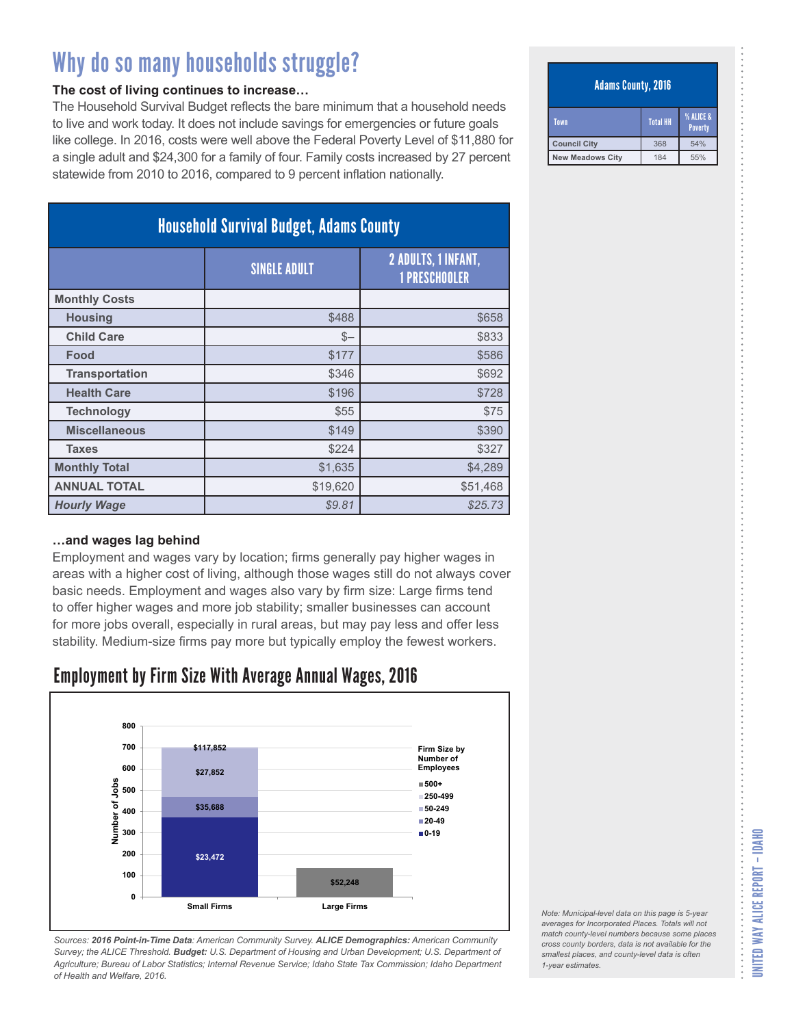#### **The cost of living continues to increase…**

The Household Survival Budget reflects the bare minimum that a household needs to live and work today. It does not include savings for emergencies or future goals like college. In 2016, costs were well above the Federal Poverty Level of \$11,880 for a single adult and \$24,300 for a family of four. Family costs increased by 27 percent statewide from 2010 to 2016, compared to 9 percent inflation nationally.

| <b>Household Survival Budget, Adams County</b> |                     |                                             |
|------------------------------------------------|---------------------|---------------------------------------------|
|                                                | <b>SINGLE ADULT</b> | 2 ADULTS, 1 INFANT,<br><b>1 PRESCHOOLER</b> |
| <b>Monthly Costs</b>                           |                     |                                             |
| <b>Housing</b>                                 | \$488               | \$658                                       |
| <b>Child Care</b>                              | $S-$                | \$833                                       |
| Food                                           | \$177               | \$586                                       |
| <b>Transportation</b>                          | \$346               | \$692                                       |
| <b>Health Care</b>                             | \$196               | \$728                                       |
| <b>Technology</b>                              | \$55                | \$75                                        |
| <b>Miscellaneous</b>                           | \$149               | \$390                                       |
| <b>Taxes</b>                                   | \$224               | \$327                                       |
| <b>Monthly Total</b>                           | \$1,635             | \$4,289                                     |
| <b>ANNUAL TOTAL</b>                            | \$19,620            | \$51,468                                    |
| <b>Hourly Wage</b>                             | \$9.81              | \$25.73                                     |

#### **…and wages lag behind**

Employment and wages vary by location; firms generally pay higher wages in areas with a higher cost of living, although those wages still do not always cover basic needs. Employment and wages also vary by firm size: Large firms tend to offer higher wages and more job stability; smaller businesses can account for more jobs overall, especially in rural areas, but may pay less and offer less stability. Medium-size firms pay more but typically employ the fewest workers.

### Employment by Firm Size With Average Annual Wages, 2016



*Sources: 2016 Point-in-Time Data: American Community Survey. ALICE Demographics: American Community Survey; the ALICE Threshold. Budget: U.S. Department of Housing and Urban Development; U.S. Department of Agriculture; Bureau of Labor Statistics; Internal Revenue Service; Idaho State Tax Commission; Idaho Department of Health and Welfare, 2016.*

#### Adams County, 2016

| Town             | % ALICE &<br><b>Total HH</b><br>Poverty |     |
|------------------|-----------------------------------------|-----|
| Council City     | 368                                     | 54% |
| New Meadows City | 184                                     | 55% |

| Note: Municipal-level data on this page is 5-year   |
|-----------------------------------------------------|
| averages for Incorporated Places. Totals will not   |
| match county-level numbers because some places      |
| cross county borders, data is not available for the |
| smallest places, and county-level data is often     |
| 1-year estimates.                                   |
|                                                     |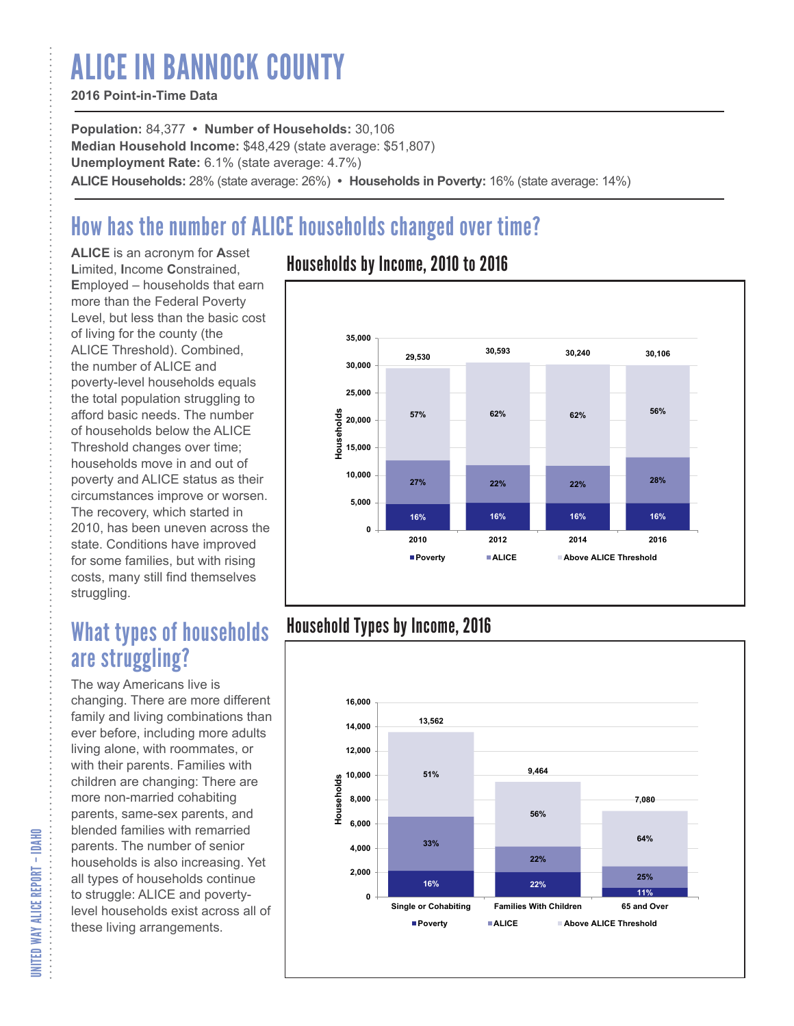# ALICE IN BANNOCK COUNTY

#### **2016 Point-in-Time Data**

**Population:** 84,377 **• Number of Households:** 30,106 **Median Household Income:** \$48,429 (state average: \$51,807) **Unemployment Rate:** 6.1% (state average: 4.7%) **ALICE Households:** 28% (state average: 26%) **• Households in Poverty:** 16% (state average: 14%)

# How has the number of ALICE households changed over time?

**ALICE** is an acronym for **A**sset **L**imited, **I**ncome **C**onstrained, **E**mployed – households that earn more than the Federal Poverty Level, but less than the basic cost of living for the county (the ALICE Threshold). Combined, the number of ALICE and poverty-level households equals the total population struggling to afford basic needs. The number of households below the ALICE Threshold changes over time; households move in and out of poverty and ALICE status as their circumstances improve or worsen. The recovery, which started in 2010, has been uneven across the state. Conditions have improved for some families, but with rising costs, many still find themselves struggling.

## What types of households are struggling?

The way Americans live is changing. There are more different family and living combinations than ever before, including more adults living alone, with roommates, or with their parents. Families with children are changing: There are more non-married cohabiting parents, same-sex parents, and blended families with remarried parents. The number of senior households is also increasing. Yet all types of households continue to struggle: ALICE and povertylevel households exist across all of these living arrangements.

### Households by Income, 2010 to 2016



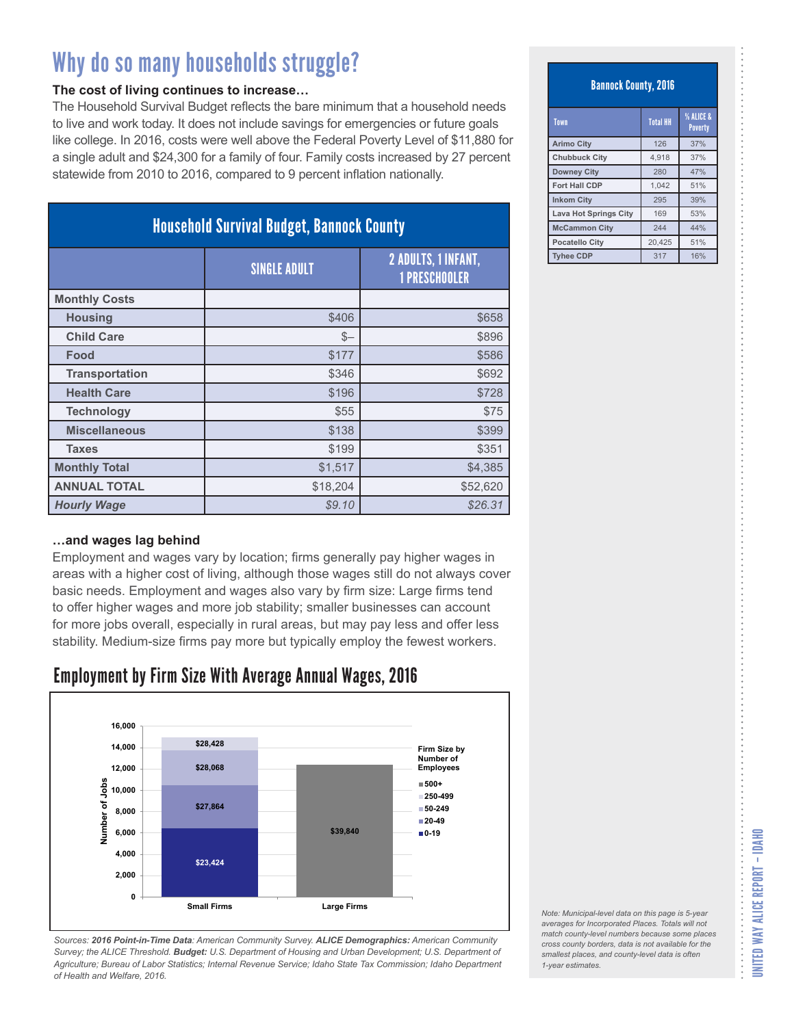#### **The cost of living continues to increase…**

The Household Survival Budget reflects the bare minimum that a household needs to live and work today. It does not include savings for emergencies or future goals like college. In 2016, costs were well above the Federal Poverty Level of \$11,880 for a single adult and \$24,300 for a family of four. Family costs increased by 27 percent statewide from 2010 to 2016, compared to 9 percent inflation nationally.

| <b>Household Survival Budget, Bannock County</b> |                     |                                                    |
|--------------------------------------------------|---------------------|----------------------------------------------------|
|                                                  | <b>SINGLE ADULT</b> | <b>2 ADULTS, 1 INFANT,</b><br><b>1 PRESCHOOLER</b> |
| <b>Monthly Costs</b>                             |                     |                                                    |
| <b>Housing</b>                                   | \$406               | \$658                                              |
| <b>Child Care</b>                                | $S-$                | \$896                                              |
| Food                                             | \$177               | \$586                                              |
| <b>Transportation</b>                            | \$346               | \$692                                              |
| <b>Health Care</b>                               | \$196               | \$728                                              |
| <b>Technology</b>                                | \$55                | \$75                                               |
| <b>Miscellaneous</b>                             | \$138               | \$399                                              |
| <b>Taxes</b>                                     | \$199               | \$351                                              |
| <b>Monthly Total</b>                             | \$1,517             | \$4,385                                            |
| <b>ANNUAL TOTAL</b>                              | \$18,204            | \$52,620                                           |
| <b>Hourly Wage</b>                               | \$9.10              | \$26.31                                            |

#### **…and wages lag behind**

Employment and wages vary by location; firms generally pay higher wages in areas with a higher cost of living, although those wages still do not always cover basic needs. Employment and wages also vary by firm size: Large firms tend to offer higher wages and more job stability; smaller businesses can account for more jobs overall, especially in rural areas, but may pay less and offer less stability. Medium-size firms pay more but typically employ the fewest workers.

### Employment by Firm Size With Average Annual Wages, 2016



*Sources: 2016 Point-in-Time Data: American Community Survey. ALICE Demographics: American Community Survey; the ALICE Threshold. Budget: U.S. Department of Housing and Urban Development; U.S. Department of Agriculture; Bureau of Labor Statistics; Internal Revenue Service; Idaho State Tax Commission; Idaho Department of Health and Welfare, 2016.*

#### Bannock County, 2016

| Town                         | <b>Total HH</b> | % ALICE &<br><b>Poverty</b> |
|------------------------------|-----------------|-----------------------------|
| <b>Arimo City</b>            | 126             | 37%                         |
| <b>Chubbuck City</b>         | 4.918           | 37%                         |
| <b>Downey City</b>           | 280             | 47%                         |
| Fort Hall CDP                | 1.042           | 51%                         |
| <b>Inkom City</b>            | 295             | 39%                         |
| <b>Lava Hot Springs City</b> | 169             | 53%                         |
| <b>McCammon City</b>         | 244             | 44%                         |
| <b>Pocatello City</b>        | 20,425          | 51%                         |
| <b>Tyhee CDP</b>             | 317             | 16%                         |

*Note: Municipal-level data on this page is 5-year averages for Incorporated Places. Totals will not match county-level numbers because some places cross county borders, data is not available for the smallest places, and county-level data is often 1-year estimates.*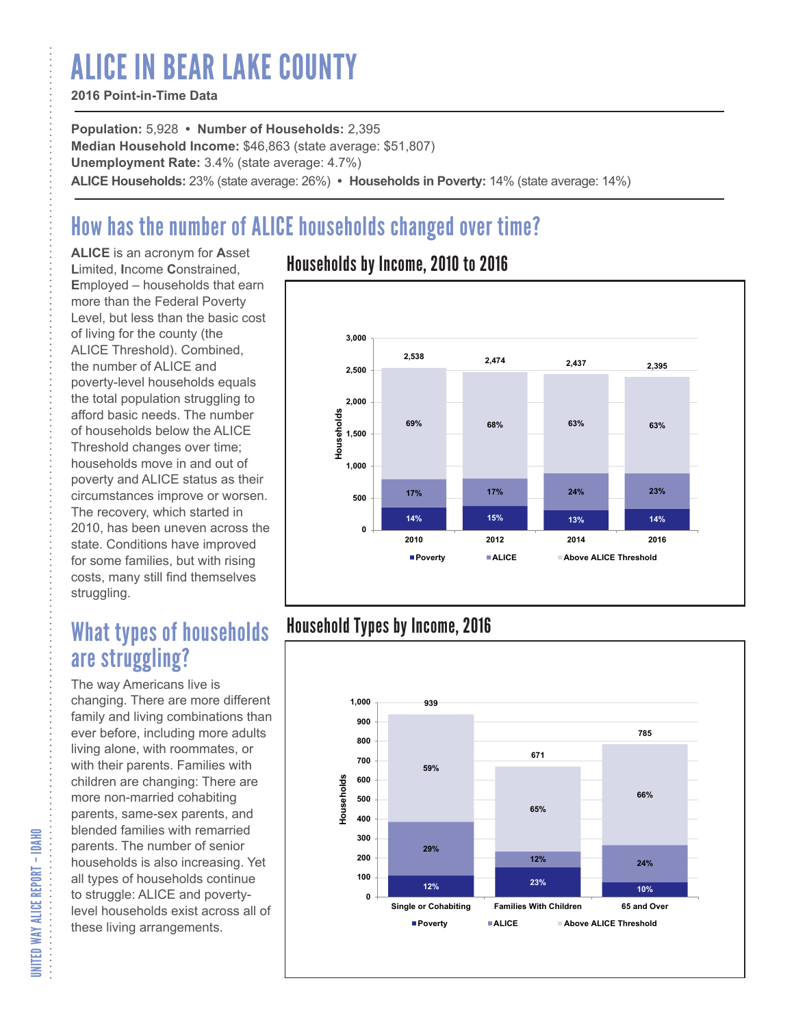# ALICE IN BEAR LAKE COUNTY

#### **2016 Point-in-Time Data**

**Population:** 5,928 **• Number of Households:** 2,395 **Median Household Income:** \$46,863 (state average: \$51,807) **Unemployment Rate:** 3.4% (state average: 4.7%) **ALICE Households:** 23% (state average: 26%) **• Households in Poverty:** 14% (state average: 14%)

# How has the number of ALICE households changed over time?

**ALICE** is an acronym for **A**sset **L**imited, **I**ncome **C**onstrained, **E**mployed – households that earn more than the Federal Poverty Level, but less than the basic cost of living for the county (the ALICE Threshold). Combined, the number of ALICE and poverty-level households equals the total population struggling to afford basic needs. The number of households below the ALICE Threshold changes over time; households move in and out of poverty and ALICE status as their circumstances improve or worsen. The recovery, which started in 2010, has been uneven across the state. Conditions have improved for some families, but with rising costs, many still find themselves struggling.

## What types of households are struggling?

The way Americans live is changing. There are more different family and living combinations than ever before, including more adults living alone, with roommates, or with their parents. Families with children are changing: There are more non-married cohabiting parents, same-sex parents, and blended families with remarried parents. The number of senior households is also increasing. Yet all types of households continue to struggle: ALICE and povertylevel households exist across all of these living arrangements.

### Households by Income, 2010 to 2016



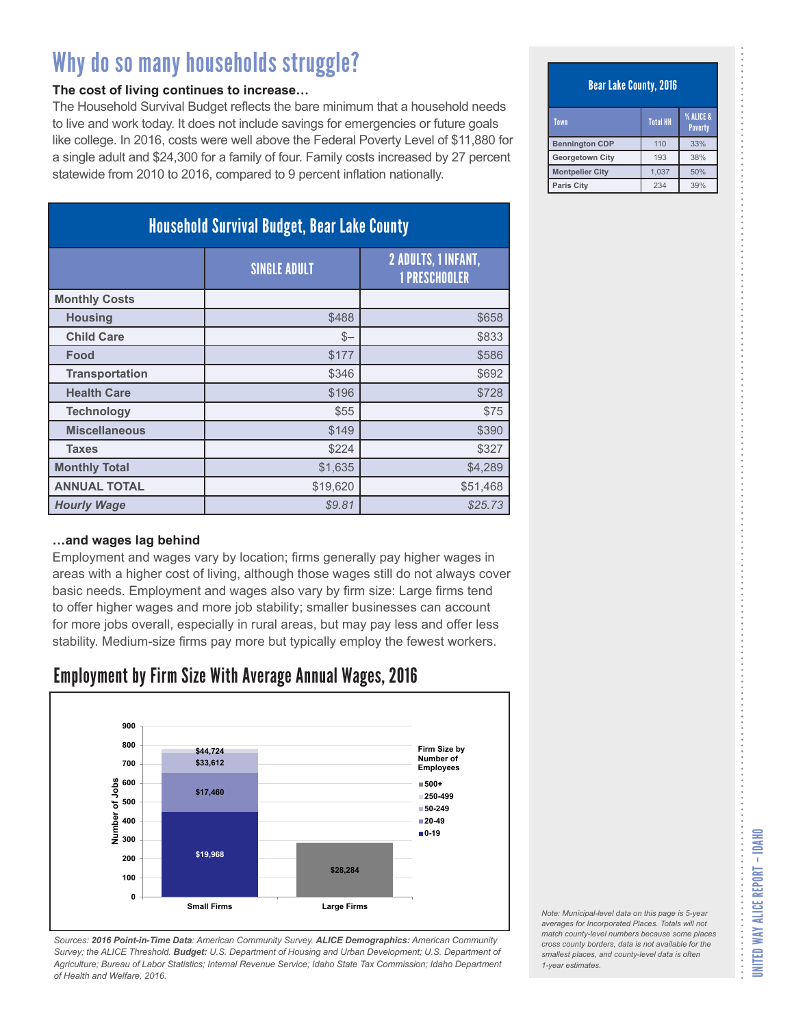#### **The cost of living continues to increase…**

The Household Survival Budget reflects the bare minimum that a household needs to live and work today. It does not include savings for emergencies or future goals like college. In 2016, costs were well above the Federal Poverty Level of \$11,880 for a single adult and \$24,300 for a family of four. Family costs increased by 27 percent statewide from 2010 to 2016, compared to 9 percent inflation nationally.

| <b>Household Survival Budget, Bear Lake County</b> |                     |                                             |
|----------------------------------------------------|---------------------|---------------------------------------------|
|                                                    | <b>SINGLE ADULT</b> | 2 ADULTS, 1 INFANT,<br><b>1 PRESCHOOLER</b> |
| <b>Monthly Costs</b>                               |                     |                                             |
| <b>Housing</b>                                     | \$488               | \$658                                       |
| <b>Child Care</b>                                  | $S-$                | \$833                                       |
| Food                                               | \$177               | \$586                                       |
| <b>Transportation</b>                              | \$346               | \$692                                       |
| <b>Health Care</b>                                 | \$196               | \$728                                       |
| <b>Technology</b>                                  | \$55                | \$75                                        |
| <b>Miscellaneous</b>                               | \$149               | \$390                                       |
| <b>Taxes</b>                                       | \$224               | \$327                                       |
| <b>Monthly Total</b>                               | \$1,635             | \$4,289                                     |
| <b>ANNUAL TOTAL</b>                                | \$19,620            | \$51,468                                    |
| <b>Hourly Wage</b>                                 | \$9.81              | \$25.73                                     |

#### **…and wages lag behind**

Employment and wages vary by location; firms generally pay higher wages in areas with a higher cost of living, although those wages still do not always cover basic needs. Employment and wages also vary by firm size: Large firms tend to offer higher wages and more job stability; smaller businesses can account for more jobs overall, especially in rural areas, but may pay less and offer less stability. Medium-size firms pay more but typically employ the fewest workers.

### Employment by Firm Size With Average Annual Wages, 2016



*Sources: 2016 Point-in-Time Data: American Community Survey. ALICE Demographics: American Community Survey; the ALICE Threshold. Budget: U.S. Department of Housing and Urban Development; U.S. Department of Agriculture; Bureau of Labor Statistics; Internal Revenue Service; Idaho State Tax Commission; Idaho Department of Health and Welfare, 2016.*

#### Bear Lake County, 2016

| Town                   | <b>Total HH</b> | % ALICE &<br><b>Poverty</b> |
|------------------------|-----------------|-----------------------------|
| <b>Bennington CDP</b>  | 110             | 33%                         |
| <b>Georgetown City</b> | 193             | 38%                         |
| <b>Montpelier City</b> | 1.037           | 50%                         |
| <b>Paris City</b>      | 234             | 39%                         |

*Note: Municipal-level data on this page is 5-year averages for Incorporated Places. Totals will not match county-level numbers because some places cross county borders, data is not available for the smallest places, and county-level data is often 1-year estimates.*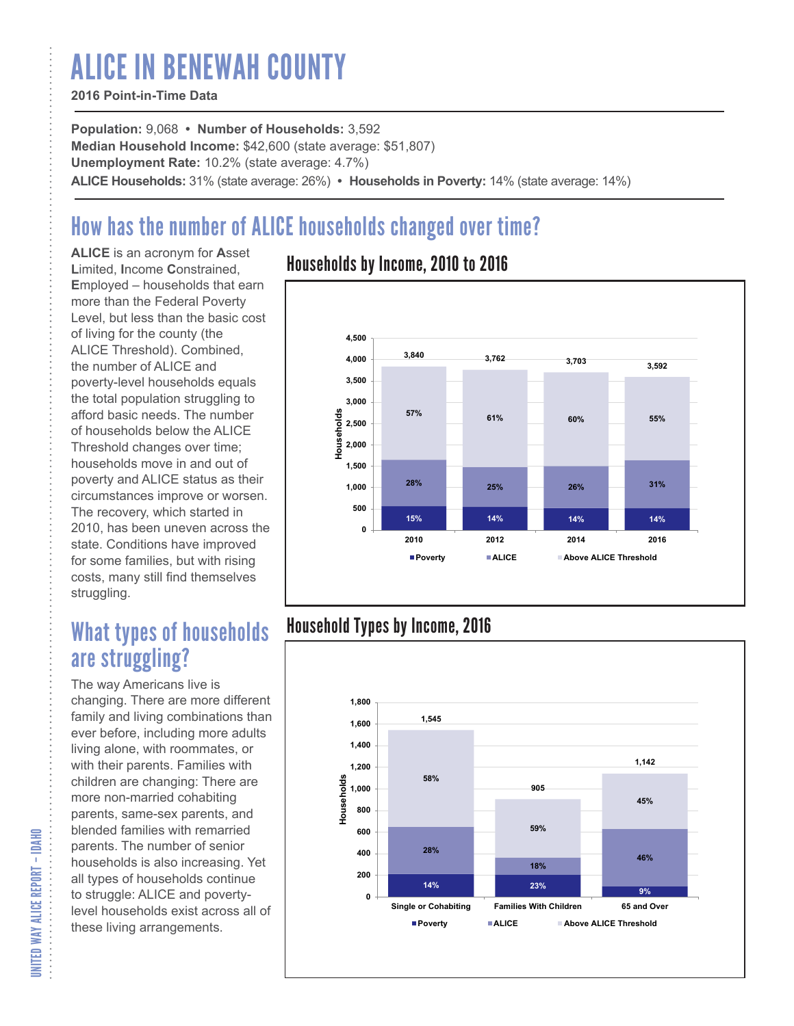# ALICE IN BENEWAH COUNTY

#### **2016 Point-in-Time Data**

**Population:** 9,068 **• Number of Households:** 3,592 **Median Household Income:** \$42,600 (state average: \$51,807) **Unemployment Rate:** 10.2% (state average: 4.7%) **ALICE Households:** 31% (state average: 26%) **• Households in Poverty:** 14% (state average: 14%)

# How has the number of ALICE households changed over time?

**ALICE** is an acronym for **A**sset **L**imited, **I**ncome **C**onstrained, **E**mployed – households that earn more than the Federal Poverty Level, but less than the basic cost of living for the county (the ALICE Threshold). Combined, the number of ALICE and poverty-level households equals the total population struggling to afford basic needs. The number of households below the ALICE Threshold changes over time; households move in and out of poverty and ALICE status as their circumstances improve or worsen. The recovery, which started in 2010, has been uneven across the state. Conditions have improved for some families, but with rising costs, many still find themselves struggling.

## What types of households are struggling?

The way Americans live is changing. There are more different family and living combinations than ever before, including more adults living alone, with roommates, or with their parents. Families with children are changing: There are more non-married cohabiting parents, same-sex parents, and blended families with remarried parents. The number of senior households is also increasing. Yet all types of households continue to struggle: ALICE and povertylevel households exist across all of these living arrangements.

### Households by Income, 2010 to 2016



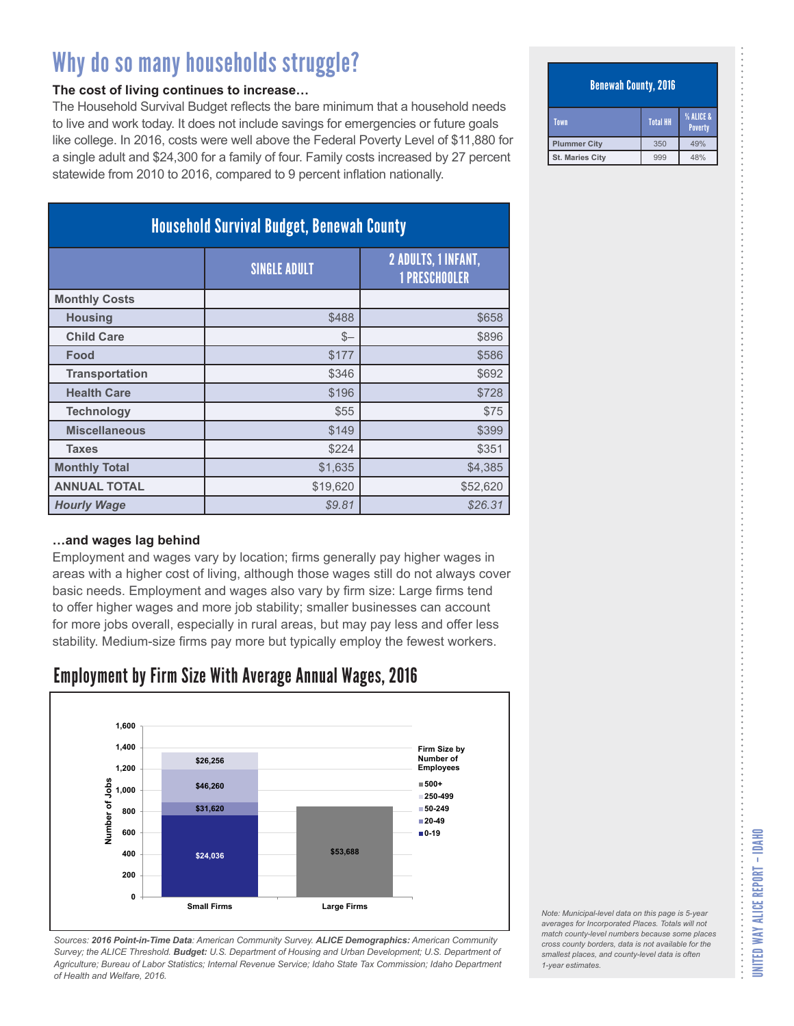#### **The cost of living continues to increase…**

The Household Survival Budget reflects the bare minimum that a household needs to live and work today. It does not include savings for emergencies or future goals like college. In 2016, costs were well above the Federal Poverty Level of \$11,880 for a single adult and \$24,300 for a family of four. Family costs increased by 27 percent statewide from 2010 to 2016, compared to 9 percent inflation nationally.

| <b>Household Survival Budget, Benewah County</b> |                     |                                             |
|--------------------------------------------------|---------------------|---------------------------------------------|
|                                                  | <b>SINGLE ADULT</b> | 2 ADULTS, 1 INFANT,<br><b>1 PRESCHOOLER</b> |
| <b>Monthly Costs</b>                             |                     |                                             |
| <b>Housing</b>                                   | \$488               | \$658                                       |
| <b>Child Care</b>                                | $S-$                | \$896                                       |
| Food                                             | \$177               | \$586                                       |
| <b>Transportation</b>                            | \$346               | \$692                                       |
| <b>Health Care</b>                               | \$196               | \$728                                       |
| <b>Technology</b>                                | \$55                | \$75                                        |
| <b>Miscellaneous</b>                             | \$149               | \$399                                       |
| <b>Taxes</b>                                     | \$224               | \$351                                       |
| <b>Monthly Total</b>                             | \$1,635             | \$4,385                                     |
| <b>ANNUAL TOTAL</b>                              | \$19,620            | \$52,620                                    |
| <b>Hourly Wage</b>                               | \$9.81              | \$26.31                                     |

#### **…and wages lag behind**

Employment and wages vary by location; firms generally pay higher wages in areas with a higher cost of living, although those wages still do not always cover basic needs. Employment and wages also vary by firm size: Large firms tend to offer higher wages and more job stability; smaller businesses can account for more jobs overall, especially in rural areas, but may pay less and offer less stability. Medium-size firms pay more but typically employ the fewest workers.

### Employment by Firm Size With Average Annual Wages, 2016



*Sources: 2016 Point-in-Time Data: American Community Survey. ALICE Demographics: American Community Survey; the ALICE Threshold. Budget: U.S. Department of Housing and Urban Development; U.S. Department of Agriculture; Bureau of Labor Statistics; Internal Revenue Service; Idaho State Tax Commission; Idaho Department of Health and Welfare, 2016.*

#### Benewah County, 2016

| Town                | <b>Total HH</b> | % ALICE &<br>Poverty |
|---------------------|-----------------|----------------------|
| <b>Plummer City</b> | 350             | 49%                  |
| St. Maries City     | 999             | 48%                  |

*Note: Municipal-level data on this page is 5-year averages for Incorporated Places. Totals will not match county-level numbers because some places cross county borders, data is not available for the smallest places, and county-level data is often*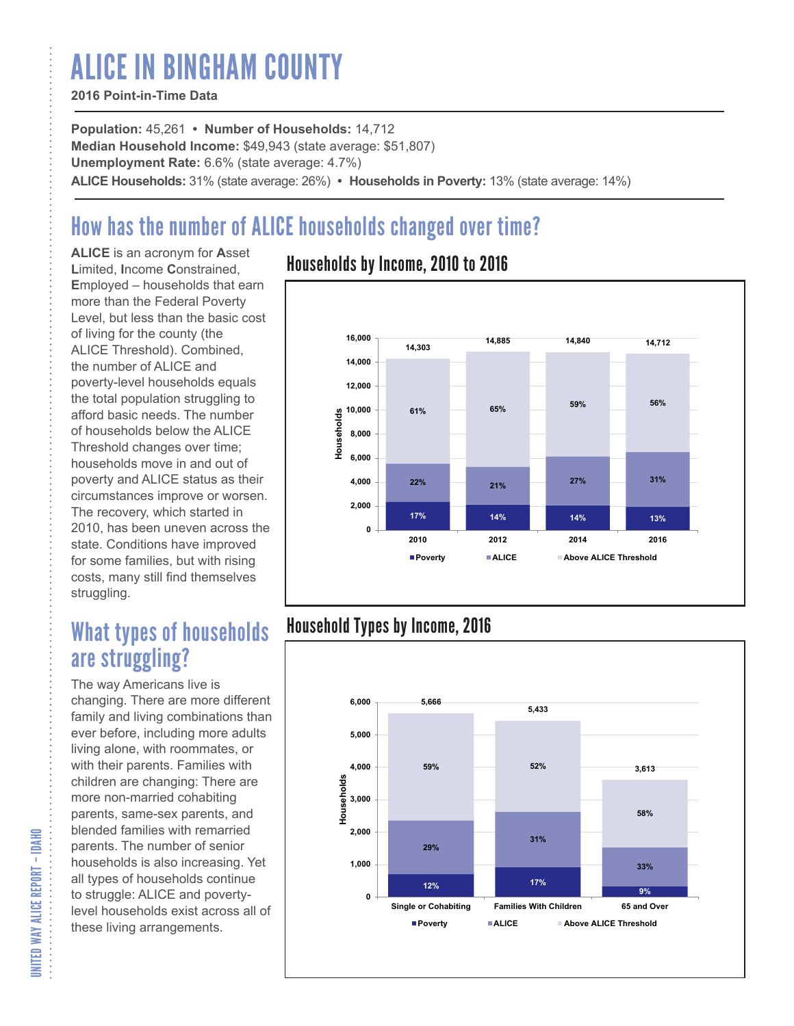# ALICE IN BINGHAM COUNTY

#### **2016 Point-in-Time Data**

**Population:** 45,261 **• Number of Households:** 14,712 **Median Household Income:** \$49,943 (state average: \$51,807) **Unemployment Rate:** 6.6% (state average: 4.7%) **ALICE Households:** 31% (state average: 26%) **• Households in Poverty:** 13% (state average: 14%)

# How has the number of ALICE households changed over time?

**ALICE** is an acronym for **A**sset **L**imited, **I**ncome **C**onstrained, **E**mployed – households that earn more than the Federal Poverty Level, but less than the basic cost of living for the county (the ALICE Threshold). Combined, the number of ALICE and poverty-level households equals the total population struggling to afford basic needs. The number of households below the ALICE Threshold changes over time; households move in and out of poverty and ALICE status as their circumstances improve or worsen. The recovery, which started in 2010, has been uneven across the state. Conditions have improved for some families, but with rising costs, many still find themselves struggling.

## What types of households are struggling?

The way Americans live is changing. There are more different family and living combinations than ever before, including more adults living alone, with roommates, or with their parents. Families with children are changing: There are more non-married cohabiting parents, same-sex parents, and blended families with remarried parents. The number of senior households is also increasing. Yet all types of households continue to struggle: ALICE and povertylevel households exist across all of these living arrangements.

### Households by Income, 2010 to 2016



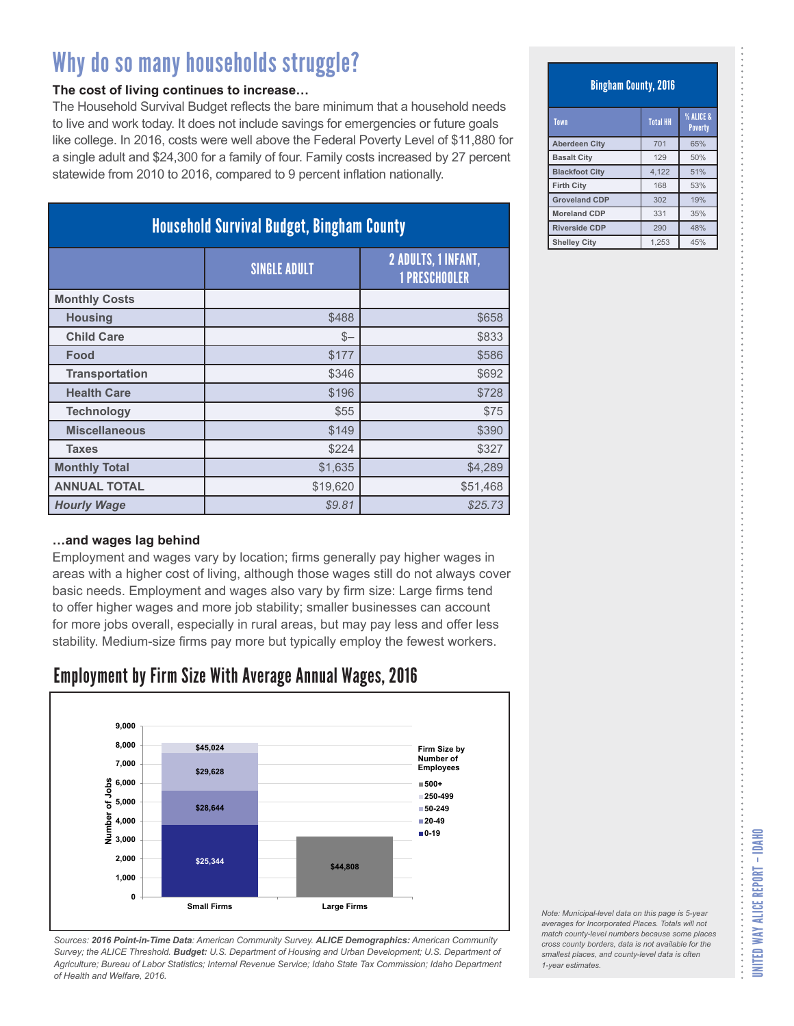#### **The cost of living continues to increase…**

The Household Survival Budget reflects the bare minimum that a household needs to live and work today. It does not include savings for emergencies or future goals like college. In 2016, costs were well above the Federal Poverty Level of \$11,880 for a single adult and \$24,300 for a family of four. Family costs increased by 27 percent statewide from 2010 to 2016, compared to 9 percent inflation nationally.

| <b>Household Survival Budget, Bingham County</b> |                     |                                                    |
|--------------------------------------------------|---------------------|----------------------------------------------------|
|                                                  | <b>SINGLE ADULT</b> | <b>2 ADULTS, 1 INFANT,</b><br><b>1 PRESCHOOLER</b> |
| <b>Monthly Costs</b>                             |                     |                                                    |
| <b>Housing</b>                                   | \$488               | \$658                                              |
| <b>Child Care</b>                                | $S-$                | \$833                                              |
| Food                                             | \$177               | \$586                                              |
| <b>Transportation</b>                            | \$346               | \$692                                              |
| <b>Health Care</b>                               | \$196               | \$728                                              |
| <b>Technology</b>                                | \$55                | \$75                                               |
| <b>Miscellaneous</b>                             | \$149               | \$390                                              |
| <b>Taxes</b>                                     | \$224               | \$327                                              |
| <b>Monthly Total</b>                             | \$1,635             | \$4,289                                            |
| <b>ANNUAL TOTAL</b>                              | \$19,620            | \$51,468                                           |
| <b>Hourly Wage</b>                               | \$9.81              | \$25.73                                            |

#### **…and wages lag behind**

Employment and wages vary by location; firms generally pay higher wages in areas with a higher cost of living, although those wages still do not always cover basic needs. Employment and wages also vary by firm size: Large firms tend to offer higher wages and more job stability; smaller businesses can account for more jobs overall, especially in rural areas, but may pay less and offer less stability. Medium-size firms pay more but typically employ the fewest workers.

### Employment by Firm Size With Average Annual Wages, 2016



*Sources: 2016 Point-in-Time Data: American Community Survey. ALICE Demographics: American Community Survey; the ALICE Threshold. Budget: U.S. Department of Housing and Urban Development; U.S. Department of Agriculture; Bureau of Labor Statistics; Internal Revenue Service; Idaho State Tax Commission; Idaho Department of Health and Welfare, 2016.*

#### Bingham County, 2016

| Town                  | <b>Total HH</b> | % ALICE &<br><b>Poverty</b> |
|-----------------------|-----------------|-----------------------------|
| <b>Aberdeen City</b>  | 701             | 65%                         |
| <b>Basalt City</b>    | 129             | 50%                         |
| <b>Blackfoot City</b> | 4,122           | 51%                         |
| <b>Firth City</b>     | 168             | 53%                         |
| <b>Groveland CDP</b>  | 302             | 19%                         |
| <b>Moreland CDP</b>   | 331             | 35%                         |
| <b>Riverside CDP</b>  | 290             | 48%                         |
| <b>Shelley City</b>   | 1.253           | 45%                         |

*Note: Municipal-level data on this page is 5-year averages for Incorporated Places. Totals will not match county-level numbers because some places cross county borders, data is not available for the smallest places, and county-level data is often*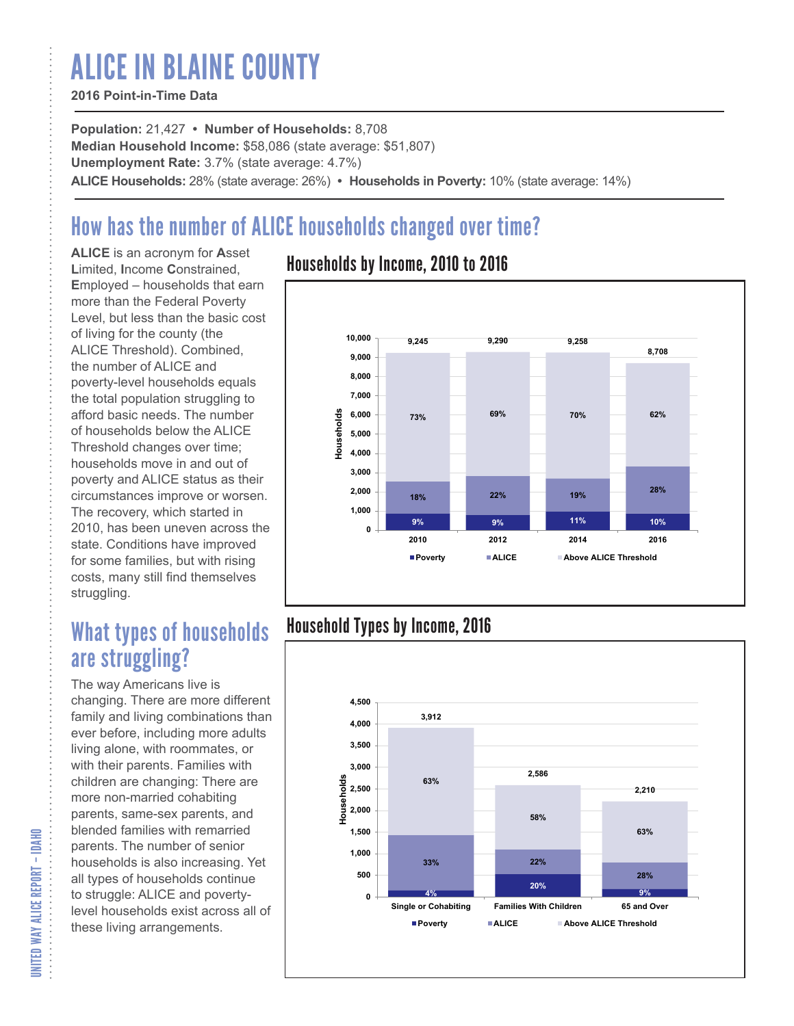# ALICE IN BLAINE COUNTY

#### **2016 Point-in-Time Data**

**Population:** 21,427 **• Number of Households:** 8,708 **Median Household Income:** \$58,086 (state average: \$51,807) **Unemployment Rate:** 3.7% (state average: 4.7%) **ALICE Households:** 28% (state average: 26%) **• Households in Poverty:** 10% (state average: 14%)

# How has the number of ALICE households changed over time?

**ALICE** is an acronym for **A**sset **L**imited, **I**ncome **C**onstrained, **E**mployed – households that earn more than the Federal Poverty Level, but less than the basic cost of living for the county (the ALICE Threshold). Combined, the number of ALICE and poverty-level households equals the total population struggling to afford basic needs. The number of households below the ALICE Threshold changes over time; households move in and out of poverty and ALICE status as their circumstances improve or worsen. The recovery, which started in 2010, has been uneven across the state. Conditions have improved for some families, but with rising costs, many still find themselves struggling.

## What types of households are struggling?

The way Americans live is changing. There are more different family and living combinations than ever before, including more adults living alone, with roommates, or with their parents. Families with children are changing: There are more non-married cohabiting parents, same-sex parents, and blended families with remarried parents. The number of senior households is also increasing. Yet all types of households continue to struggle: ALICE and povertylevel households exist across all of these living arrangements.

### Households by Income, 2010 to 2016



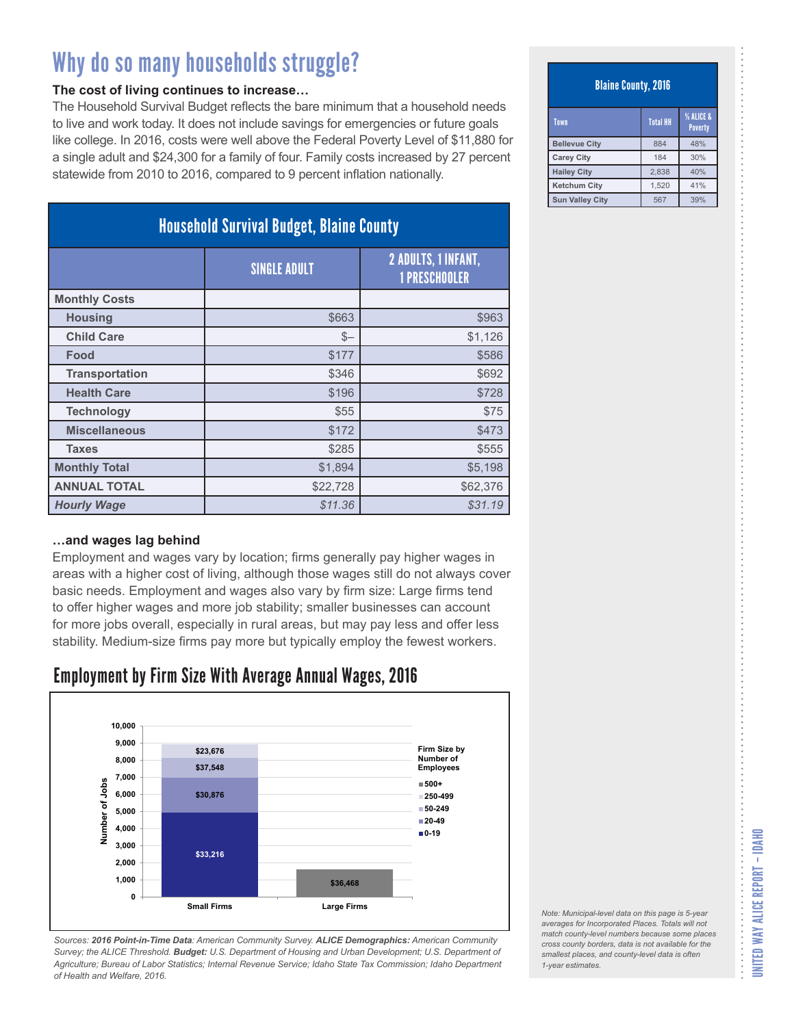#### **The cost of living continues to increase…**

The Household Survival Budget reflects the bare minimum that a household needs to live and work today. It does not include savings for emergencies or future goals like college. In 2016, costs were well above the Federal Poverty Level of \$11,880 for a single adult and \$24,300 for a family of four. Family costs increased by 27 percent statewide from 2010 to 2016, compared to 9 percent inflation nationally.

| <b>Household Survival Budget, Blaine County</b> |                     |                                                    |
|-------------------------------------------------|---------------------|----------------------------------------------------|
|                                                 | <b>SINGLE ADULT</b> | <b>2 ADULTS, 1 INFANT,</b><br><b>1 PRESCHOOLER</b> |
| <b>Monthly Costs</b>                            |                     |                                                    |
| <b>Housing</b>                                  | \$663               | \$963                                              |
| <b>Child Care</b>                               | $S-$                | \$1,126                                            |
| Food                                            | \$177               | \$586                                              |
| <b>Transportation</b>                           | \$346               | \$692                                              |
| <b>Health Care</b>                              | \$196               | \$728                                              |
| <b>Technology</b>                               | \$55                | \$75                                               |
| <b>Miscellaneous</b>                            | \$172               | \$473                                              |
| <b>Taxes</b>                                    | \$285               | \$555                                              |
| <b>Monthly Total</b>                            | \$1,894             | \$5,198                                            |
| <b>ANNUAL TOTAL</b>                             | \$22,728            | \$62,376                                           |
| <b>Hourly Wage</b>                              | \$11.36             | \$31.19                                            |

#### **…and wages lag behind**

Employment and wages vary by location; firms generally pay higher wages in areas with a higher cost of living, although those wages still do not always cover basic needs. Employment and wages also vary by firm size: Large firms tend to offer higher wages and more job stability; smaller businesses can account for more jobs overall, especially in rural areas, but may pay less and offer less stability. Medium-size firms pay more but typically employ the fewest workers.

### Employment by Firm Size With Average Annual Wages, 2016



*Sources: 2016 Point-in-Time Data: American Community Survey. ALICE Demographics: American Community Survey; the ALICE Threshold. Budget: U.S. Department of Housing and Urban Development; U.S. Department of Agriculture; Bureau of Labor Statistics; Internal Revenue Service; Idaho State Tax Commission; Idaho Department of Health and Welfare, 2016.*

#### Blaine County, 2016

| Town                   | <b>Total HH</b> | <b>% ALICE &amp;</b><br><b>Poverty</b> |
|------------------------|-----------------|----------------------------------------|
| <b>Bellevue City</b>   | 884             | 48%                                    |
| <b>Carey City</b>      | 184             | 30%                                    |
| <b>Hailey City</b>     | 2.838           | 40%                                    |
| <b>Ketchum City</b>    | 1.520           | 41%                                    |
| <b>Sun Valley City</b> | 567             | 39%                                    |

*Note: Municipal-level data on this page is 5-year averages for Incorporated Places. Totals will not match county-level numbers because some places cross county borders, data is not available for the smallest places, and county-level data is often 1-year estimates.*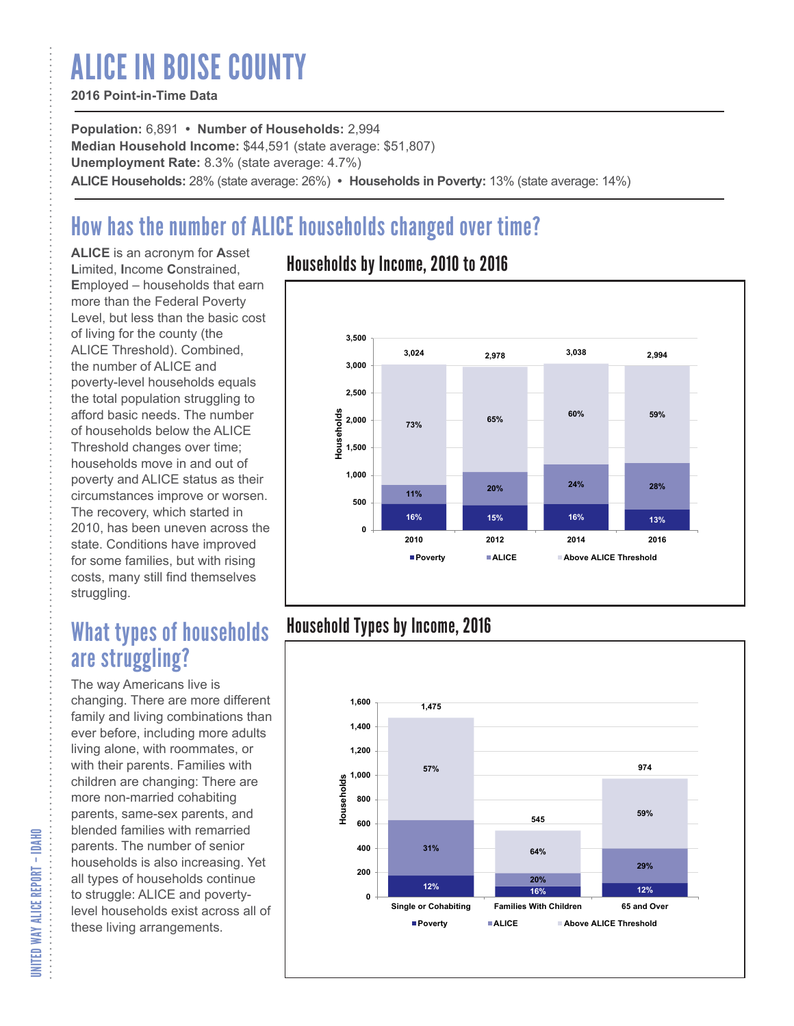# ALICE IN BOISE COUNTY

#### **2016 Point-in-Time Data**

**Population:** 6,891 **• Number of Households:** 2,994 **Median Household Income:** \$44,591 (state average: \$51,807) **Unemployment Rate:** 8.3% (state average: 4.7%) **ALICE Households:** 28% (state average: 26%) **• Households in Poverty:** 13% (state average: 14%)

# How has the number of ALICE households changed over time?

**ALICE** is an acronym for **A**sset **L**imited, **I**ncome **C**onstrained, **E**mployed – households that earn more than the Federal Poverty Level, but less than the basic cost of living for the county (the ALICE Threshold). Combined, the number of ALICE and poverty-level households equals the total population struggling to afford basic needs. The number of households below the ALICE Threshold changes over time; households move in and out of poverty and ALICE status as their circumstances improve or worsen. The recovery, which started in 2010, has been uneven across the state. Conditions have improved for some families, but with rising costs, many still find themselves struggling.

## What types of households are struggling?

The way Americans live is changing. There are more different family and living combinations than ever before, including more adults living alone, with roommates, or with their parents. Families with children are changing: There are more non-married cohabiting parents, same-sex parents, and blended families with remarried parents. The number of senior households is also increasing. Yet all types of households continue to struggle: ALICE and povertylevel households exist across all of these living arrangements.

### Households by Income, 2010 to 2016



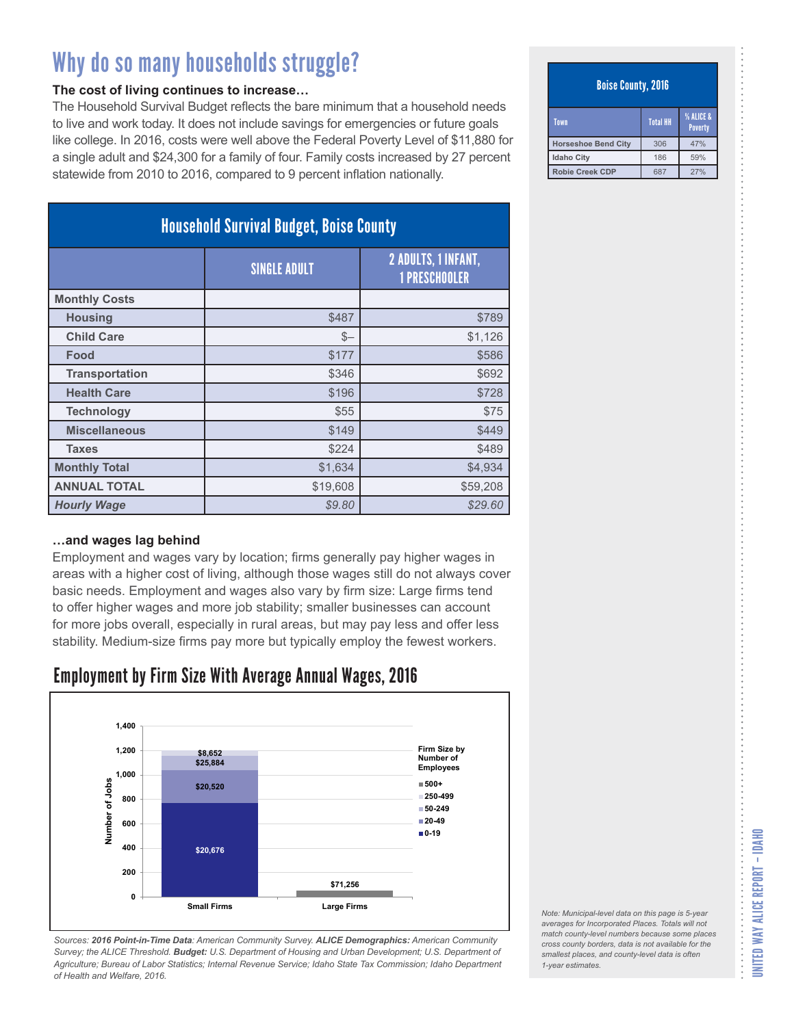#### **The cost of living continues to increase…**

The Household Survival Budget reflects the bare minimum that a household needs to live and work today. It does not include savings for emergencies or future goals like college. In 2016, costs were well above the Federal Poverty Level of \$11,880 for a single adult and \$24,300 for a family of four. Family costs increased by 27 percent statewide from 2010 to 2016, compared to 9 percent inflation nationally.

| <b>Household Survival Budget, Boise County</b> |                     |                                             |
|------------------------------------------------|---------------------|---------------------------------------------|
|                                                | <b>SINGLE ADULT</b> | 2 ADULTS, 1 INFANT,<br><b>1 PRESCHOOLER</b> |
| <b>Monthly Costs</b>                           |                     |                                             |
| <b>Housing</b>                                 | \$487               | \$789                                       |
| <b>Child Care</b>                              | $S-$                | \$1,126                                     |
| Food                                           | \$177               | \$586                                       |
| <b>Transportation</b>                          | \$346               | \$692                                       |
| <b>Health Care</b>                             | \$196               | \$728                                       |
| <b>Technology</b>                              | \$55                | \$75                                        |
| <b>Miscellaneous</b>                           | \$149               | \$449                                       |
| <b>Taxes</b>                                   | \$224               | \$489                                       |
| <b>Monthly Total</b>                           | \$1,634             | \$4,934                                     |
| <b>ANNUAL TOTAL</b>                            | \$19,608            | \$59,208                                    |
| <b>Hourly Wage</b>                             | \$9.80              | \$29.60                                     |

#### **…and wages lag behind**

Employment and wages vary by location; firms generally pay higher wages in areas with a higher cost of living, although those wages still do not always cover basic needs. Employment and wages also vary by firm size: Large firms tend to offer higher wages and more job stability; smaller businesses can account for more jobs overall, especially in rural areas, but may pay less and offer less stability. Medium-size firms pay more but typically employ the fewest workers.

### Employment by Firm Size With Average Annual Wages, 2016



*Sources: 2016 Point-in-Time Data: American Community Survey. ALICE Demographics: American Community Survey; the ALICE Threshold. Budget: U.S. Department of Housing and Urban Development; U.S. Department of Agriculture; Bureau of Labor Statistics; Internal Revenue Service; Idaho State Tax Commission; Idaho Department of Health and Welfare, 2016.*

#### Boise County, 2016

| Town                       | <b>Total HH</b> | <b>% ALICE &amp;</b><br>Poverty |
|----------------------------|-----------------|---------------------------------|
| <b>Horseshoe Bend City</b> | 306             | 47%                             |
| <b>Idaho City</b>          | 186             | 59%                             |
| <b>Robie Creek CDP</b>     | 687             | 27%                             |

*Note: Municipal-level data on this page is 5-year averages for Incorporated Places. Totals will not match county-level numbers because some places cross county borders, data is not available for the smallest places, and county-level data is often 1-year estimates.*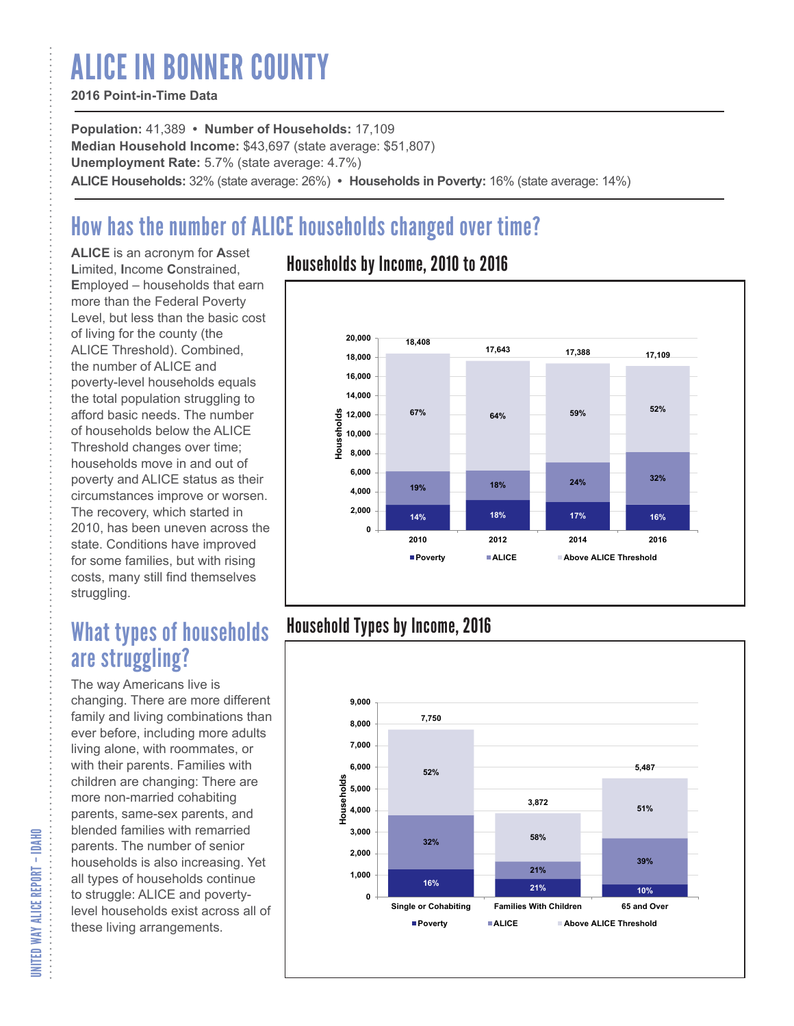# ALICE IN BONNER COUNTY

#### **2016 Point-in-Time Data**

**Population:** 41,389 **• Number of Households:** 17,109 **Median Household Income:** \$43,697 (state average: \$51,807) **Unemployment Rate:** 5.7% (state average: 4.7%) **ALICE Households:** 32% (state average: 26%) **• Households in Poverty:** 16% (state average: 14%)

# How has the number of ALICE households changed over time?

**ALICE** is an acronym for **A**sset **L**imited, **I**ncome **C**onstrained, **E**mployed – households that earn more than the Federal Poverty Level, but less than the basic cost of living for the county (the ALICE Threshold). Combined, the number of ALICE and poverty-level households equals the total population struggling to afford basic needs. The number of households below the ALICE Threshold changes over time; households move in and out of poverty and ALICE status as their circumstances improve or worsen. The recovery, which started in 2010, has been uneven across the state. Conditions have improved for some families, but with rising costs, many still find themselves struggling.

## What types of households are struggling?

The way Americans live is changing. There are more different family and living combinations than ever before, including more adults living alone, with roommates, or with their parents. Families with children are changing: There are more non-married cohabiting parents, same-sex parents, and blended families with remarried parents. The number of senior households is also increasing. Yet all types of households continue to struggle: ALICE and povertylevel households exist across all of these living arrangements.

### Households by Income, 2010 to 2016



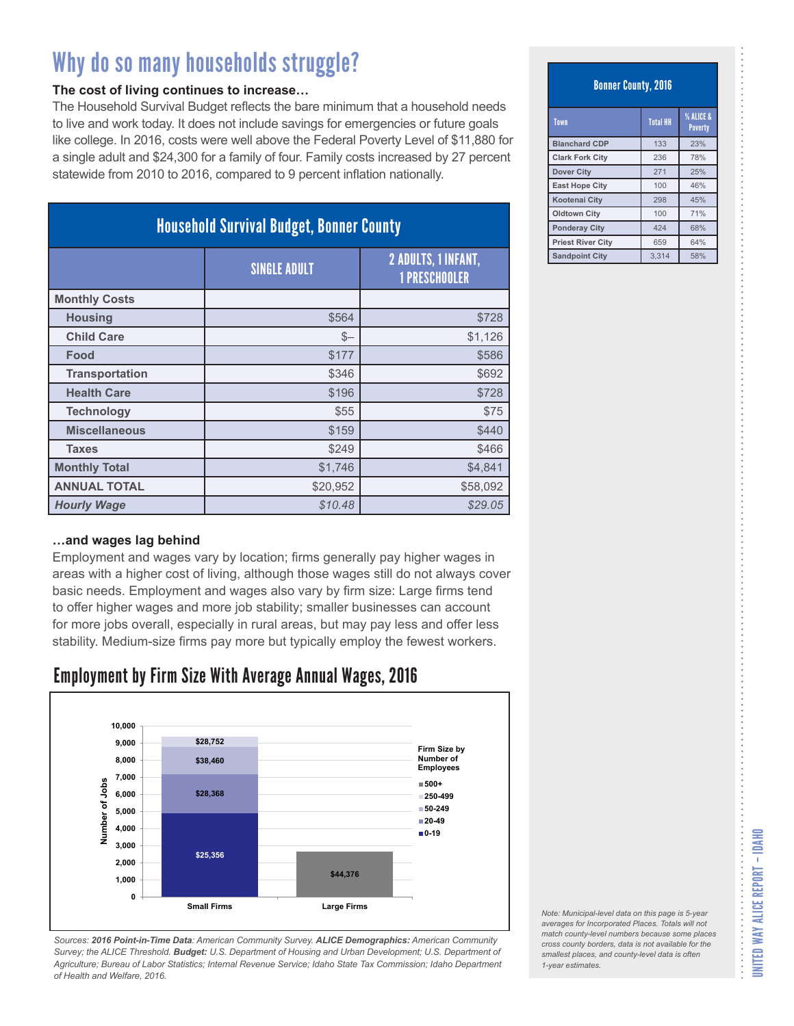#### **The cost of living continues to increase…**

The Household Survival Budget reflects the bare minimum that a household needs to live and work today. It does not include savings for emergencies or future goals like college. In 2016, costs were well above the Federal Poverty Level of \$11,880 for a single adult and \$24,300 for a family of four. Family costs increased by 27 percent statewide from 2010 to 2016, compared to 9 percent inflation nationally.

| <b>Household Survival Budget, Bonner County</b> |                     |                                                    |
|-------------------------------------------------|---------------------|----------------------------------------------------|
|                                                 | <b>SINGLE ADULT</b> | <b>2 ADULTS, 1 INFANT,</b><br><b>1 PRESCHOOLER</b> |
| <b>Monthly Costs</b>                            |                     |                                                    |
| <b>Housing</b>                                  | \$564               | \$728                                              |
| <b>Child Care</b>                               | $S-$                | \$1,126                                            |
| Food                                            | \$177               | \$586                                              |
| <b>Transportation</b>                           | \$346               | \$692                                              |
| <b>Health Care</b>                              | \$196               | \$728                                              |
| <b>Technology</b>                               | \$55                | \$75                                               |
| <b>Miscellaneous</b>                            | \$159               | \$440                                              |
| <b>Taxes</b>                                    | \$249               | \$466                                              |
| <b>Monthly Total</b>                            | \$1,746             | \$4,841                                            |
| <b>ANNUAL TOTAL</b>                             | \$20,952            | \$58,092                                           |
| <b>Hourly Wage</b>                              | \$10.48             | \$29.05                                            |

#### **…and wages lag behind**

Employment and wages vary by location; firms generally pay higher wages in areas with a higher cost of living, although those wages still do not always cover basic needs. Employment and wages also vary by firm size: Large firms tend to offer higher wages and more job stability; smaller businesses can account for more jobs overall, especially in rural areas, but may pay less and offer less stability. Medium-size firms pay more but typically employ the fewest workers.

### Employment by Firm Size With Average Annual Wages, 2016



*Sources: 2016 Point-in-Time Data: American Community Survey. ALICE Demographics: American Community Survey; the ALICE Threshold. Budget: U.S. Department of Housing and Urban Development; U.S. Department of Agriculture; Bureau of Labor Statistics; Internal Revenue Service; Idaho State Tax Commission; Idaho Department of Health and Welfare, 2016.*

Bonner County, 2016

| Town                     | <b>Total HH</b> | % ALICE &<br><b>Poverty</b> |
|--------------------------|-----------------|-----------------------------|
| <b>Blanchard CDP</b>     | 133             | 23%                         |
| <b>Clark Fork City</b>   | 236             | 78%                         |
| <b>Dover City</b>        | 271             | 25%                         |
| <b>East Hope City</b>    | 100             | 46%                         |
| <b>Kootenai Citv</b>     | 298             | 45%                         |
| <b>Oldtown City</b>      | 100             | 71%                         |
| <b>Ponderay City</b>     | 424             | 68%                         |
| <b>Priest River City</b> | 659             | 64%                         |
| <b>Sandpoint City</b>    | 3.314           | 58%                         |

*Note: Municipal-level data on this page is 5-year averages for Incorporated Places. Totals will not match county-level numbers because some places cross county borders, data is not available for the smallest places, and county-level data is often*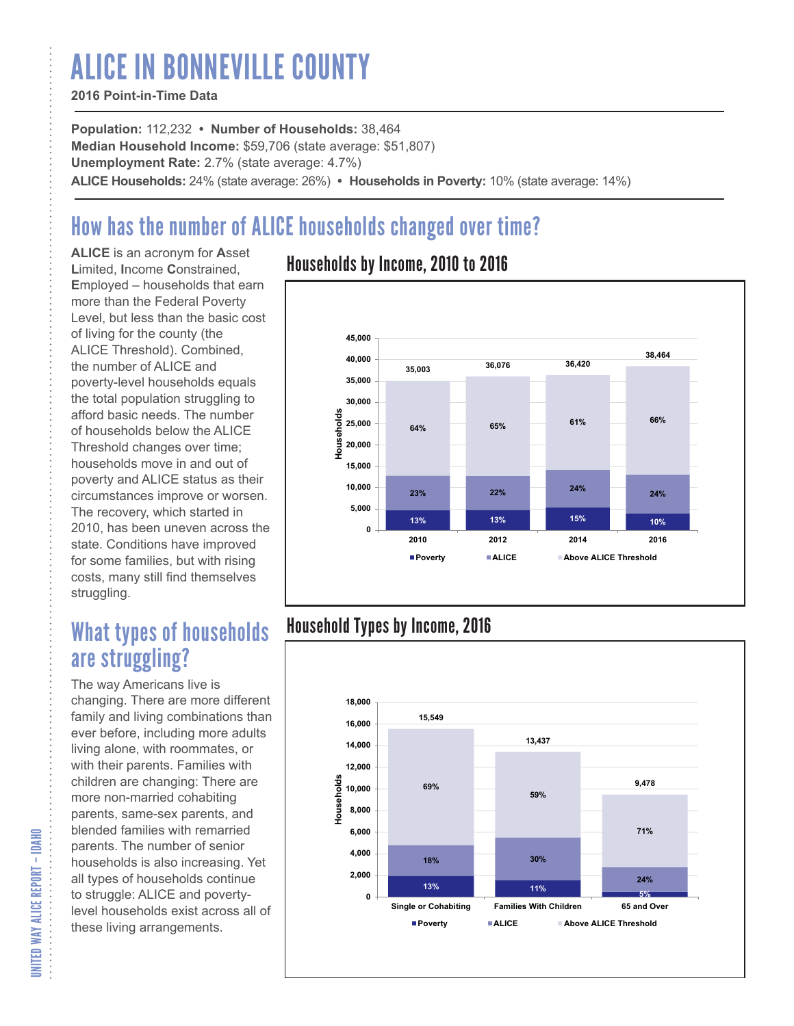# ALICE IN BONNEVILLE COUNTY

#### **2016 Point-in-Time Data**

**Population:** 112,232 **• Number of Households:** 38,464 **Median Household Income:** \$59,706 (state average: \$51,807) **Unemployment Rate:** 2.7% (state average: 4.7%) **ALICE Households:** 24% (state average: 26%) **• Households in Poverty:** 10% (state average: 14%)

# How has the number of ALICE households changed over time?

**ALICE** is an acronym for **A**sset **L**imited, **I**ncome **C**onstrained, **E**mployed – households that earn more than the Federal Poverty Level, but less than the basic cost of living for the county (the ALICE Threshold). Combined, the number of ALICE and poverty-level households equals the total population struggling to afford basic needs. The number of households below the ALICE Threshold changes over time; households move in and out of poverty and ALICE status as their circumstances improve or worsen. The recovery, which started in 2010, has been uneven across the state. Conditions have improved for some families, but with rising costs, many still find themselves struggling.

## What types of households are struggling?

The way Americans live is changing. There are more different family and living combinations than ever before, including more adults living alone, with roommates, or with their parents. Families with children are changing: There are more non-married cohabiting parents, same-sex parents, and blended families with remarried parents. The number of senior households is also increasing. Yet all types of households continue to struggle: ALICE and povertylevel households exist across all of these living arrangements.

### Households by Income, 2010 to 2016



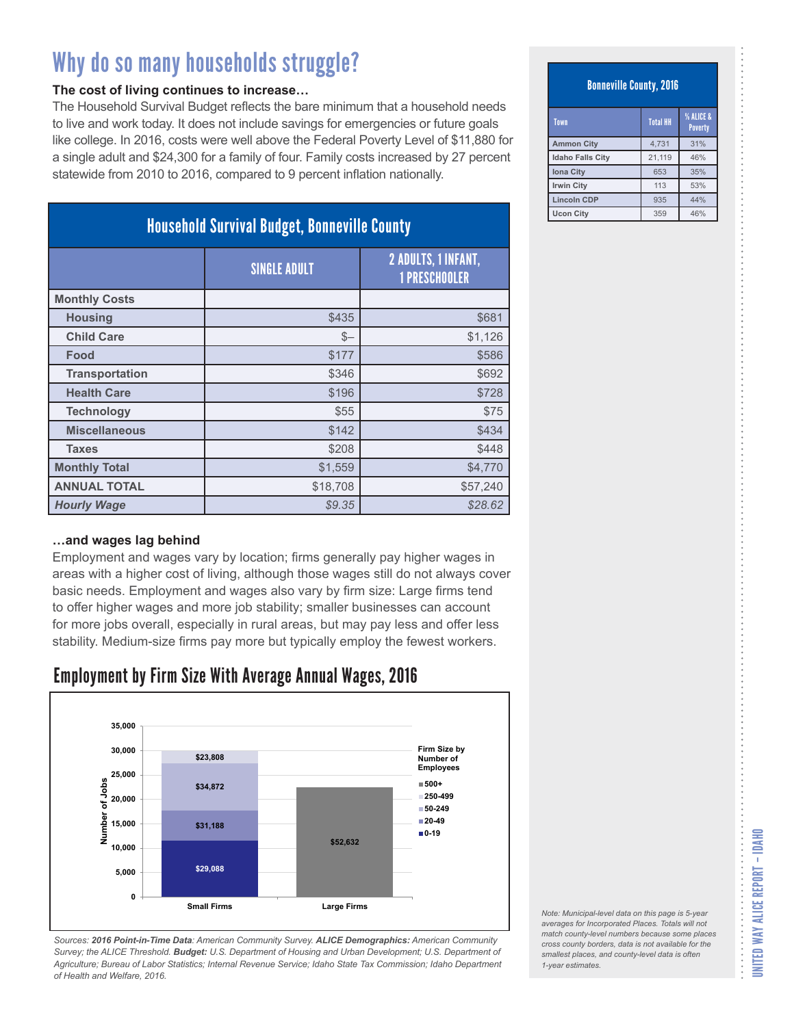#### **The cost of living continues to increase…**

The Household Survival Budget reflects the bare minimum that a household needs to live and work today. It does not include savings for emergencies or future goals like college. In 2016, costs were well above the Federal Poverty Level of \$11,880 for a single adult and \$24,300 for a family of four. Family costs increased by 27 percent statewide from 2010 to 2016, compared to 9 percent inflation nationally.

| <b>Household Survival Budget, Bonneville County</b> |                     |                                             |
|-----------------------------------------------------|---------------------|---------------------------------------------|
|                                                     | <b>SINGLE ADULT</b> | 2 ADULTS, 1 INFANT,<br><b>1 PRESCHOOLER</b> |
| <b>Monthly Costs</b>                                |                     |                                             |
| <b>Housing</b>                                      | \$435               | \$681                                       |
| <b>Child Care</b>                                   | $$-$                | \$1,126                                     |
| Food                                                | \$177               | \$586                                       |
| <b>Transportation</b>                               | \$346               | \$692                                       |
| <b>Health Care</b>                                  | \$196               | \$728                                       |
| <b>Technology</b>                                   | \$55                | \$75                                        |
| <b>Miscellaneous</b>                                | \$142               | \$434                                       |
| <b>Taxes</b>                                        | \$208               | \$448                                       |
| <b>Monthly Total</b>                                | \$1,559             | \$4,770                                     |
| <b>ANNUAL TOTAL</b>                                 | \$18,708            | \$57,240                                    |
| <b>Hourly Wage</b>                                  | \$9.35              | \$28.62                                     |

#### **…and wages lag behind**

Employment and wages vary by location; firms generally pay higher wages in areas with a higher cost of living, although those wages still do not always cover basic needs. Employment and wages also vary by firm size: Large firms tend to offer higher wages and more job stability; smaller businesses can account for more jobs overall, especially in rural areas, but may pay less and offer less stability. Medium-size firms pay more but typically employ the fewest workers.

### Employment by Firm Size With Average Annual Wages, 2016



*Sources: 2016 Point-in-Time Data: American Community Survey. ALICE Demographics: American Community Survey; the ALICE Threshold. Budget: U.S. Department of Housing and Urban Development; U.S. Department of Agriculture; Bureau of Labor Statistics; Internal Revenue Service; Idaho State Tax Commission; Idaho Department of Health and Welfare, 2016.*

#### Bonneville County, 2016

| Town                    | <b>Total HH</b> | <b>% ALICE &amp;</b><br><b>Poverty</b> |
|-------------------------|-----------------|----------------------------------------|
| <b>Ammon City</b>       | 4.731           | 31%                                    |
| <b>Idaho Falls City</b> | 21,119          | 46%                                    |
| <b>Iona City</b>        | 653             | 35%                                    |
| <b>Irwin City</b>       | 113             | 53%                                    |
| <b>Lincoln CDP</b>      | 935             | 44%                                    |
| <b>Ucon City</b>        | 359             | 46%                                    |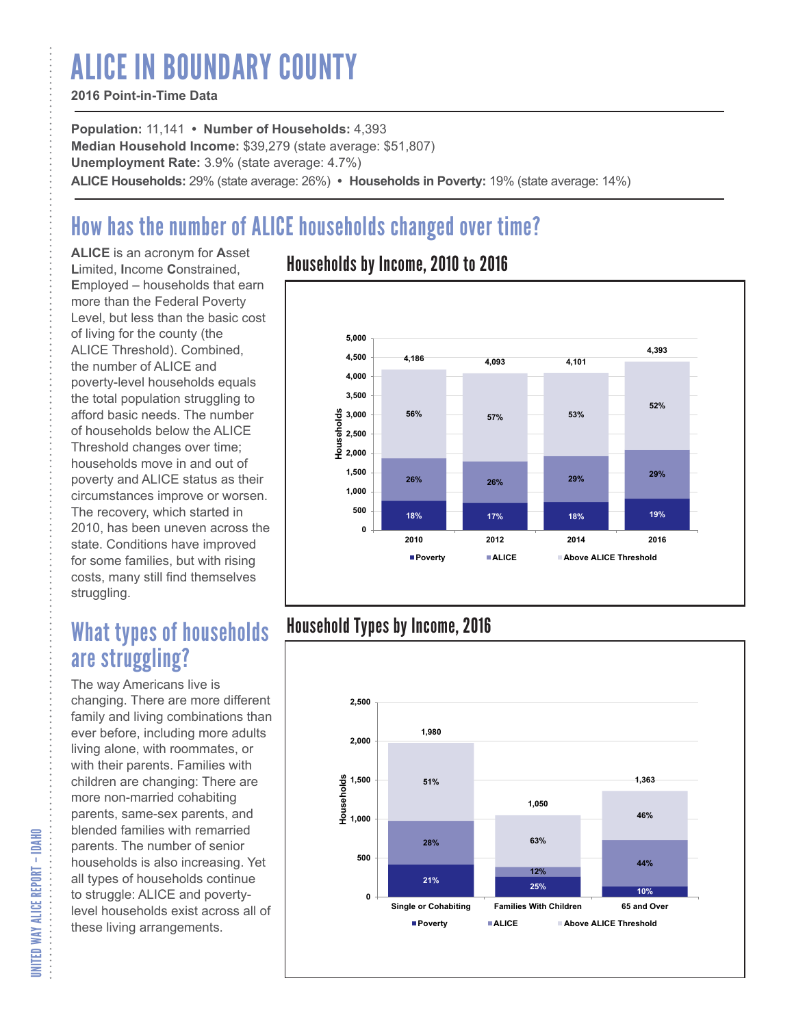# ALICE IN BOUNDARY COUNTY

#### **2016 Point-in-Time Data**

**Population:** 11,141 **• Number of Households:** 4,393 **Median Household Income:** \$39,279 (state average: \$51,807) **Unemployment Rate:** 3.9% (state average: 4.7%) **ALICE Households:** 29% (state average: 26%) **• Households in Poverty:** 19% (state average: 14%)

# How has the number of ALICE households changed over time?

**ALICE** is an acronym for **A**sset **L**imited, **I**ncome **C**onstrained, **E**mployed – households that earn more than the Federal Poverty Level, but less than the basic cost of living for the county (the ALICE Threshold). Combined, the number of ALICE and poverty-level households equals the total population struggling to afford basic needs. The number of households below the ALICE Threshold changes over time; households move in and out of poverty and ALICE status as their circumstances improve or worsen. The recovery, which started in 2010, has been uneven across the state. Conditions have improved for some families, but with rising costs, many still find themselves struggling.

## What types of households are struggling?

The way Americans live is changing. There are more different family and living combinations than ever before, including more adults living alone, with roommates, or with their parents. Families with children are changing: There are more non-married cohabiting parents, same-sex parents, and blended families with remarried parents. The number of senior households is also increasing. Yet all types of households continue to struggle: ALICE and povertylevel households exist across all of these living arrangements.

### Households by Income, 2010 to 2016



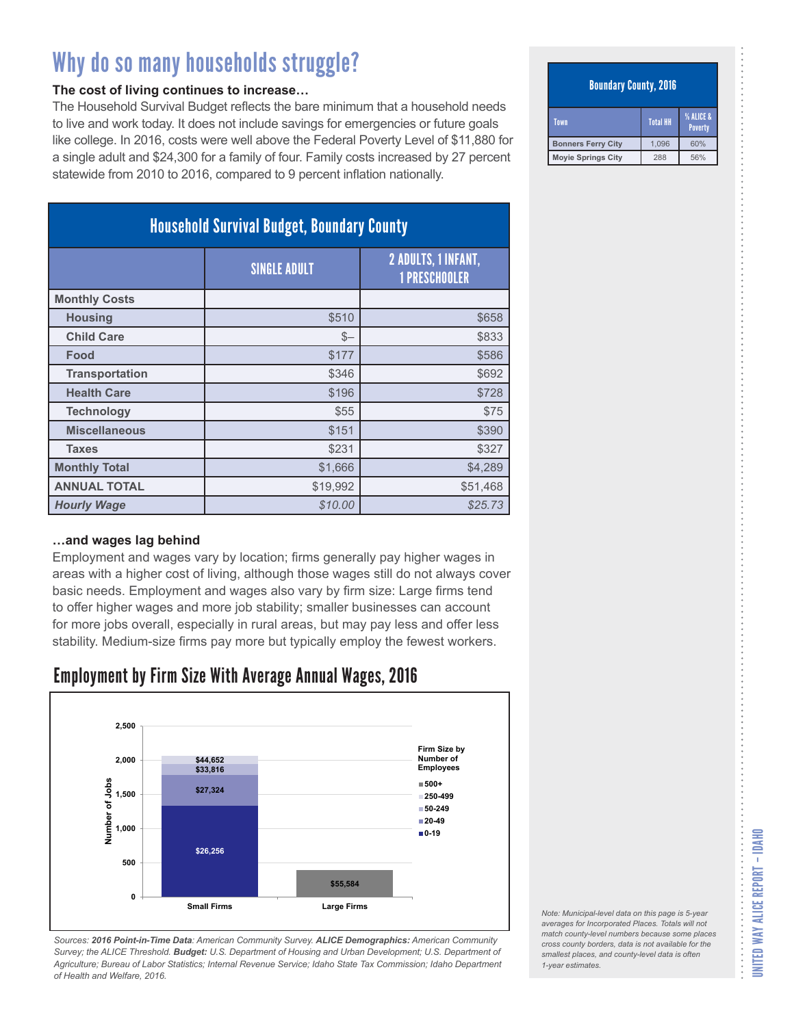#### **The cost of living continues to increase…**

The Household Survival Budget reflects the bare minimum that a household needs to live and work today. It does not include savings for emergencies or future goals like college. In 2016, costs were well above the Federal Poverty Level of \$11,880 for a single adult and \$24,300 for a family of four. Family costs increased by 27 percent statewide from 2010 to 2016, compared to 9 percent inflation nationally.

| <b>Household Survival Budget, Boundary County</b> |                     |                                                    |
|---------------------------------------------------|---------------------|----------------------------------------------------|
|                                                   | <b>SINGLE ADULT</b> | <b>2 ADULTS, 1 INFANT,</b><br><b>1 PRESCHOOLER</b> |
| <b>Monthly Costs</b>                              |                     |                                                    |
| <b>Housing</b>                                    | \$510               | \$658                                              |
| <b>Child Care</b>                                 | $S-$                | \$833                                              |
| Food                                              | \$177               | \$586                                              |
| <b>Transportation</b>                             | \$346               | \$692                                              |
| <b>Health Care</b>                                | \$196               | \$728                                              |
| <b>Technology</b>                                 | \$55                | \$75                                               |
| <b>Miscellaneous</b>                              | \$151               | \$390                                              |
| <b>Taxes</b>                                      | \$231               | \$327                                              |
| <b>Monthly Total</b>                              | \$1,666             | \$4,289                                            |
| <b>ANNUAL TOTAL</b>                               | \$19,992            | \$51,468                                           |
| <b>Hourly Wage</b>                                | \$10.00             | \$25.73                                            |

#### **…and wages lag behind**

Employment and wages vary by location; firms generally pay higher wages in areas with a higher cost of living, although those wages still do not always cover basic needs. Employment and wages also vary by firm size: Large firms tend to offer higher wages and more job stability; smaller businesses can account for more jobs overall, especially in rural areas, but may pay less and offer less stability. Medium-size firms pay more but typically employ the fewest workers.

### Employment by Firm Size With Average Annual Wages, 2016



*Sources: 2016 Point-in-Time Data: American Community Survey. ALICE Demographics: American Community Survey; the ALICE Threshold. Budget: U.S. Department of Housing and Urban Development; U.S. Department of Agriculture; Bureau of Labor Statistics; Internal Revenue Service; Idaho State Tax Commission; Idaho Department of Health and Welfare, 2016.*

#### Boundary County, 2016

| Town                      | <b>Total HH</b> | <b>% ALICE &amp;</b><br>Poverty |
|---------------------------|-----------------|---------------------------------|
| <b>Bonners Ferry City</b> | 1.096           | 60%                             |
| <b>Moyie Springs City</b> | 288             | 56%                             |

*Note: Municipal-level data on this page is 5-year averages for Incorporated Places. Totals will not match county-level numbers because some places cross county borders, data is not available for the smallest places, and county-level data is often*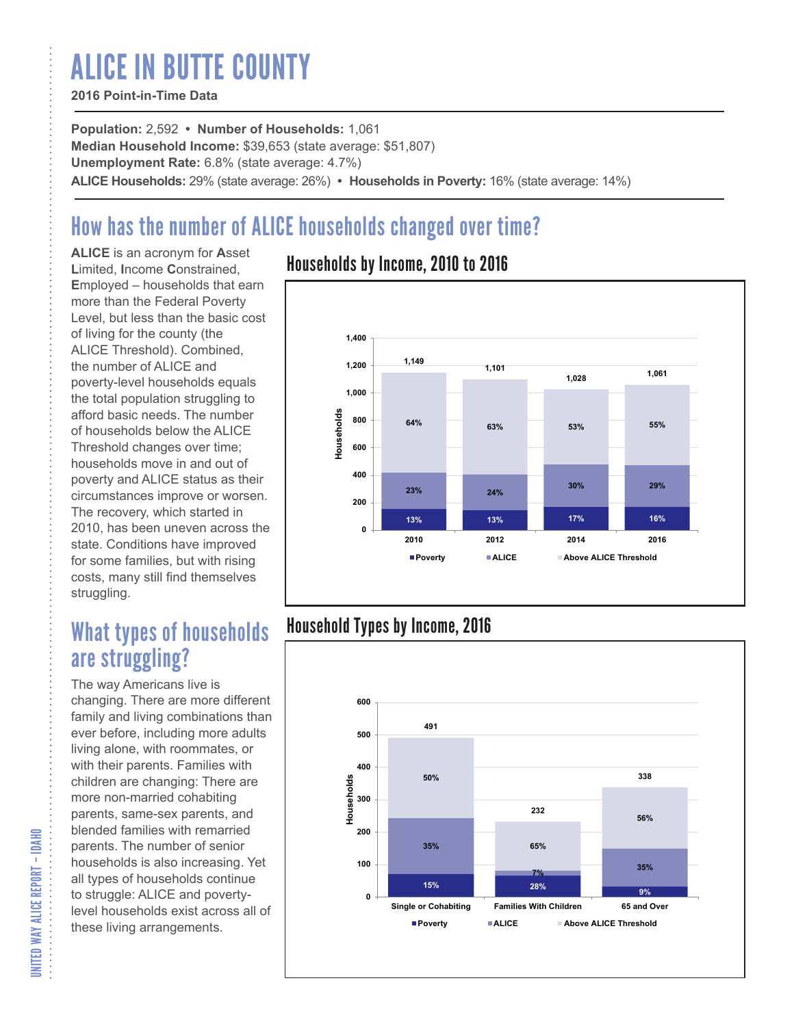# ALICE IN BUTTE COUNTY

#### **2016 Point-in-Time Data**

**Population:** 2,592 **• Number of Households:** 1,061 **Median Household Income:** \$39,653 (state average: \$51,807) **Unemployment Rate:** 6.8% (state average: 4.7%) **ALICE Households:** 29% (state average: 26%) **• Households in Poverty:** 16% (state average: 14%)

# How has the number of ALICE households changed over time?

**ALICE** is an acronym for **A**sset **L**imited, **I**ncome **C**onstrained, **E**mployed – households that earn more than the Federal Poverty Level, but less than the basic cost of living for the county (the ALICE Threshold). Combined, the number of ALICE and poverty-level households equals the total population struggling to afford basic needs. The number of households below the ALICE Threshold changes over time; households move in and out of poverty and ALICE status as their circumstances improve or worsen. The recovery, which started in 2010, has been uneven across the state. Conditions have improved for some families, but with rising costs, many still find themselves struggling.

## What types of households are struggling?

The way Americans live is changing. There are more different family and living combinations than ever before, including more adults living alone, with roommates, or with their parents. Families with children are changing: There are more non-married cohabiting parents, same-sex parents, and blended families with remarried parents. The number of senior households is also increasing. Yet all types of households continue to struggle: ALICE and povertylevel households exist across all of these living arrangements.

### Households by Income, 2010 to 2016



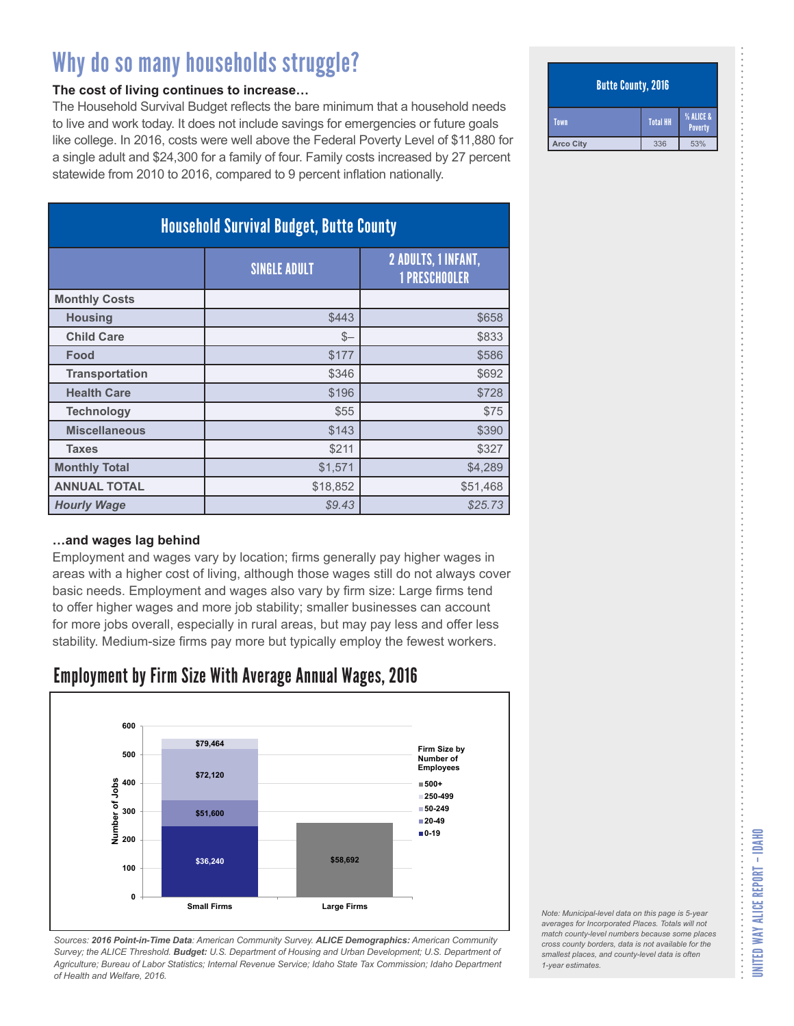#### **The cost of living continues to increase…**

The Household Survival Budget reflects the bare minimum that a household needs to live and work today. It does not include savings for emergencies or future goals like college. In 2016, costs were well above the Federal Poverty Level of \$11,880 for a single adult and \$24,300 for a family of four. Family costs increased by 27 percent statewide from 2010 to 2016, compared to 9 percent inflation nationally.

| <b>Household Survival Budget, Butte County</b> |                     |                                                    |
|------------------------------------------------|---------------------|----------------------------------------------------|
|                                                | <b>SINGLE ADULT</b> | <b>2 ADULTS, 1 INFANT,</b><br><b>1 PRESCHOOLER</b> |
| <b>Monthly Costs</b>                           |                     |                                                    |
| <b>Housing</b>                                 | \$443               | \$658                                              |
| <b>Child Care</b>                              | $S-$                | \$833                                              |
| Food                                           | \$177               | \$586                                              |
| <b>Transportation</b>                          | \$346               | \$692                                              |
| <b>Health Care</b>                             | \$196               | \$728                                              |
| <b>Technology</b>                              | \$55                | \$75                                               |
| <b>Miscellaneous</b>                           | \$143               | \$390                                              |
| <b>Taxes</b>                                   | \$211               | \$327                                              |
| <b>Monthly Total</b>                           | \$1,571             | \$4,289                                            |
| <b>ANNUAL TOTAL</b>                            | \$18,852            | \$51,468                                           |
| <b>Hourly Wage</b>                             | \$9.43              | \$25.73                                            |

#### **…and wages lag behind**

Employment and wages vary by location; firms generally pay higher wages in areas with a higher cost of living, although those wages still do not always cover basic needs. Employment and wages also vary by firm size: Large firms tend to offer higher wages and more job stability; smaller businesses can account for more jobs overall, especially in rural areas, but may pay less and offer less stability. Medium-size firms pay more but typically employ the fewest workers.

### Employment by Firm Size With Average Annual Wages, 2016



*Sources: 2016 Point-in-Time Data: American Community Survey. ALICE Demographics: American Community Survey; the ALICE Threshold. Budget: U.S. Department of Housing and Urban Development; U.S. Department of Agriculture; Bureau of Labor Statistics; Internal Revenue Service; Idaho State Tax Commission; Idaho Department of Health and Welfare, 2016.*

#### Butte County, 2016

| Town             | <b>Total HH</b> | <b>% ALICE &amp;</b><br>Poverty |
|------------------|-----------------|---------------------------------|
| <b>Arco City</b> | 336             | 53%                             |

*Note: Municipal-level data on this page is 5-year averages for Incorporated Places. Totals will not match county-level numbers because some places cross county borders, data is not available for the smallest places, and county-level data is often*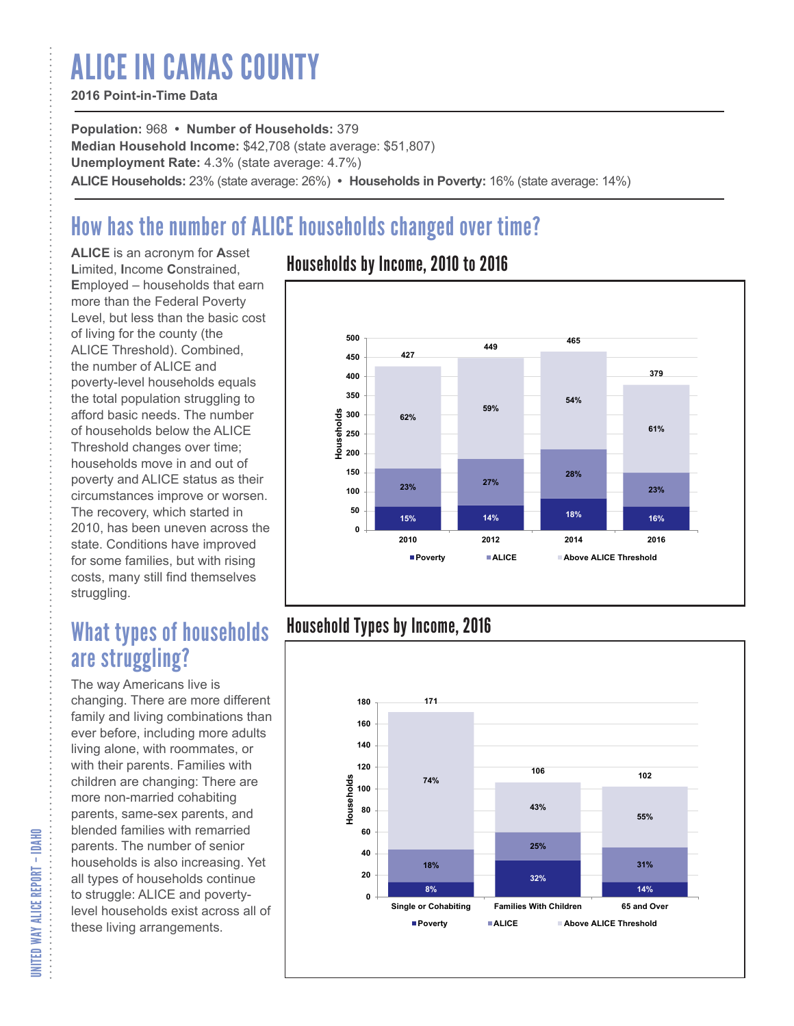# ALICE IN CAMAS COUNTY

#### **2016 Point-in-Time Data**

**Population:** 968 **• Number of Households:** 379 **Median Household Income:** \$42,708 (state average: \$51,807) **Unemployment Rate:** 4.3% (state average: 4.7%) **ALICE Households:** 23% (state average: 26%) **• Households in Poverty:** 16% (state average: 14%)

# How has the number of ALICE households changed over time?

**ALICE** is an acronym for **A**sset **L**imited, **I**ncome **C**onstrained, **E**mployed – households that earn more than the Federal Poverty Level, but less than the basic cost of living for the county (the ALICE Threshold). Combined, the number of ALICE and poverty-level households equals the total population struggling to afford basic needs. The number of households below the ALICE Threshold changes over time; households move in and out of poverty and ALICE status as their circumstances improve or worsen. The recovery, which started in 2010, has been uneven across the state. Conditions have improved for some families, but with rising costs, many still find themselves struggling.

## What types of households are struggling?

The way Americans live is changing. There are more different family and living combinations than ever before, including more adults living alone, with roommates, or with their parents. Families with children are changing: There are more non-married cohabiting parents, same-sex parents, and blended families with remarried parents. The number of senior households is also increasing. Yet all types of households continue to struggle: ALICE and povertylevel households exist across all of these living arrangements.

### Households by Income, 2010 to 2016



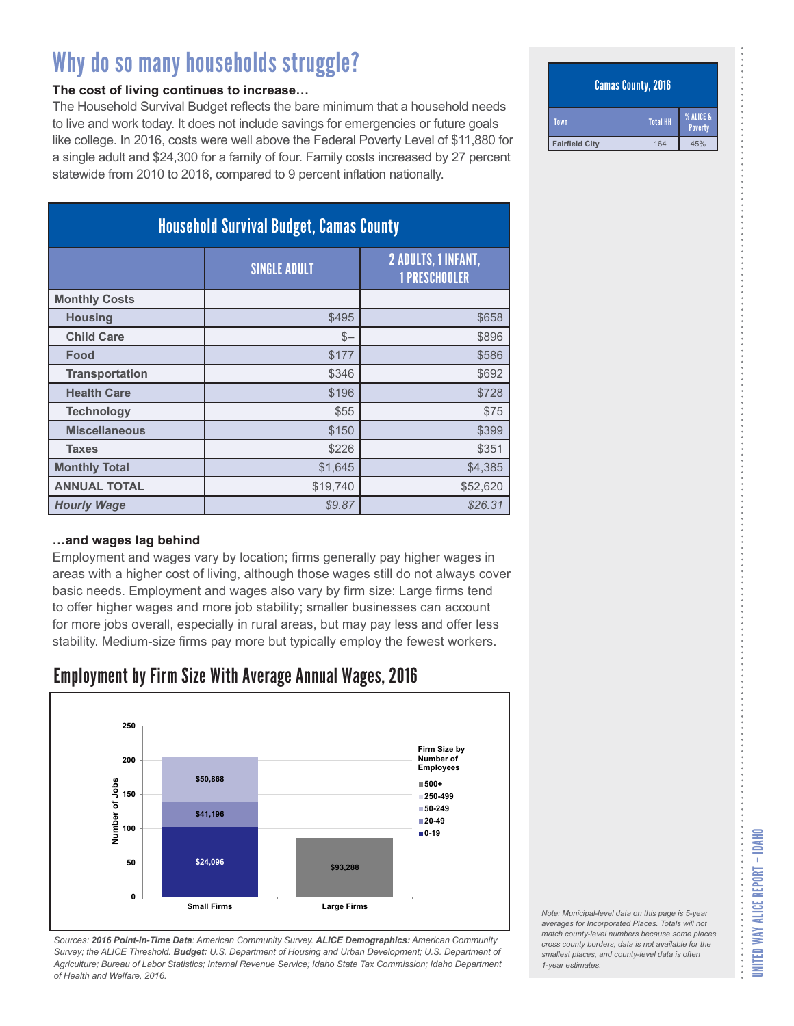#### **The cost of living continues to increase…**

The Household Survival Budget reflects the bare minimum that a household needs to live and work today. It does not include savings for emergencies or future goals like college. In 2016, costs were well above the Federal Poverty Level of \$11,880 for a single adult and \$24,300 for a family of four. Family costs increased by 27 percent statewide from 2010 to 2016, compared to 9 percent inflation nationally.

| <b>Household Survival Budget, Camas County</b> |                     |                                             |
|------------------------------------------------|---------------------|---------------------------------------------|
|                                                | <b>SINGLE ADULT</b> | 2 ADULTS, 1 INFANT,<br><b>1 PRESCHOOLER</b> |
| <b>Monthly Costs</b>                           |                     |                                             |
| <b>Housing</b>                                 | \$495               | \$658                                       |
| <b>Child Care</b>                              | $S-$                | \$896                                       |
| Food                                           | \$177               | \$586                                       |
| <b>Transportation</b>                          | \$346               | \$692                                       |
| <b>Health Care</b>                             | \$196               | \$728                                       |
| <b>Technology</b>                              | \$55                | \$75                                        |
| <b>Miscellaneous</b>                           | \$150               | \$399                                       |
| <b>Taxes</b>                                   | \$226               | \$351                                       |
| <b>Monthly Total</b>                           | \$1,645             | \$4,385                                     |
| <b>ANNUAL TOTAL</b>                            | \$19,740            | \$52,620                                    |
| <b>Hourly Wage</b>                             | \$9.87              | \$26.31                                     |

#### **…and wages lag behind**

Employment and wages vary by location; firms generally pay higher wages in areas with a higher cost of living, although those wages still do not always cover basic needs. Employment and wages also vary by firm size: Large firms tend to offer higher wages and more job stability; smaller businesses can account for more jobs overall, especially in rural areas, but may pay less and offer less stability. Medium-size firms pay more but typically employ the fewest workers.

### Employment by Firm Size With Average Annual Wages, 2016



*Sources: 2016 Point-in-Time Data: American Community Survey. ALICE Demographics: American Community Survey; the ALICE Threshold. Budget: U.S. Department of Housing and Urban Development; U.S. Department of Agriculture; Bureau of Labor Statistics; Internal Revenue Service; Idaho State Tax Commission; Idaho Department of Health and Welfare, 2016.*

#### Camas County, 2016

| Town                  | <b>Total HH</b> | <b>% ALICE &amp;</b><br>Poverty |
|-----------------------|-----------------|---------------------------------|
| <b>Fairfield City</b> | 164             | 45%                             |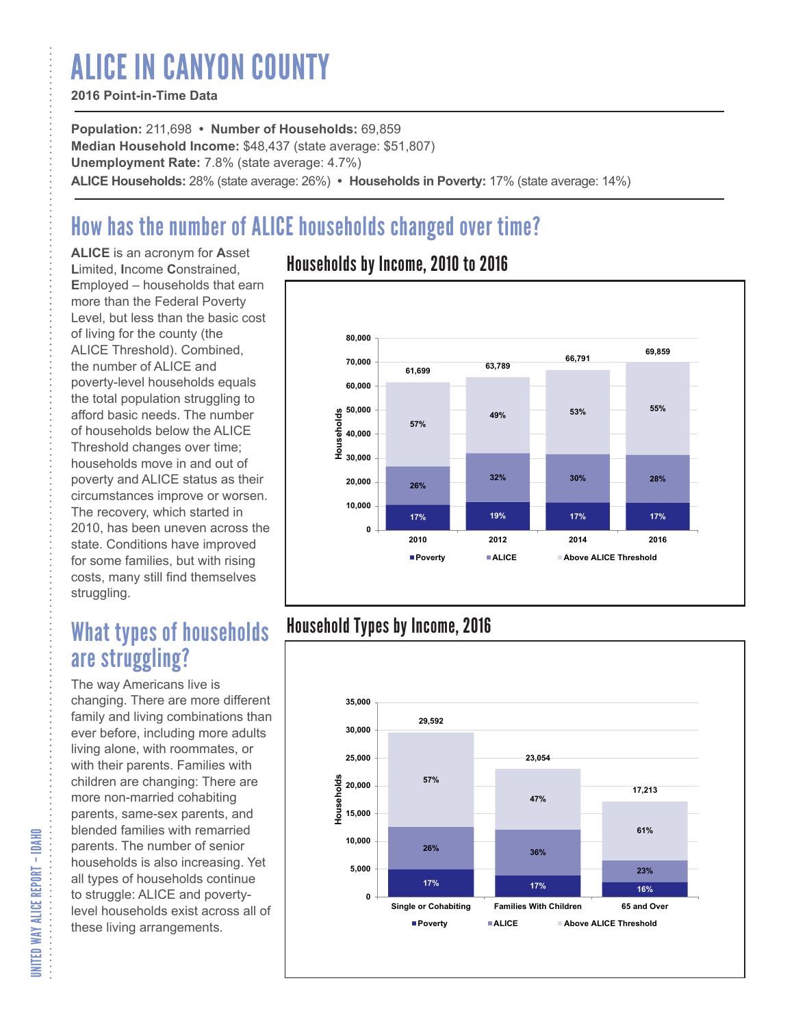# ALICE IN CANYON COUNTY

#### **2016 Point-in-Time Data**

**Population:** 211,698 **• Number of Households:** 69,859 **Median Household Income:** \$48,437 (state average: \$51,807) **Unemployment Rate:** 7.8% (state average: 4.7%) **ALICE Households:** 28% (state average: 26%) **• Households in Poverty:** 17% (state average: 14%)

# How has the number of ALICE households changed over time?

**ALICE** is an acronym for **A**sset **L**imited, **I**ncome **C**onstrained, **E**mployed – households that earn more than the Federal Poverty Level, but less than the basic cost of living for the county (the ALICE Threshold). Combined, the number of ALICE and poverty-level households equals the total population struggling to afford basic needs. The number of households below the ALICE Threshold changes over time; households move in and out of poverty and ALICE status as their circumstances improve or worsen. The recovery, which started in 2010, has been uneven across the state. Conditions have improved for some families, but with rising costs, many still find themselves struggling.

## What types of households are struggling?

The way Americans live is changing. There are more different family and living combinations than ever before, including more adults living alone, with roommates, or with their parents. Families with children are changing: There are more non-married cohabiting parents, same-sex parents, and blended families with remarried parents. The number of senior households is also increasing. Yet all types of households continue to struggle: ALICE and povertylevel households exist across all of these living arrangements.

### Households by Income, 2010 to 2016



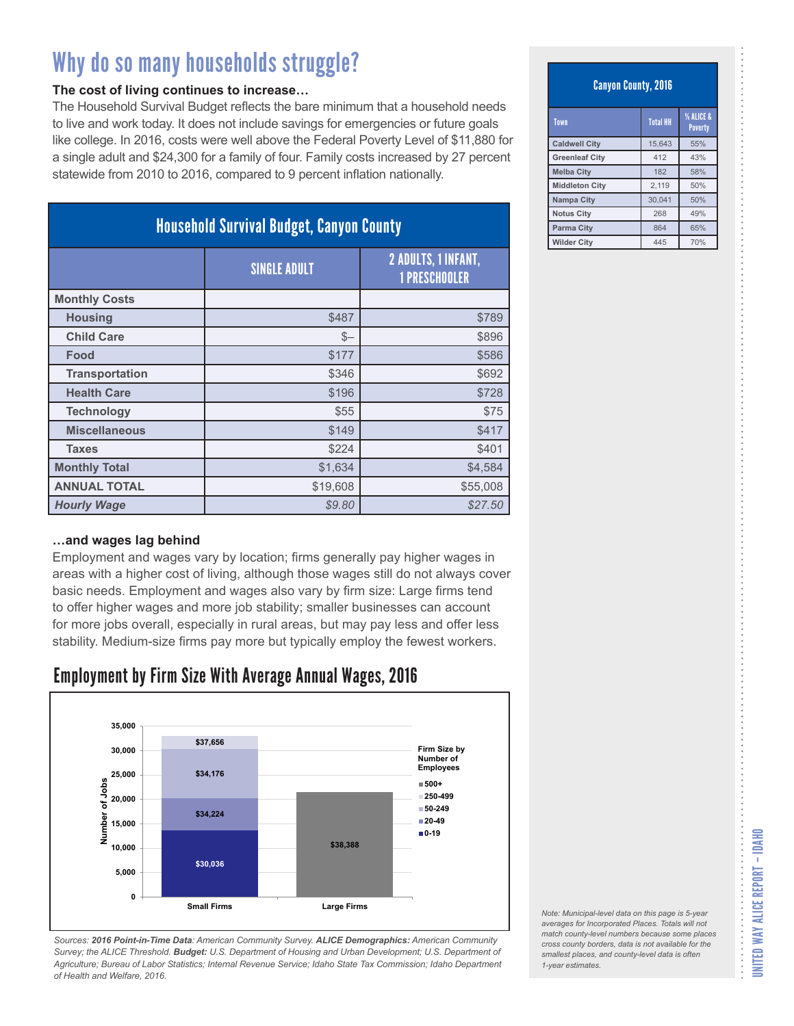#### **The cost of living continues to increase…**

The Household Survival Budget reflects the bare minimum that a household needs to live and work today. It does not include savings for emergencies or future goals like college. In 2016, costs were well above the Federal Poverty Level of \$11,880 for a single adult and \$24,300 for a family of four. Family costs increased by 27 percent statewide from 2010 to 2016, compared to 9 percent inflation nationally.

| <b>Household Survival Budget, Canyon County</b> |                     |                                                    |
|-------------------------------------------------|---------------------|----------------------------------------------------|
|                                                 | <b>SINGLE ADULT</b> | <b>2 ADULTS, 1 INFANT,</b><br><b>1 PRESCHOOLER</b> |
| <b>Monthly Costs</b>                            |                     |                                                    |
| <b>Housing</b>                                  | \$487               | \$789                                              |
| <b>Child Care</b>                               | $S-$                | \$896                                              |
| Food                                            | \$177               | \$586                                              |
| <b>Transportation</b>                           | \$346               | \$692                                              |
| <b>Health Care</b>                              | \$196               | \$728                                              |
| <b>Technology</b>                               | \$55                | \$75                                               |
| <b>Miscellaneous</b>                            | \$149               | \$417                                              |
| <b>Taxes</b>                                    | \$224               | \$401                                              |
| <b>Monthly Total</b>                            | \$1,634             | \$4,584                                            |
| <b>ANNUAL TOTAL</b>                             | \$19,608            | \$55,008                                           |
| <b>Hourly Wage</b>                              | \$9.80              | \$27.50                                            |

#### **…and wages lag behind**

Employment and wages vary by location; firms generally pay higher wages in areas with a higher cost of living, although those wages still do not always cover basic needs. Employment and wages also vary by firm size: Large firms tend to offer higher wages and more job stability; smaller businesses can account for more jobs overall, especially in rural areas, but may pay less and offer less stability. Medium-size firms pay more but typically employ the fewest workers.

### Employment by Firm Size With Average Annual Wages, 2016



*Sources: 2016 Point-in-Time Data: American Community Survey. ALICE Demographics: American Community Survey; the ALICE Threshold. Budget: U.S. Department of Housing and Urban Development; U.S. Department of Agriculture; Bureau of Labor Statistics; Internal Revenue Service; Idaho State Tax Commission; Idaho Department of Health and Welfare, 2016.*

#### Canyon County, 2016

| Town                  | <b>Total HH</b> | % ALICE &<br><b>Poverty</b> |
|-----------------------|-----------------|-----------------------------|
| <b>Caldwell City</b>  | 15,643          | 55%                         |
| <b>Greenleaf City</b> | 412             | 43%                         |
| <b>Melba City</b>     | 182             | 58%                         |
| <b>Middleton City</b> | 2,119           | 50%                         |
| Nampa City            | 30.041          | 50%                         |
| <b>Notus City</b>     | 268             | 49%                         |
| <b>Parma City</b>     | 864             | 65%                         |
| <b>Wilder City</b>    | 445             | 70%                         |

*Note: Municipal-level data on this page is 5-year averages for Incorporated Places. Totals will not match county-level numbers because some places cross county borders, data is not available for the smallest places, and county-level data is often*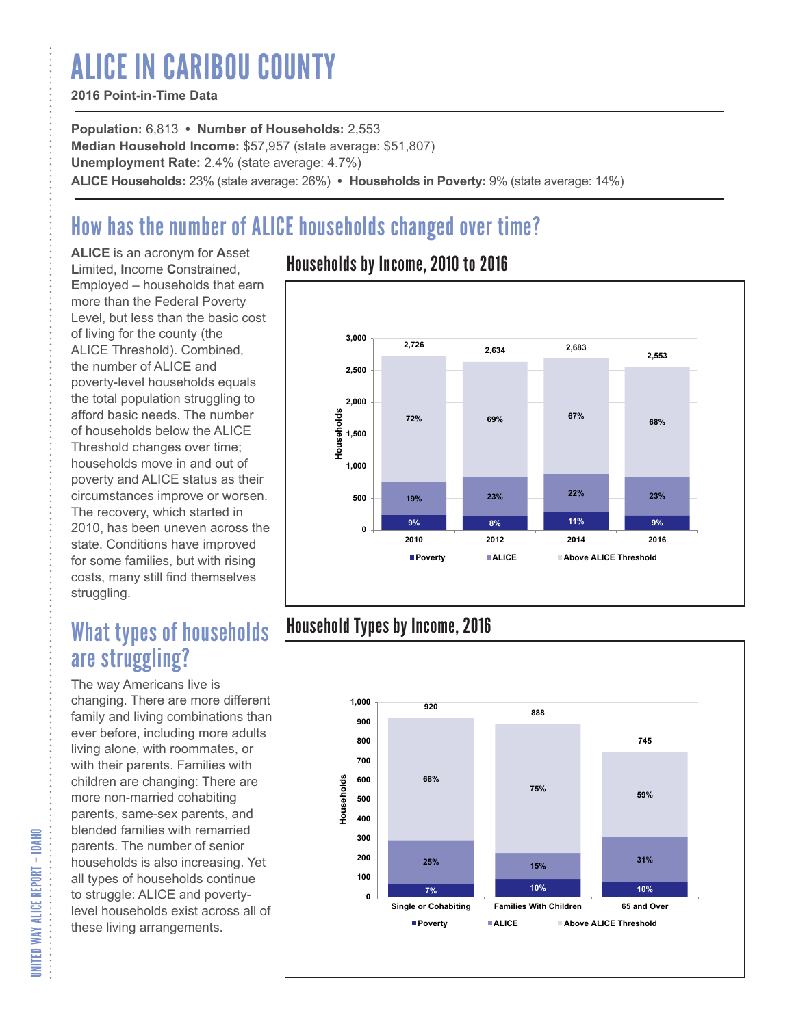# ALICE IN CARIBOU COUNTY

#### **2016 Point-in-Time Data**

**Population:** 6,813 **• Number of Households:** 2,553 **Median Household Income:** \$57,957 (state average: \$51,807) **Unemployment Rate:** 2.4% (state average: 4.7%) **ALICE Households:** 23% (state average: 26%) **• Households in Poverty:** 9% (state average: 14%)

# How has the number of ALICE households changed over time?

**ALICE** is an acronym for **A**sset **L**imited, **I**ncome **C**onstrained, **E**mployed – households that earn more than the Federal Poverty Level, but less than the basic cost of living for the county (the ALICE Threshold). Combined, the number of ALICE and poverty-level households equals the total population struggling to afford basic needs. The number of households below the ALICE Threshold changes over time; households move in and out of poverty and ALICE status as their circumstances improve or worsen. The recovery, which started in 2010, has been uneven across the state. Conditions have improved for some families, but with rising costs, many still find themselves struggling.

## What types of households are struggling?

The way Americans live is changing. There are more different family and living combinations than ever before, including more adults living alone, with roommates, or with their parents. Families with children are changing: There are more non-married cohabiting parents, same-sex parents, and blended families with remarried parents. The number of senior households is also increasing. Yet all types of households continue to struggle: ALICE and povertylevel households exist across all of these living arrangements.

### Households by Income, 2010 to 2016



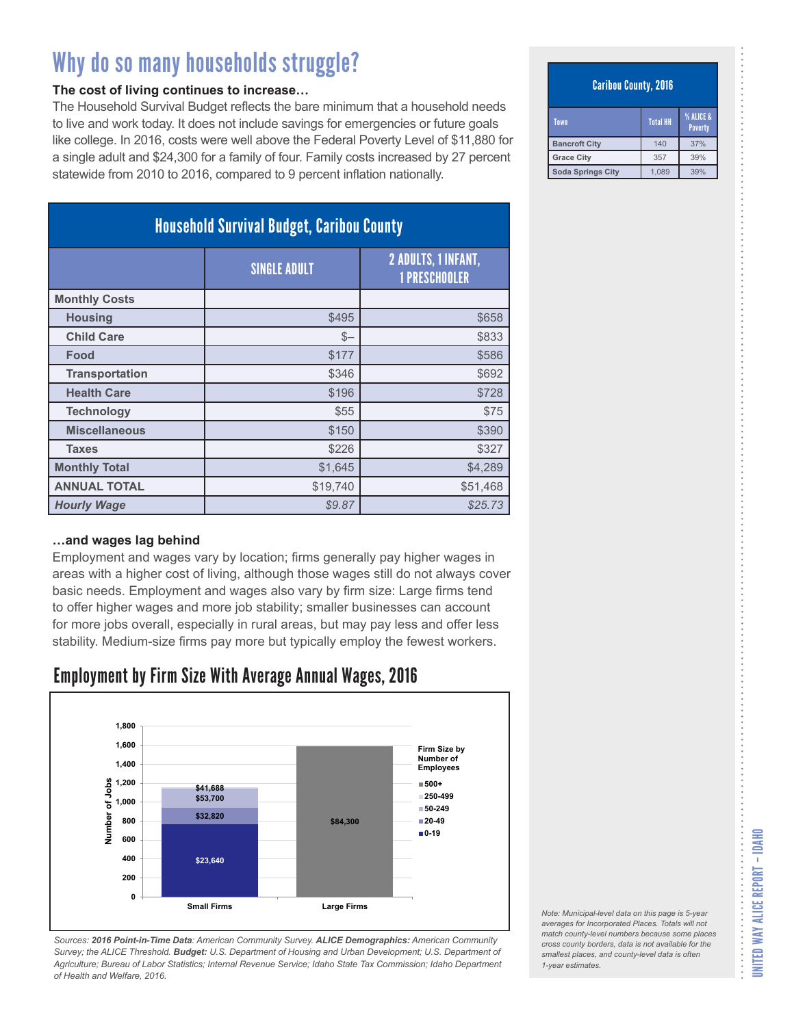#### **The cost of living continues to increase…**

The Household Survival Budget reflects the bare minimum that a household needs to live and work today. It does not include savings for emergencies or future goals like college. In 2016, costs were well above the Federal Poverty Level of \$11,880 for a single adult and \$24,300 for a family of four. Family costs increased by 27 percent statewide from 2010 to 2016, compared to 9 percent inflation nationally.

| <b>Household Survival Budget, Caribou County</b> |                     |                                                    |
|--------------------------------------------------|---------------------|----------------------------------------------------|
|                                                  | <b>SINGLE ADULT</b> | <b>2 ADULTS, 1 INFANT,</b><br><b>1 PRESCHOOLER</b> |
| <b>Monthly Costs</b>                             |                     |                                                    |
| <b>Housing</b>                                   | \$495               | \$658                                              |
| <b>Child Care</b>                                | $S-$                | \$833                                              |
| Food                                             | \$177               | \$586                                              |
| <b>Transportation</b>                            | \$346               | \$692                                              |
| <b>Health Care</b>                               | \$196               | \$728                                              |
| <b>Technology</b>                                | \$55                | \$75                                               |
| <b>Miscellaneous</b>                             | \$150               | \$390                                              |
| <b>Taxes</b>                                     | \$226               | \$327                                              |
| <b>Monthly Total</b>                             | \$1,645             | \$4,289                                            |
| <b>ANNUAL TOTAL</b>                              | \$19,740            | \$51,468                                           |
| <b>Hourly Wage</b>                               | \$9.87              | \$25.73                                            |

#### **…and wages lag behind**

Employment and wages vary by location; firms generally pay higher wages in areas with a higher cost of living, although those wages still do not always cover basic needs. Employment and wages also vary by firm size: Large firms tend to offer higher wages and more job stability; smaller businesses can account for more jobs overall, especially in rural areas, but may pay less and offer less stability. Medium-size firms pay more but typically employ the fewest workers.

### Employment by Firm Size With Average Annual Wages, 2016



*Sources: 2016 Point-in-Time Data: American Community Survey. ALICE Demographics: American Community Survey; the ALICE Threshold. Budget: U.S. Department of Housing and Urban Development; U.S. Department of Agriculture; Bureau of Labor Statistics; Internal Revenue Service; Idaho State Tax Commission; Idaho Department of Health and Welfare, 2016.*

#### Caribou County, 2016

| Town                 | <b>Total HH</b> | <b>% ALICE &amp;</b><br><b>Poverty</b> |
|----------------------|-----------------|----------------------------------------|
| <b>Bancroft City</b> | 140             | 37%                                    |
| <b>Grace City</b>    | 357             | 39%                                    |
| Soda Springs City    | 1.089           | 39%                                    |

*Note: Municipal-level data on this page is 5-year averages for Incorporated Places. Totals will not match county-level numbers because some places cross county borders, data is not available for the smallest places, and county-level data is often*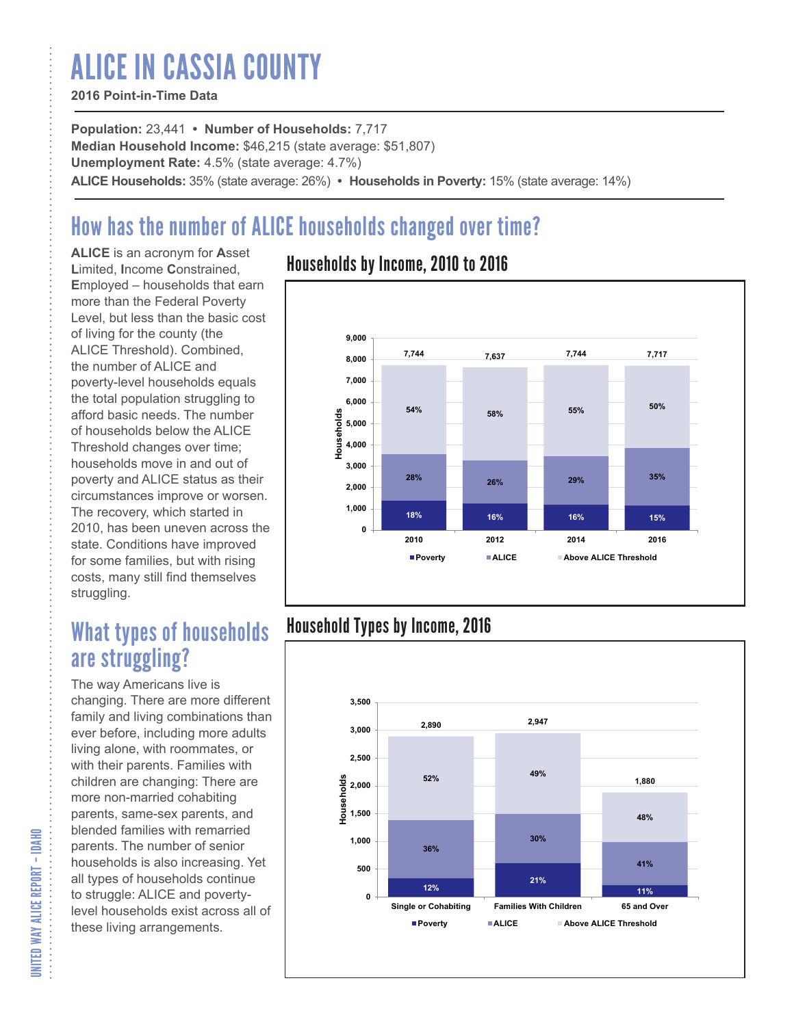# ALICE IN CASSIA COUNTY

#### **2016 Point-in-Time Data**

**Population:** 23,441 **• Number of Households:** 7,717 **Median Household Income:** \$46,215 (state average: \$51,807) **Unemployment Rate:** 4.5% (state average: 4.7%) **ALICE Households:** 35% (state average: 26%) **• Households in Poverty:** 15% (state average: 14%)

# How has the number of ALICE households changed over time?

**ALICE** is an acronym for **A**sset **L**imited, **I**ncome **C**onstrained, **E**mployed – households that earn more than the Federal Poverty Level, but less than the basic cost of living for the county (the ALICE Threshold). Combined, the number of ALICE and poverty-level households equals the total population struggling to afford basic needs. The number of households below the ALICE Threshold changes over time; households move in and out of poverty and ALICE status as their circumstances improve or worsen. The recovery, which started in 2010, has been uneven across the state. Conditions have improved for some families, but with rising costs, many still find themselves struggling.

## What types of households are struggling?

The way Americans live is changing. There are more different family and living combinations than ever before, including more adults living alone, with roommates, or with their parents. Families with children are changing: There are more non-married cohabiting parents, same-sex parents, and blended families with remarried parents. The number of senior households is also increasing. Yet all types of households continue to struggle: ALICE and povertylevel households exist across all of these living arrangements.

### Households by Income, 2010 to 2016



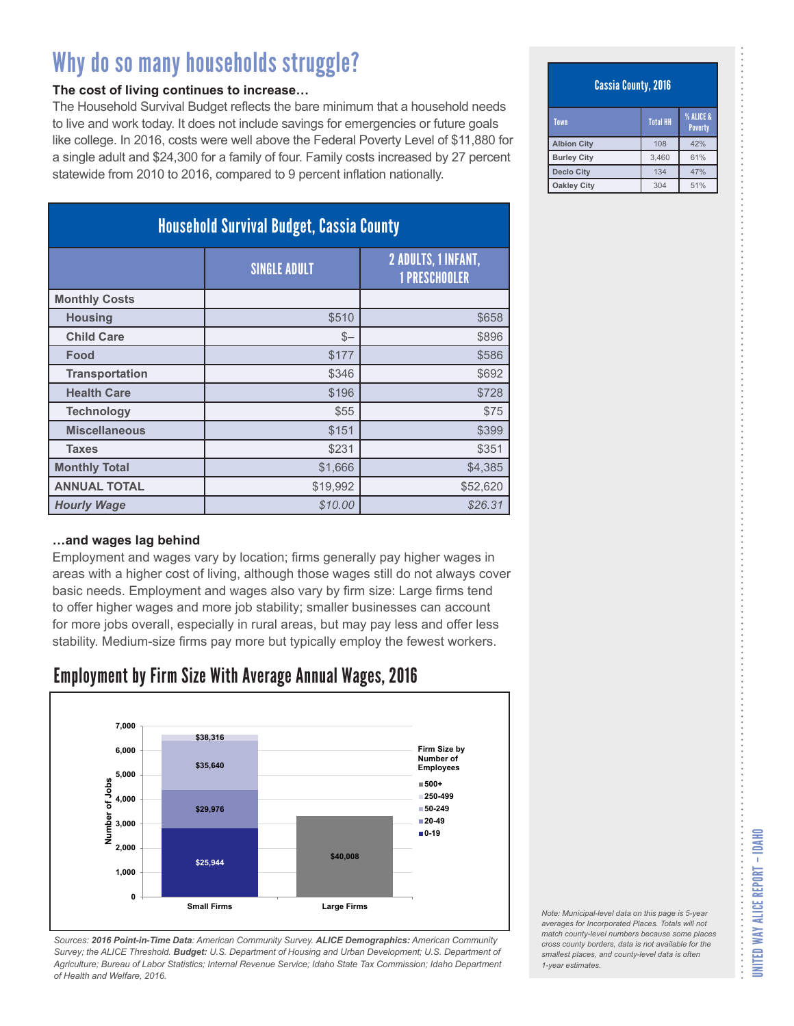#### **The cost of living continues to increase…**

The Household Survival Budget reflects the bare minimum that a household needs to live and work today. It does not include savings for emergencies or future goals like college. In 2016, costs were well above the Federal Poverty Level of \$11,880 for a single adult and \$24,300 for a family of four. Family costs increased by 27 percent statewide from 2010 to 2016, compared to 9 percent inflation nationally.

| <b>Household Survival Budget, Cassia County</b> |                     |                                                    |
|-------------------------------------------------|---------------------|----------------------------------------------------|
|                                                 | <b>SINGLE ADULT</b> | <b>2 ADULTS, 1 INFANT,</b><br><b>1 PRESCHOOLER</b> |
| <b>Monthly Costs</b>                            |                     |                                                    |
| <b>Housing</b>                                  | \$510               | \$658                                              |
| <b>Child Care</b>                               | $S-$                | \$896                                              |
| Food                                            | \$177               | \$586                                              |
| <b>Transportation</b>                           | \$346               | \$692                                              |
| <b>Health Care</b>                              | \$196               | \$728                                              |
| <b>Technology</b>                               | \$55                | \$75                                               |
| <b>Miscellaneous</b>                            | \$151               | \$399                                              |
| <b>Taxes</b>                                    | \$231               | \$351                                              |
| <b>Monthly Total</b>                            | \$1,666             | \$4,385                                            |
| <b>ANNUAL TOTAL</b>                             | \$19,992            | \$52,620                                           |
| <b>Hourly Wage</b>                              | \$10.00             | \$26.31                                            |

#### **…and wages lag behind**

Employment and wages vary by location; firms generally pay higher wages in areas with a higher cost of living, although those wages still do not always cover basic needs. Employment and wages also vary by firm size: Large firms tend to offer higher wages and more job stability; smaller businesses can account for more jobs overall, especially in rural areas, but may pay less and offer less stability. Medium-size firms pay more but typically employ the fewest workers.

### Employment by Firm Size With Average Annual Wages, 2016



*Sources: 2016 Point-in-Time Data: American Community Survey. ALICE Demographics: American Community Survey; the ALICE Threshold. Budget: U.S. Department of Housing and Urban Development; U.S. Department of Agriculture; Bureau of Labor Statistics; Internal Revenue Service; Idaho State Tax Commission; Idaho Department of Health and Welfare, 2016.*

#### Cassia County, 2016

| Town               | <b>Total HH</b> | <b>% ALICE &amp;</b><br><b>Poverty</b> |
|--------------------|-----------------|----------------------------------------|
| <b>Albion City</b> | 108             | 42%                                    |
| <b>Burley City</b> | 3,460           | 61%                                    |
| <b>Declo City</b>  | 134             | 47%                                    |
| <b>Oakley City</b> | 304             | 51%                                    |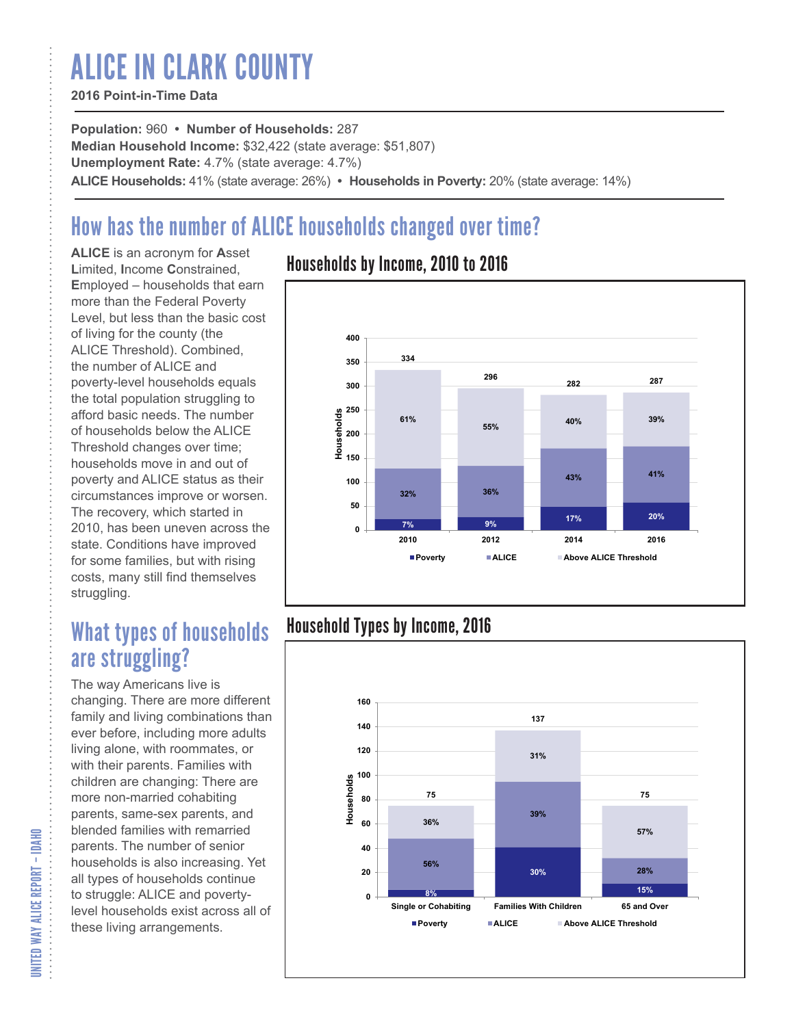# ALICE IN CLARK COUNTY

#### **2016 Point-in-Time Data**

**Population:** 960 **• Number of Households:** 287 **Median Household Income:** \$32,422 (state average: \$51,807) **Unemployment Rate:** 4.7% (state average: 4.7%) **ALICE Households:** 41% (state average: 26%) **• Households in Poverty:** 20% (state average: 14%)

# How has the number of ALICE households changed over time?

**ALICE** is an acronym for **A**sset **L**imited, **I**ncome **C**onstrained, **E**mployed – households that earn more than the Federal Poverty Level, but less than the basic cost of living for the county (the ALICE Threshold). Combined, the number of ALICE and poverty-level households equals the total population struggling to afford basic needs. The number of households below the ALICE Threshold changes over time; households move in and out of poverty and ALICE status as their circumstances improve or worsen. The recovery, which started in 2010, has been uneven across the state. Conditions have improved for some families, but with rising costs, many still find themselves struggling.

## What types of households are struggling?

The way Americans live is changing. There are more different family and living combinations than ever before, including more adults living alone, with roommates, or with their parents. Families with children are changing: There are more non-married cohabiting parents, same-sex parents, and blended families with remarried parents. The number of senior households is also increasing. Yet all types of households continue to struggle: ALICE and povertylevel households exist across all of these living arrangements.

### Households by Income, 2010 to 2016



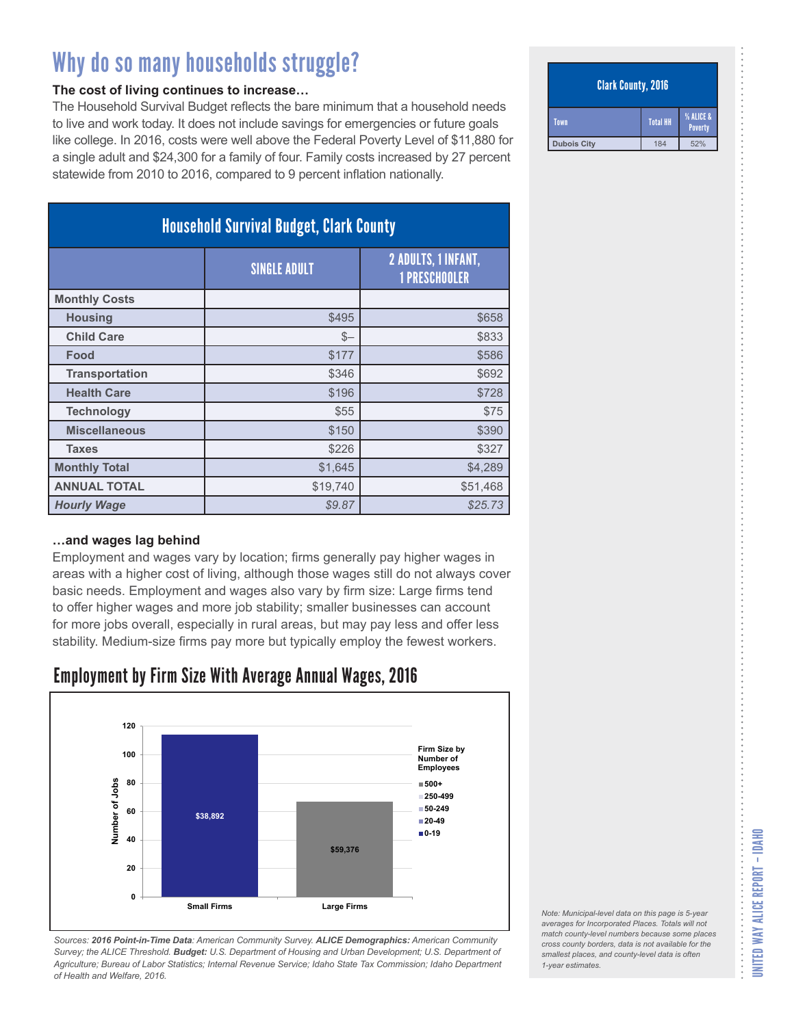#### **The cost of living continues to increase…**

The Household Survival Budget reflects the bare minimum that a household needs to live and work today. It does not include savings for emergencies or future goals like college. In 2016, costs were well above the Federal Poverty Level of \$11,880 for a single adult and \$24,300 for a family of four. Family costs increased by 27 percent statewide from 2010 to 2016, compared to 9 percent inflation nationally.

| <b>Household Survival Budget, Clark County</b> |                     |                                                    |
|------------------------------------------------|---------------------|----------------------------------------------------|
|                                                | <b>SINGLE ADULT</b> | <b>2 ADULTS, 1 INFANT,</b><br><b>1 PRESCHOOLER</b> |
| <b>Monthly Costs</b>                           |                     |                                                    |
| <b>Housing</b>                                 | \$495               | \$658                                              |
| <b>Child Care</b>                              | $S-$                | \$833                                              |
| Food                                           | \$177               | \$586                                              |
| <b>Transportation</b>                          | \$346               | \$692                                              |
| <b>Health Care</b>                             | \$196               | \$728                                              |
| <b>Technology</b>                              | \$55                | \$75                                               |
| <b>Miscellaneous</b>                           | \$150               | \$390                                              |
| <b>Taxes</b>                                   | \$226               | \$327                                              |
| <b>Monthly Total</b>                           | \$1,645             | \$4,289                                            |
| <b>ANNUAL TOTAL</b>                            | \$19,740            | \$51,468                                           |
| <b>Hourly Wage</b>                             | \$9.87              | \$25.73                                            |

#### **…and wages lag behind**

Employment and wages vary by location; firms generally pay higher wages in areas with a higher cost of living, although those wages still do not always cover basic needs. Employment and wages also vary by firm size: Large firms tend to offer higher wages and more job stability; smaller businesses can account for more jobs overall, especially in rural areas, but may pay less and offer less stability. Medium-size firms pay more but typically employ the fewest workers.

### Employment by Firm Size With Average Annual Wages, 2016



*Sources: 2016 Point-in-Time Data: American Community Survey. ALICE Demographics: American Community Survey; the ALICE Threshold. Budget: U.S. Department of Housing and Urban Development; U.S. Department of Agriculture; Bureau of Labor Statistics; Internal Revenue Service; Idaho State Tax Commission; Idaho Department of Health and Welfare, 2016.*

#### Clark County, 2016

| Town               | <b>Total HH</b> | % ALICE &<br>Poverty |
|--------------------|-----------------|----------------------|
| <b>Dubois City</b> | 184             | 52%                  |

| Note: Municipal-level data on this page is 5-year   |
|-----------------------------------------------------|
| averages for Incorporated Places. Totals will not   |
| match county-level numbers because some places      |
| cross county borders, data is not available for the |
| smallest places, and county-level data is often     |
| 1-year estimates.                                   |
|                                                     |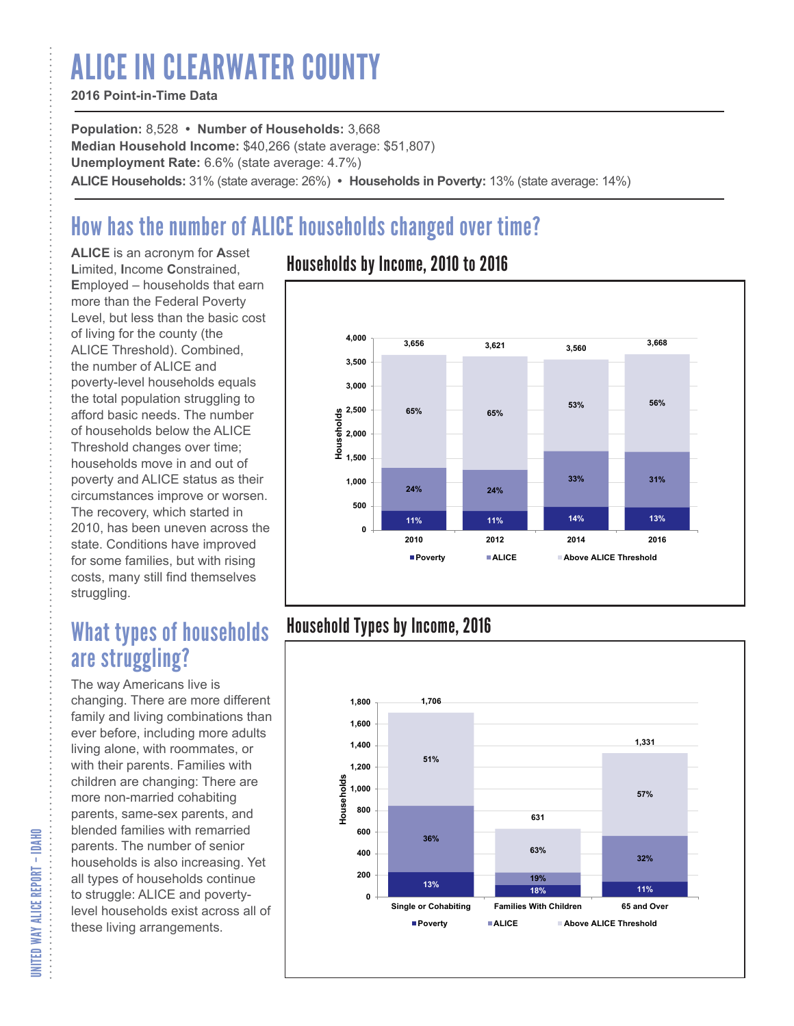# ALICE IN CLEARWATER COUNTY

#### **2016 Point-in-Time Data**

**Population:** 8,528 **• Number of Households:** 3,668 **Median Household Income:** \$40,266 (state average: \$51,807) **Unemployment Rate:** 6.6% (state average: 4.7%) **ALICE Households:** 31% (state average: 26%) **• Households in Poverty:** 13% (state average: 14%)

# How has the number of ALICE households changed over time?

**ALICE** is an acronym for **A**sset **L**imited, **I**ncome **C**onstrained, **E**mployed – households that earn more than the Federal Poverty Level, but less than the basic cost of living for the county (the ALICE Threshold). Combined, the number of ALICE and poverty-level households equals the total population struggling to afford basic needs. The number of households below the ALICE Threshold changes over time; households move in and out of poverty and ALICE status as their circumstances improve or worsen. The recovery, which started in 2010, has been uneven across the state. Conditions have improved for some families, but with rising costs, many still find themselves struggling.

## What types of households are struggling?

The way Americans live is changing. There are more different family and living combinations than ever before, including more adults living alone, with roommates, or with their parents. Families with children are changing: There are more non-married cohabiting parents, same-sex parents, and blended families with remarried parents. The number of senior households is also increasing. Yet all types of households continue to struggle: ALICE and povertylevel households exist across all of these living arrangements.

### Households by Income, 2010 to 2016



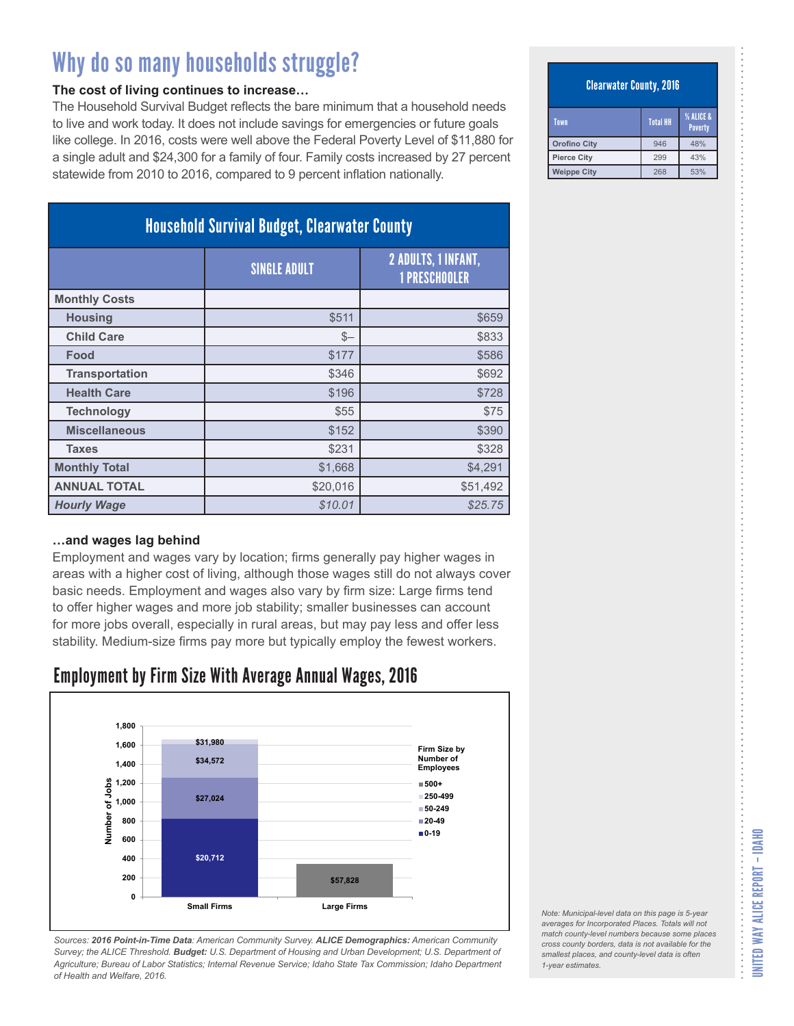#### **The cost of living continues to increase…**

The Household Survival Budget reflects the bare minimum that a household needs to live and work today. It does not include savings for emergencies or future goals like college. In 2016, costs were well above the Federal Poverty Level of \$11,880 for a single adult and \$24,300 for a family of four. Family costs increased by 27 percent statewide from 2010 to 2016, compared to 9 percent inflation nationally.

| <b>Household Survival Budget, Clearwater County</b> |                     |                                             |  |
|-----------------------------------------------------|---------------------|---------------------------------------------|--|
|                                                     | <b>SINGLE ADULT</b> | 2 ADULTS, 1 INFANT,<br><b>1 PRESCHOOLER</b> |  |
| <b>Monthly Costs</b>                                |                     |                                             |  |
| <b>Housing</b>                                      | \$511               | \$659                                       |  |
| <b>Child Care</b>                                   | $S-$                | \$833                                       |  |
| Food                                                | \$177               | \$586                                       |  |
| <b>Transportation</b>                               | \$346               | \$692                                       |  |
| <b>Health Care</b>                                  | \$196               | \$728                                       |  |
| <b>Technology</b>                                   | \$55                | \$75                                        |  |
| <b>Miscellaneous</b>                                | \$152               | \$390                                       |  |
| <b>Taxes</b>                                        | \$231               | \$328                                       |  |
| <b>Monthly Total</b>                                | \$1,668             | \$4,291                                     |  |
| <b>ANNUAL TOTAL</b>                                 | \$20,016            | \$51,492                                    |  |
| <b>Hourly Wage</b>                                  | \$10.01             | \$25.75                                     |  |

#### **…and wages lag behind**

Employment and wages vary by location; firms generally pay higher wages in areas with a higher cost of living, although those wages still do not always cover basic needs. Employment and wages also vary by firm size: Large firms tend to offer higher wages and more job stability; smaller businesses can account for more jobs overall, especially in rural areas, but may pay less and offer less stability. Medium-size firms pay more but typically employ the fewest workers.

### Employment by Firm Size With Average Annual Wages, 2016



*Sources: 2016 Point-in-Time Data: American Community Survey. ALICE Demographics: American Community Survey; the ALICE Threshold. Budget: U.S. Department of Housing and Urban Development; U.S. Department of Agriculture; Bureau of Labor Statistics; Internal Revenue Service; Idaho State Tax Commission; Idaho Department of Health and Welfare, 2016.*

#### Clearwater County, 2016

| Town                | <b>Total HH</b> | <b>% ALICE &amp;</b><br><b>Poverty</b> |
|---------------------|-----------------|----------------------------------------|
| <b>Orofino City</b> | 946             | 48%                                    |
| <b>Pierce City</b>  | 299             | 43%                                    |
| <b>Weippe City</b>  | 268             | 53%                                    |

*Note: Municipal-level data on this page is 5-year averages for Incorporated Places. Totals will not match county-level numbers because some places cross county borders, data is not available for the smallest places, and county-level data is often*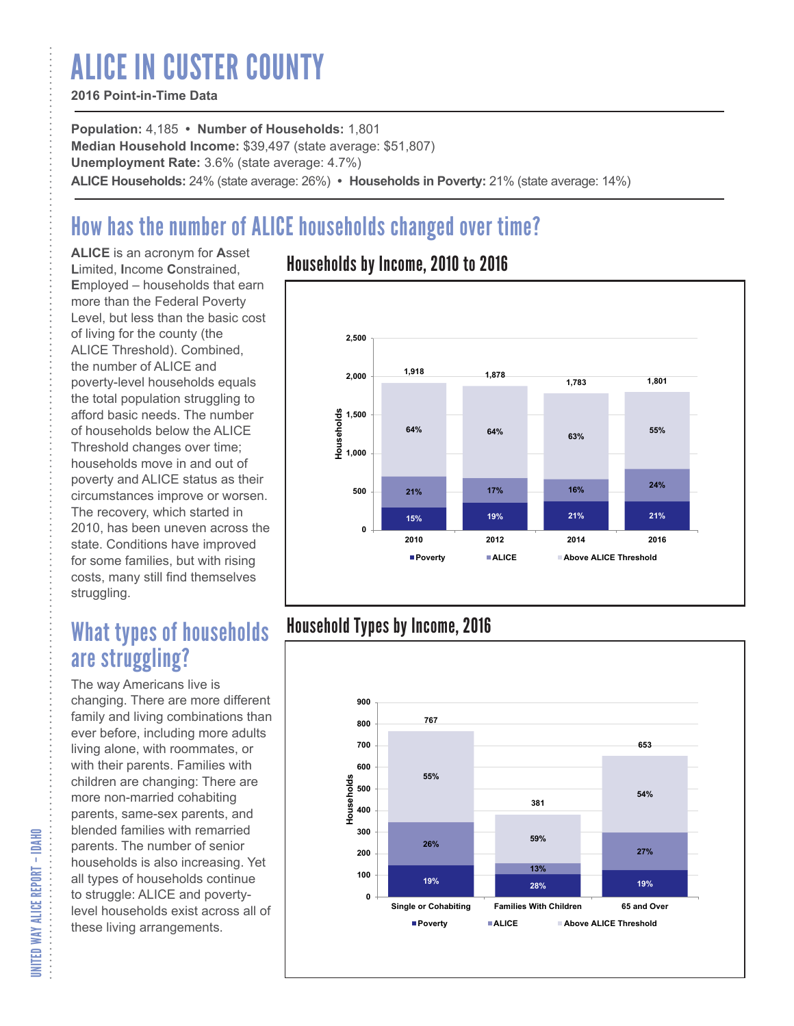# ALICE IN CUSTER COUNTY

#### **2016 Point-in-Time Data**

**Population:** 4,185 **• Number of Households:** 1,801 **Median Household Income:** \$39,497 (state average: \$51,807) **Unemployment Rate:** 3.6% (state average: 4.7%) **ALICE Households:** 24% (state average: 26%) **• Households in Poverty:** 21% (state average: 14%)

## How has the number of ALICE households changed over time?

**ALICE** is an acronym for **A**sset **L**imited, **I**ncome **C**onstrained, **E**mployed – households that earn more than the Federal Poverty Level, but less than the basic cost of living for the county (the ALICE Threshold). Combined, the number of ALICE and poverty-level households equals the total population struggling to afford basic needs. The number of households below the ALICE Threshold changes over time; households move in and out of poverty and ALICE status as their circumstances improve or worsen. The recovery, which started in 2010, has been uneven across the state. Conditions have improved for some families, but with rising costs, many still find themselves struggling.

## What types of households are struggling?

The way Americans live is changing. There are more different family and living combinations than ever before, including more adults living alone, with roommates, or with their parents. Families with children are changing: There are more non-married cohabiting parents, same-sex parents, and blended families with remarried parents. The number of senior households is also increasing. Yet all types of households continue to struggle: ALICE and povertylevel households exist across all of these living arrangements.

### Households by Income, 2010 to 2016



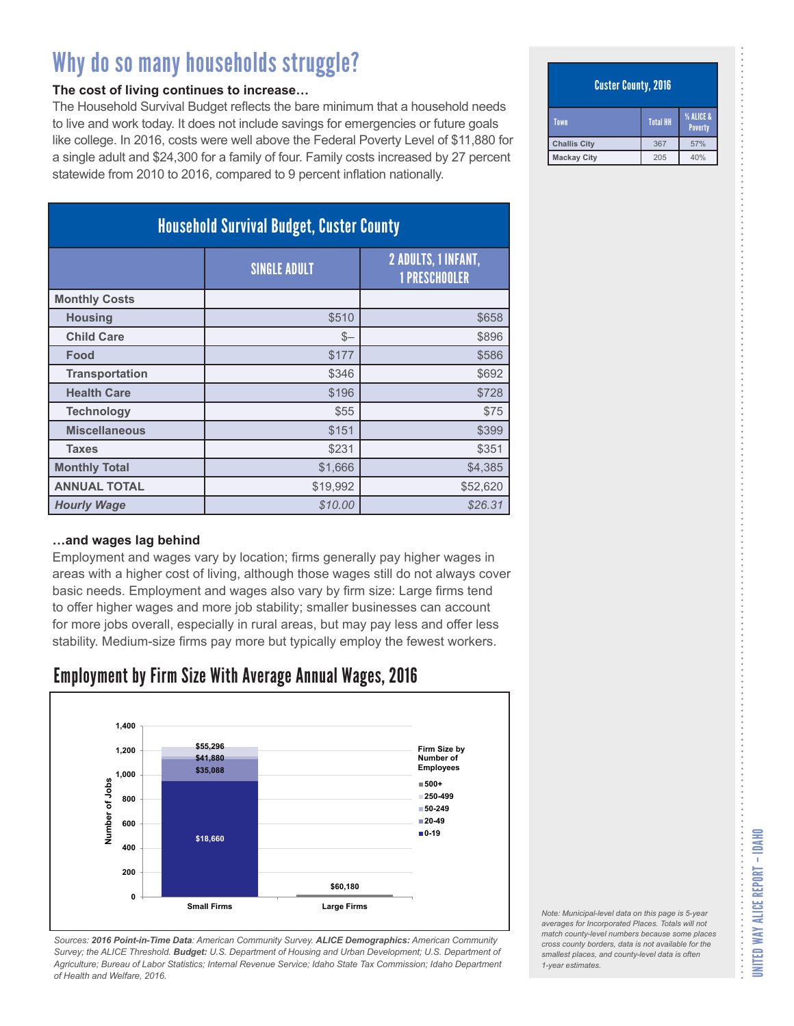#### **The cost of living continues to increase…**

The Household Survival Budget reflects the bare minimum that a household needs to live and work today. It does not include savings for emergencies or future goals like college. In 2016, costs were well above the Federal Poverty Level of \$11,880 for a single adult and \$24,300 for a family of four. Family costs increased by 27 percent statewide from 2010 to 2016, compared to 9 percent inflation nationally.

| <b>Household Survival Budget, Custer County</b> |                     |                                             |
|-------------------------------------------------|---------------------|---------------------------------------------|
|                                                 | <b>SINGLE ADULT</b> | 2 ADULTS, 1 INFANT,<br><b>1 PRESCHOOLER</b> |
| <b>Monthly Costs</b>                            |                     |                                             |
| <b>Housing</b>                                  | \$510               | \$658                                       |
| <b>Child Care</b>                               | $S-$                | \$896                                       |
| Food                                            | \$177               | \$586                                       |
| <b>Transportation</b>                           | \$346               | \$692                                       |
| <b>Health Care</b>                              | \$196               | \$728                                       |
| <b>Technology</b>                               | \$55                | \$75                                        |
| <b>Miscellaneous</b>                            | \$151               | \$399                                       |
| <b>Taxes</b>                                    | \$231               | \$351                                       |
| <b>Monthly Total</b>                            | \$1,666             | \$4,385                                     |
| <b>ANNUAL TOTAL</b>                             | \$19,992            | \$52,620                                    |
| <b>Hourly Wage</b>                              | \$10.00             | \$26.31                                     |

#### **…and wages lag behind**

Employment and wages vary by location; firms generally pay higher wages in areas with a higher cost of living, although those wages still do not always cover basic needs. Employment and wages also vary by firm size: Large firms tend to offer higher wages and more job stability; smaller businesses can account for more jobs overall, especially in rural areas, but may pay less and offer less stability. Medium-size firms pay more but typically employ the fewest workers.

### Employment by Firm Size With Average Annual Wages, 2016



*Sources: 2016 Point-in-Time Data: American Community Survey. ALICE Demographics: American Community Survey; the ALICE Threshold. Budget: U.S. Department of Housing and Urban Development; U.S. Department of Agriculture; Bureau of Labor Statistics; Internal Revenue Service; Idaho State Tax Commission; Idaho Department of Health and Welfare, 2016.*

#### Custer County, 2016

| Town                | % ALICE &<br><b>Total HH</b><br>Poverty |     |
|---------------------|-----------------------------------------|-----|
| <b>Challis City</b> | 367                                     | 57% |
| <b>Mackay City</b>  | 205                                     | 40% |

*Note: Municipal-level data on this page is 5-year averages for Incorporated Places. Totals will not match county-level numbers because some places cross county borders, data is not available for the smallest places, and county-level data is often*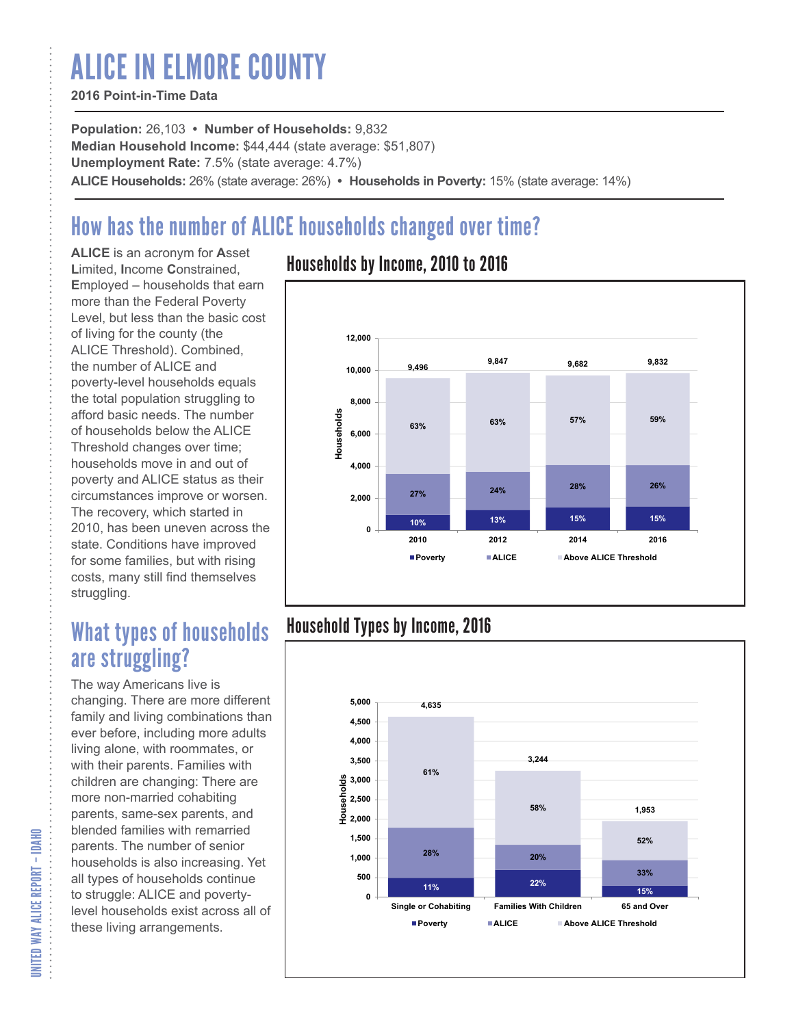# ALICE IN ELMORE COUNTY

#### **2016 Point-in-Time Data**

**Population:** 26,103 **• Number of Households:** 9,832 **Median Household Income:** \$44,444 (state average: \$51,807) **Unemployment Rate:** 7.5% (state average: 4.7%) **ALICE Households:** 26% (state average: 26%) **• Households in Poverty:** 15% (state average: 14%)

## How has the number of ALICE households changed over time?

**ALICE** is an acronym for **A**sset **L**imited, **I**ncome **C**onstrained, **E**mployed – households that earn more than the Federal Poverty Level, but less than the basic cost of living for the county (the ALICE Threshold). Combined, the number of ALICE and poverty-level households equals the total population struggling to afford basic needs. The number of households below the ALICE Threshold changes over time; households move in and out of poverty and ALICE status as their circumstances improve or worsen. The recovery, which started in 2010, has been uneven across the state. Conditions have improved for some families, but with rising costs, many still find themselves struggling.

## What types of households are struggling?

The way Americans live is changing. There are more different family and living combinations than ever before, including more adults living alone, with roommates, or with their parents. Families with children are changing: There are more non-married cohabiting parents, same-sex parents, and blended families with remarried parents. The number of senior households is also increasing. Yet all types of households continue to struggle: ALICE and povertylevel households exist across all of these living arrangements.

### Households by Income, 2010 to 2016



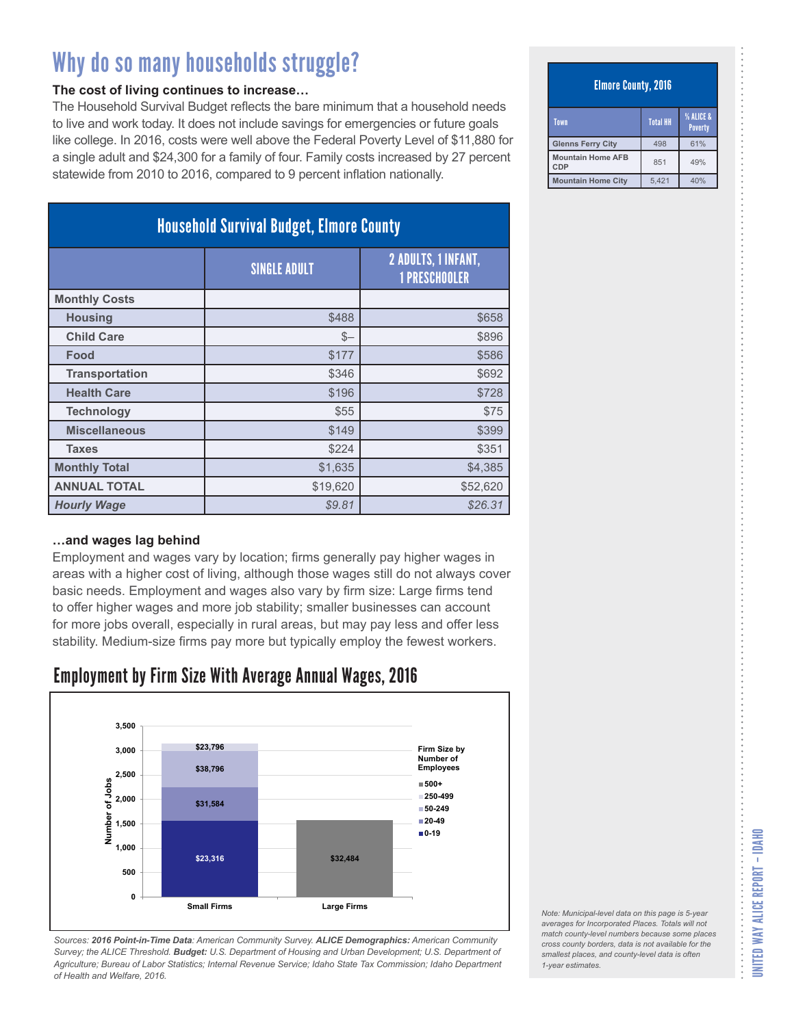#### **The cost of living continues to increase…**

The Household Survival Budget reflects the bare minimum that a household needs to live and work today. It does not include savings for emergencies or future goals like college. In 2016, costs were well above the Federal Poverty Level of \$11,880 for a single adult and \$24,300 for a family of four. Family costs increased by 27 percent statewide from 2010 to 2016, compared to 9 percent inflation nationally.

| <b>Household Survival Budget, Elmore County</b> |                     |                                                    |
|-------------------------------------------------|---------------------|----------------------------------------------------|
|                                                 | <b>SINGLE ADULT</b> | <b>2 ADULTS, 1 INFANT,</b><br><b>1 PRESCHOOLER</b> |
| <b>Monthly Costs</b>                            |                     |                                                    |
| <b>Housing</b>                                  | \$488               | \$658                                              |
| <b>Child Care</b>                               | $S-$                | \$896                                              |
| Food                                            | \$177               | \$586                                              |
| <b>Transportation</b>                           | \$346               | \$692                                              |
| <b>Health Care</b>                              | \$196               | \$728                                              |
| <b>Technology</b>                               | \$55                | \$75                                               |
| <b>Miscellaneous</b>                            | \$149               | \$399                                              |
| <b>Taxes</b>                                    | \$224               | \$351                                              |
| <b>Monthly Total</b>                            | \$1,635             | \$4,385                                            |
| <b>ANNUAL TOTAL</b>                             | \$19,620            | \$52,620                                           |
| <b>Hourly Wage</b>                              | \$9.81              | \$26.31                                            |

#### **…and wages lag behind**

Employment and wages vary by location; firms generally pay higher wages in areas with a higher cost of living, although those wages still do not always cover basic needs. Employment and wages also vary by firm size: Large firms tend to offer higher wages and more job stability; smaller businesses can account for more jobs overall, especially in rural areas, but may pay less and offer less stability. Medium-size firms pay more but typically employ the fewest workers.

### Employment by Firm Size With Average Annual Wages, 2016



*Sources: 2016 Point-in-Time Data: American Community Survey. ALICE Demographics: American Community Survey; the ALICE Threshold. Budget: U.S. Department of Housing and Urban Development; U.S. Department of Agriculture; Bureau of Labor Statistics; Internal Revenue Service; Idaho State Tax Commission; Idaho Department of Health and Welfare, 2016.*

#### Elmore County, 2016

| Town                            | <b>Total HH</b> | % ALICE &<br><b>Poverty</b> |
|---------------------------------|-----------------|-----------------------------|
| <b>Glenns Ferry City</b>        | 498             | 61%                         |
| <b>Mountain Home AFB</b><br>CDP | 851             | 49%                         |
| <b>Mountain Home City</b>       | 5.421           | 40%                         |

| Note: Municipal-level data on this page is 5-year                                                                                                                                                                                  |  |
|------------------------------------------------------------------------------------------------------------------------------------------------------------------------------------------------------------------------------------|--|
| averages for Incorporated Places. Totals will not<br>match county-level numbers because some places<br>cross county borders, data is not available for the<br>smallest places, and county-level data is often<br>1-year estimates. |  |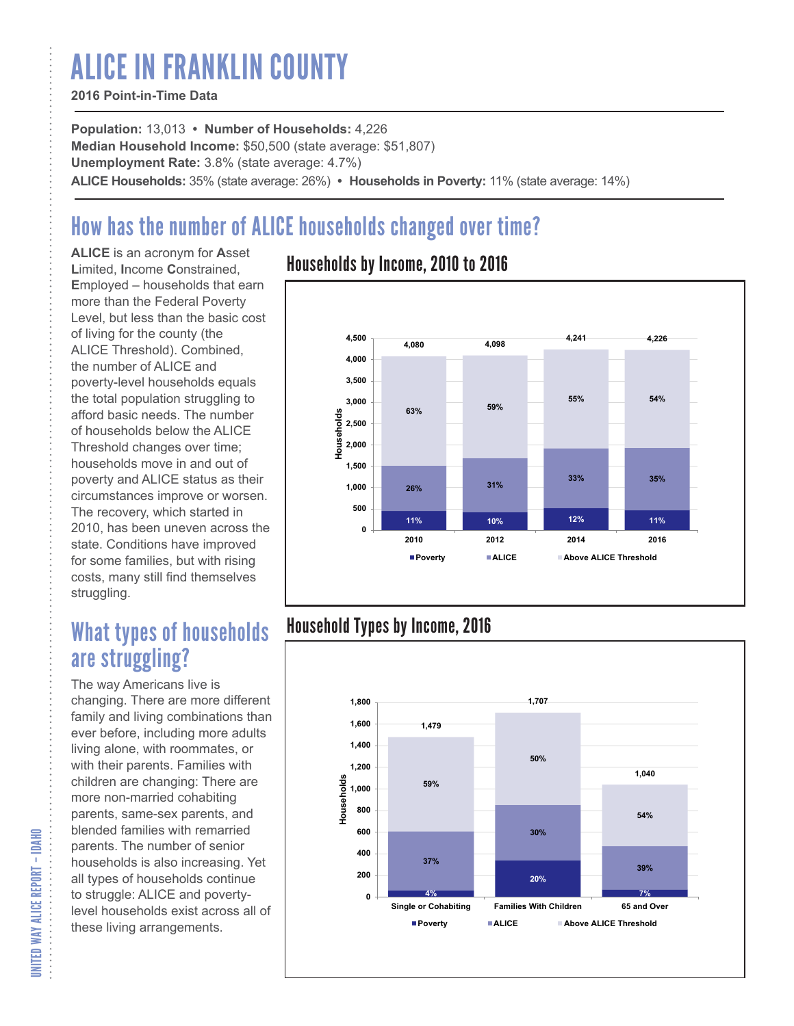# ALICE IN FRANKLIN COUNTY

#### **2016 Point-in-Time Data**

**Population:** 13,013 **• Number of Households:** 4,226 **Median Household Income:** \$50,500 (state average: \$51,807) **Unemployment Rate:** 3.8% (state average: 4.7%) **ALICE Households:** 35% (state average: 26%) **• Households in Poverty:** 11% (state average: 14%)

## How has the number of ALICE households changed over time?

**ALICE** is an acronym for **A**sset **L**imited, **I**ncome **C**onstrained, **E**mployed – households that earn more than the Federal Poverty Level, but less than the basic cost of living for the county (the ALICE Threshold). Combined, the number of ALICE and poverty-level households equals the total population struggling to afford basic needs. The number of households below the ALICE Threshold changes over time; households move in and out of poverty and ALICE status as their circumstances improve or worsen. The recovery, which started in 2010, has been uneven across the state. Conditions have improved for some families, but with rising costs, many still find themselves struggling.

## What types of households are struggling?

The way Americans live is changing. There are more different family and living combinations than ever before, including more adults living alone, with roommates, or with their parents. Families with children are changing: There are more non-married cohabiting parents, same-sex parents, and blended families with remarried parents. The number of senior households is also increasing. Yet all types of households continue to struggle: ALICE and povertylevel households exist across all of these living arrangements.

### Households by Income, 2010 to 2016



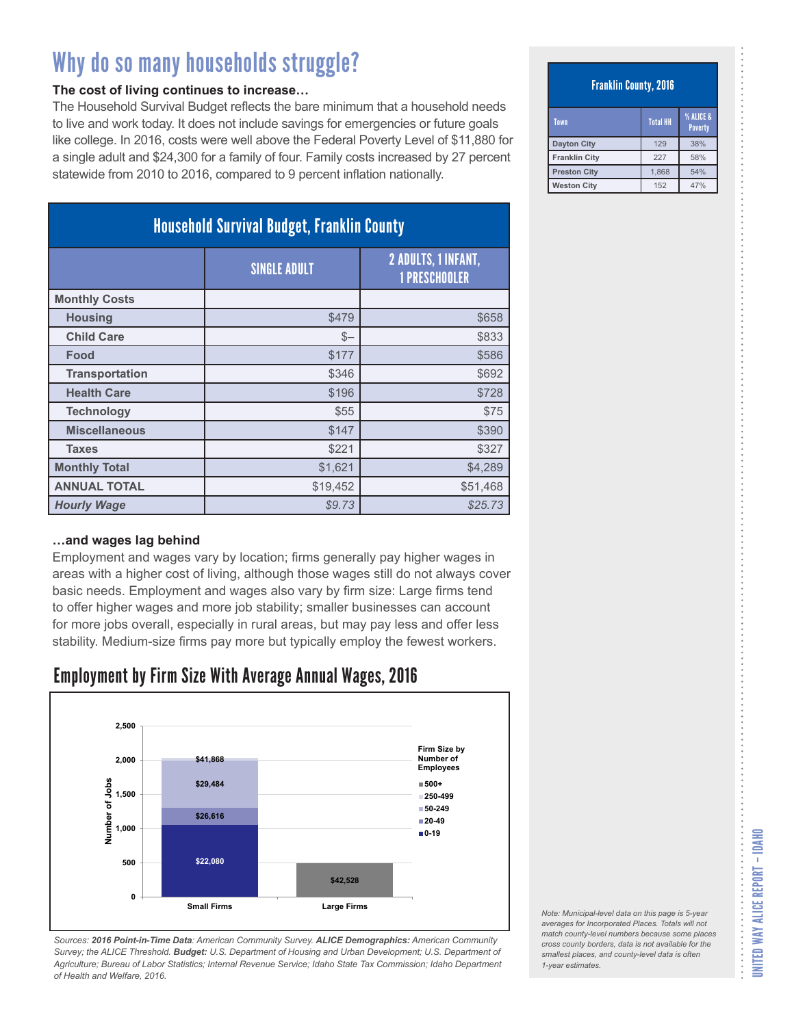#### **The cost of living continues to increase…**

The Household Survival Budget reflects the bare minimum that a household needs to live and work today. It does not include savings for emergencies or future goals like college. In 2016, costs were well above the Federal Poverty Level of \$11,880 for a single adult and \$24,300 for a family of four. Family costs increased by 27 percent statewide from 2010 to 2016, compared to 9 percent inflation nationally.

| <b>Household Survival Budget, Franklin County</b> |                     |                                                    |
|---------------------------------------------------|---------------------|----------------------------------------------------|
|                                                   | <b>SINGLE ADULT</b> | <b>2 ADULTS, 1 INFANT,</b><br><b>1 PRESCHOOLER</b> |
| <b>Monthly Costs</b>                              |                     |                                                    |
| <b>Housing</b>                                    | \$479               | \$658                                              |
| <b>Child Care</b>                                 | $S-$                | \$833                                              |
| Food                                              | \$177               | \$586                                              |
| <b>Transportation</b>                             | \$346               | \$692                                              |
| <b>Health Care</b>                                | \$196               | \$728                                              |
| <b>Technology</b>                                 | \$55                | \$75                                               |
| <b>Miscellaneous</b>                              | \$147               | \$390                                              |
| <b>Taxes</b>                                      | \$221               | \$327                                              |
| <b>Monthly Total</b>                              | \$1,621             | \$4,289                                            |
| <b>ANNUAL TOTAL</b>                               | \$19,452            | \$51,468                                           |
| <b>Hourly Wage</b>                                | \$9.73              | \$25.73                                            |

#### **…and wages lag behind**

Employment and wages vary by location; firms generally pay higher wages in areas with a higher cost of living, although those wages still do not always cover basic needs. Employment and wages also vary by firm size: Large firms tend to offer higher wages and more job stability; smaller businesses can account for more jobs overall, especially in rural areas, but may pay less and offer less stability. Medium-size firms pay more but typically employ the fewest workers.

### Employment by Firm Size With Average Annual Wages, 2016



*Sources: 2016 Point-in-Time Data: American Community Survey. ALICE Demographics: American Community Survey; the ALICE Threshold. Budget: U.S. Department of Housing and Urban Development; U.S. Department of Agriculture; Bureau of Labor Statistics; Internal Revenue Service; Idaho State Tax Commission; Idaho Department of Health and Welfare, 2016.*

#### Franklin County, 2016

| Town                 | <b>Total HH</b> | % ALICE &<br><b>Poverty</b> |
|----------------------|-----------------|-----------------------------|
| <b>Dayton City</b>   | 129             | 38%                         |
| <b>Franklin City</b> | 227             | 58%                         |
| <b>Preston City</b>  | 1.868           | 54%                         |
| <b>Weston City</b>   | 152             | 47%                         |

| Note: Municipal-level data on this page is 5-year   |
|-----------------------------------------------------|
| averages for Incorporated Places. Totals will not   |
| match county-level numbers because some places      |
| cross county borders, data is not available for the |
| smallest places, and county-level data is often     |
| 1-vear estimates.                                   |
|                                                     |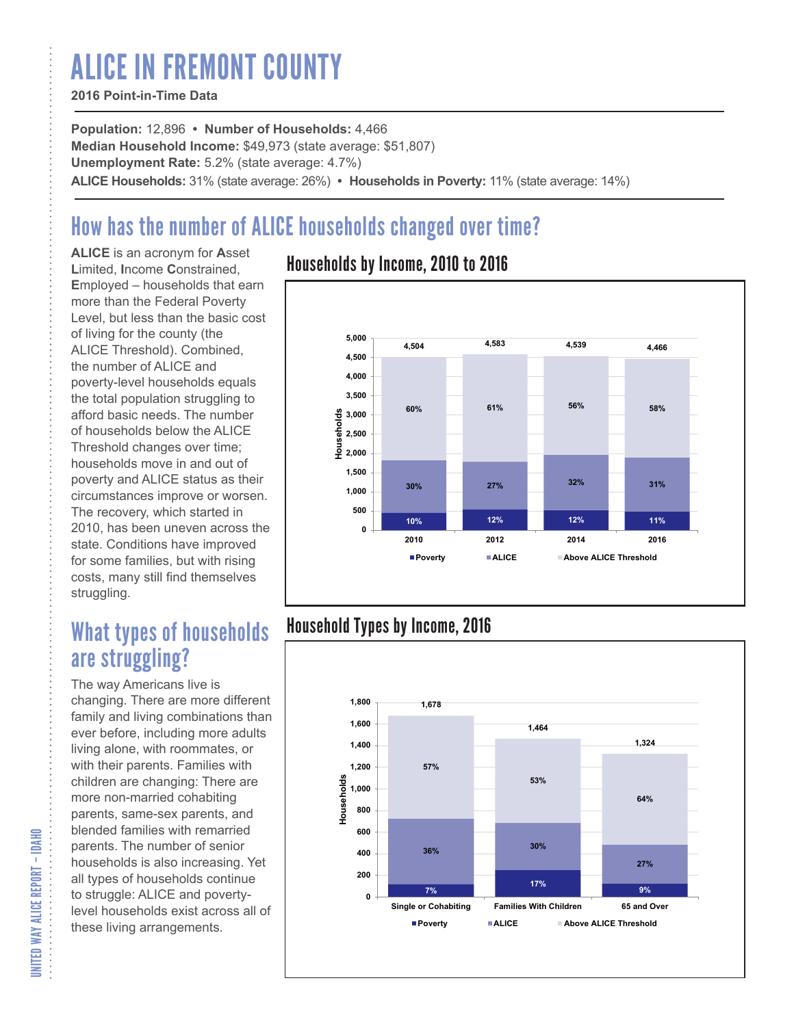# ALICE IN FREMONT COUNTY

#### **2016 Point-in-Time Data**

**Population:** 12,896 **• Number of Households:** 4,466 **Median Household Income:** \$49,973 (state average: \$51,807) **Unemployment Rate:** 5.2% (state average: 4.7%) **ALICE Households:** 31% (state average: 26%) **• Households in Poverty:** 11% (state average: 14%)

## How has the number of ALICE households changed over time?

**ALICE** is an acronym for **A**sset **L**imited, **I**ncome **C**onstrained, **E**mployed – households that earn more than the Federal Poverty Level, but less than the basic cost of living for the county (the ALICE Threshold). Combined, the number of ALICE and poverty-level households equals the total population struggling to afford basic needs. The number of households below the ALICE Threshold changes over time; households move in and out of poverty and ALICE status as their circumstances improve or worsen. The recovery, which started in 2010, has been uneven across the state. Conditions have improved for some families, but with rising costs, many still find themselves struggling.

## What types of households are struggling?

The way Americans live is changing. There are more different family and living combinations than ever before, including more adults living alone, with roommates, or with their parents. Families with children are changing: There are more non-married cohabiting parents, same-sex parents, and blended families with remarried parents. The number of senior households is also increasing. Yet all types of households continue to struggle: ALICE and povertylevel households exist across all of these living arrangements.

### Households by Income, 2010 to 2016



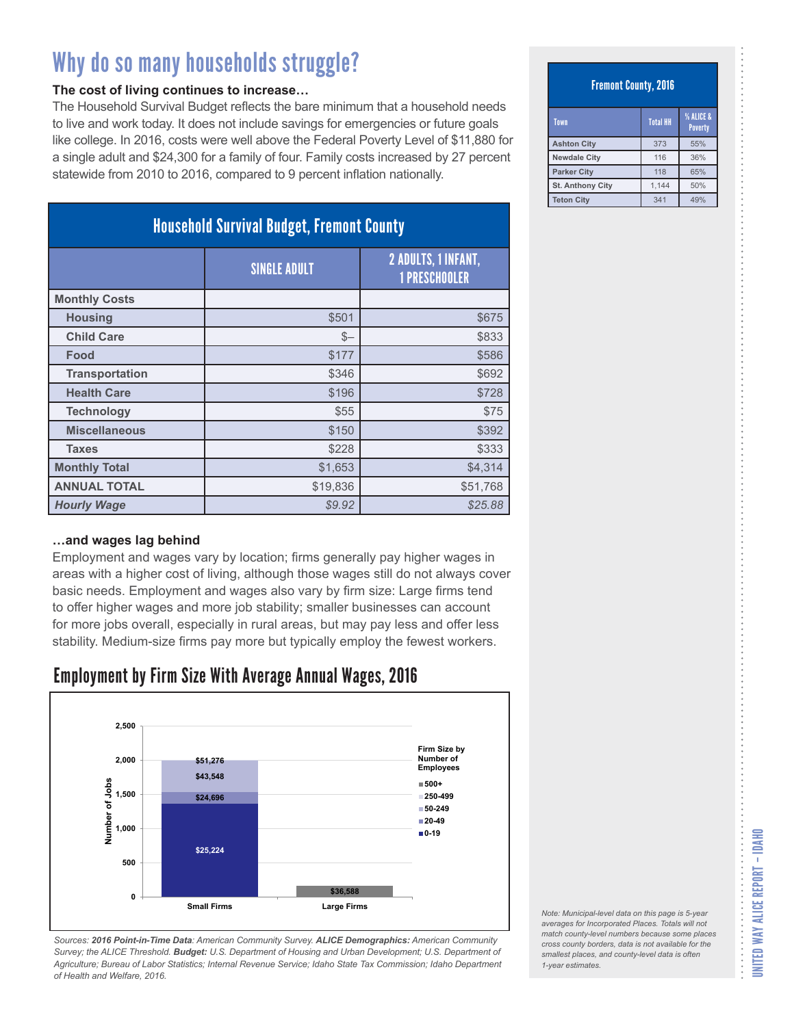#### **The cost of living continues to increase…**

The Household Survival Budget reflects the bare minimum that a household needs to live and work today. It does not include savings for emergencies or future goals like college. In 2016, costs were well above the Federal Poverty Level of \$11,880 for a single adult and \$24,300 for a family of four. Family costs increased by 27 percent statewide from 2010 to 2016, compared to 9 percent inflation nationally.

| <b>Household Survival Budget, Fremont County</b> |                     |                                             |
|--------------------------------------------------|---------------------|---------------------------------------------|
|                                                  | <b>SINGLE ADULT</b> | 2 ADULTS, 1 INFANT,<br><b>1 PRESCHOOLER</b> |
| <b>Monthly Costs</b>                             |                     |                                             |
| <b>Housing</b>                                   | \$501               | \$675                                       |
| <b>Child Care</b>                                | $S-$                | \$833                                       |
| Food                                             | \$177               | \$586                                       |
| <b>Transportation</b>                            | \$346               | \$692                                       |
| <b>Health Care</b>                               | \$196               | \$728                                       |
| <b>Technology</b>                                | \$55                | \$75                                        |
| <b>Miscellaneous</b>                             | \$150               | \$392                                       |
| <b>Taxes</b>                                     | \$228               | \$333                                       |
| <b>Monthly Total</b>                             | \$1,653             | \$4,314                                     |
| <b>ANNUAL TOTAL</b>                              | \$19,836            | \$51,768                                    |
| <b>Hourly Wage</b>                               | \$9.92              | \$25.88                                     |

#### **…and wages lag behind**

Employment and wages vary by location; firms generally pay higher wages in areas with a higher cost of living, although those wages still do not always cover basic needs. Employment and wages also vary by firm size: Large firms tend to offer higher wages and more job stability; smaller businesses can account for more jobs overall, especially in rural areas, but may pay less and offer less stability. Medium-size firms pay more but typically employ the fewest workers.

### Employment by Firm Size With Average Annual Wages, 2016



*Sources: 2016 Point-in-Time Data: American Community Survey. ALICE Demographics: American Community Survey; the ALICE Threshold. Budget: U.S. Department of Housing and Urban Development; U.S. Department of Agriculture; Bureau of Labor Statistics; Internal Revenue Service; Idaho State Tax Commission; Idaho Department of Health and Welfare, 2016.*

#### Fremont County, 2016

| Town                    | <b>Total HH</b> | <b>% ALICE &amp;</b><br><b>Poverty</b> |
|-------------------------|-----------------|----------------------------------------|
| <b>Ashton City</b>      | 373             | 55%                                    |
| <b>Newdale City</b>     | 116             | 36%                                    |
| <b>Parker City</b>      | 118             | 65%                                    |
| <b>St. Anthony City</b> | 1,144           | 50%                                    |
| <b>Teton City</b>       | 341             | 49%                                    |

*Note: Municipal-level data on this page is 5-year averages for Incorporated Places. Totals will not match county-level numbers because some places cross county borders, data is not available for the smallest places, and county-level data is often 1-year estimates.*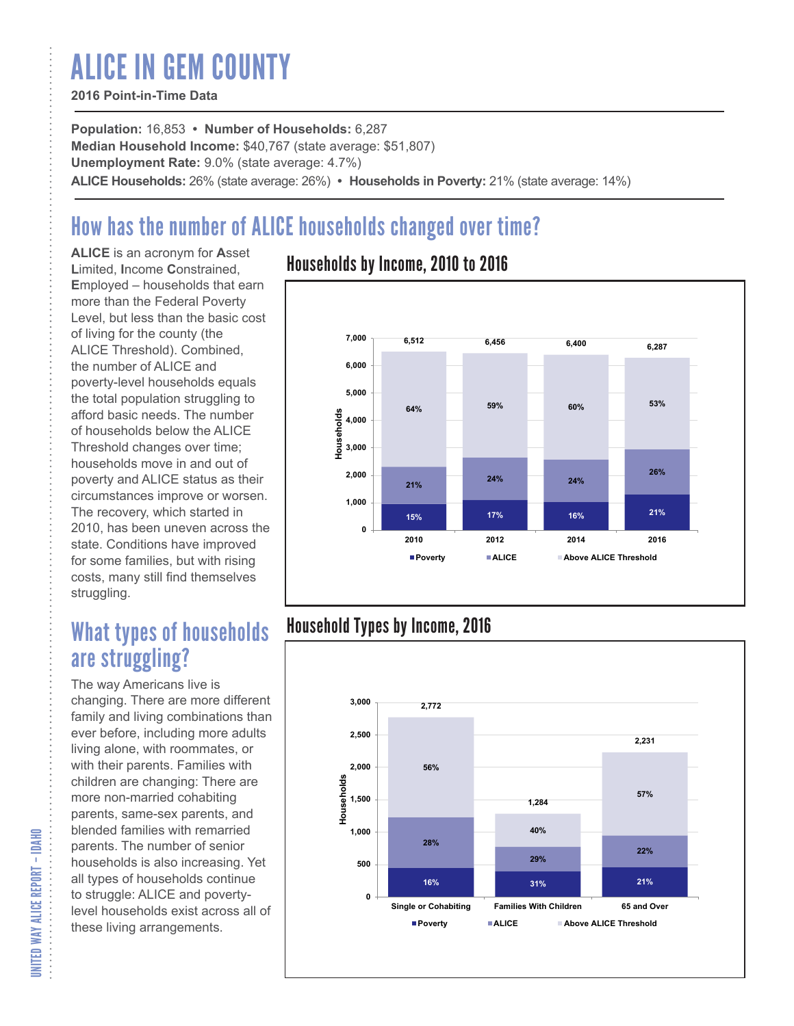# ALICE IN GEM COUNTY

#### **2016 Point-in-Time Data**

**Population:** 16,853 **• Number of Households:** 6,287 **Median Household Income:** \$40,767 (state average: \$51,807) **Unemployment Rate:** 9.0% (state average: 4.7%) **ALICE Households:** 26% (state average: 26%) **• Households in Poverty:** 21% (state average: 14%)

## How has the number of ALICE households changed over time?

**ALICE** is an acronym for **A**sset **L**imited, **I**ncome **C**onstrained, **E**mployed – households that earn more than the Federal Poverty Level, but less than the basic cost of living for the county (the ALICE Threshold). Combined, the number of ALICE and poverty-level households equals the total population struggling to afford basic needs. The number of households below the ALICE Threshold changes over time; households move in and out of poverty and ALICE status as their circumstances improve or worsen. The recovery, which started in 2010, has been uneven across the state. Conditions have improved for some families, but with rising costs, many still find themselves struggling.

## What types of households are struggling?

The way Americans live is changing. There are more different family and living combinations than ever before, including more adults living alone, with roommates, or with their parents. Families with children are changing: There are more non-married cohabiting parents, same-sex parents, and blended families with remarried parents. The number of senior households is also increasing. Yet all types of households continue to struggle: ALICE and povertylevel households exist across all of these living arrangements.

### Households by Income, 2010 to 2016



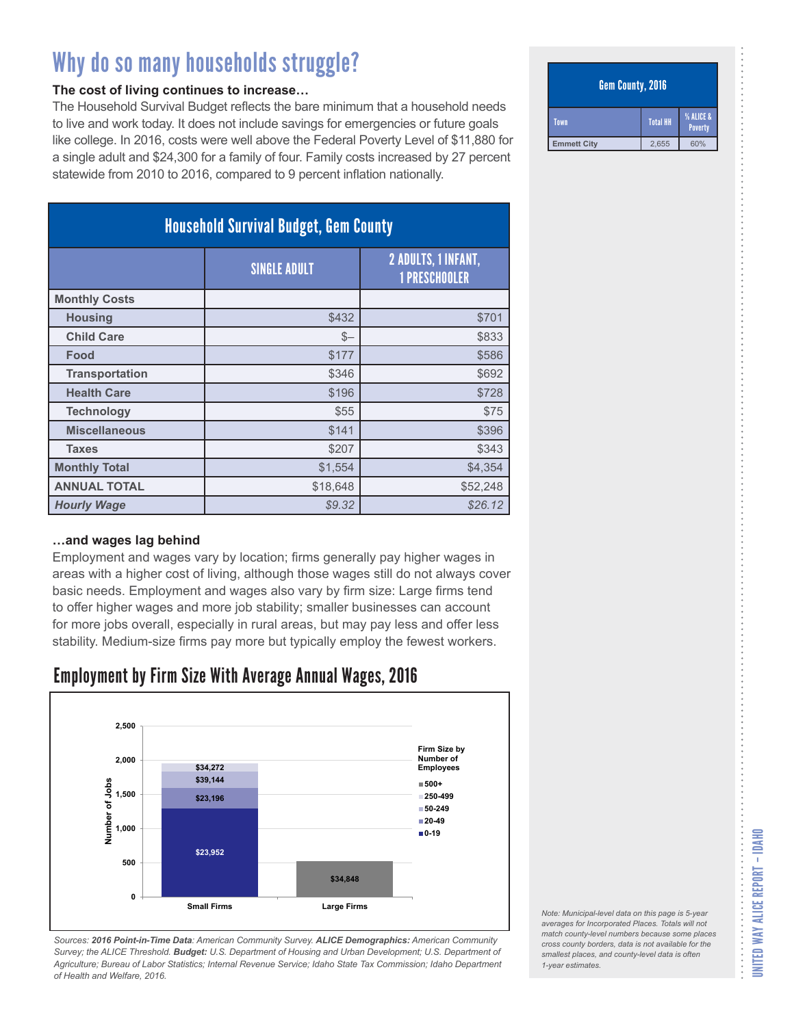#### **The cost of living continues to increase…**

The Household Survival Budget reflects the bare minimum that a household needs to live and work today. It does not include savings for emergencies or future goals like college. In 2016, costs were well above the Federal Poverty Level of \$11,880 for a single adult and \$24,300 for a family of four. Family costs increased by 27 percent statewide from 2010 to 2016, compared to 9 percent inflation nationally.

| <b>Household Survival Budget, Gem County</b> |                     |                                                    |
|----------------------------------------------|---------------------|----------------------------------------------------|
|                                              | <b>SINGLE ADULT</b> | <b>2 ADULTS, 1 INFANT,</b><br><b>1 PRESCHOOLER</b> |
| <b>Monthly Costs</b>                         |                     |                                                    |
| <b>Housing</b>                               | \$432               | \$701                                              |
| <b>Child Care</b>                            | $S-$                | \$833                                              |
| Food                                         | \$177               | \$586                                              |
| <b>Transportation</b>                        | \$346               | \$692                                              |
| <b>Health Care</b>                           | \$196               | \$728                                              |
| <b>Technology</b>                            | \$55                | \$75                                               |
| <b>Miscellaneous</b>                         | \$141               | \$396                                              |
| <b>Taxes</b>                                 | \$207               | \$343                                              |
| <b>Monthly Total</b>                         | \$1,554             | \$4,354                                            |
| <b>ANNUAL TOTAL</b>                          | \$18,648            | \$52,248                                           |
| <b>Hourly Wage</b>                           | \$9.32              | \$26.12                                            |

#### **…and wages lag behind**

Employment and wages vary by location; firms generally pay higher wages in areas with a higher cost of living, although those wages still do not always cover basic needs. Employment and wages also vary by firm size: Large firms tend to offer higher wages and more job stability; smaller businesses can account for more jobs overall, especially in rural areas, but may pay less and offer less stability. Medium-size firms pay more but typically employ the fewest workers.

### Employment by Firm Size With Average Annual Wages, 2016



*Sources: 2016 Point-in-Time Data: American Community Survey. ALICE Demographics: American Community Survey; the ALICE Threshold. Budget: U.S. Department of Housing and Urban Development; U.S. Department of Agriculture; Bureau of Labor Statistics; Internal Revenue Service; Idaho State Tax Commission; Idaho Department of Health and Welfare, 2016.*

#### Gem County, 2016

| Town               | <b>Total HH</b> | % ALICE &<br><b>Poverty</b> |
|--------------------|-----------------|-----------------------------|
| <b>Emmett City</b> | 2,655           | 60%                         |

#### *Note: Municipal-level data on this page is 5-year averages for Incorporated Places. Totals will not match county-level numbers because some places cross county borders, data is not available for the smallest places, and county-level data is often 1-year estimates.*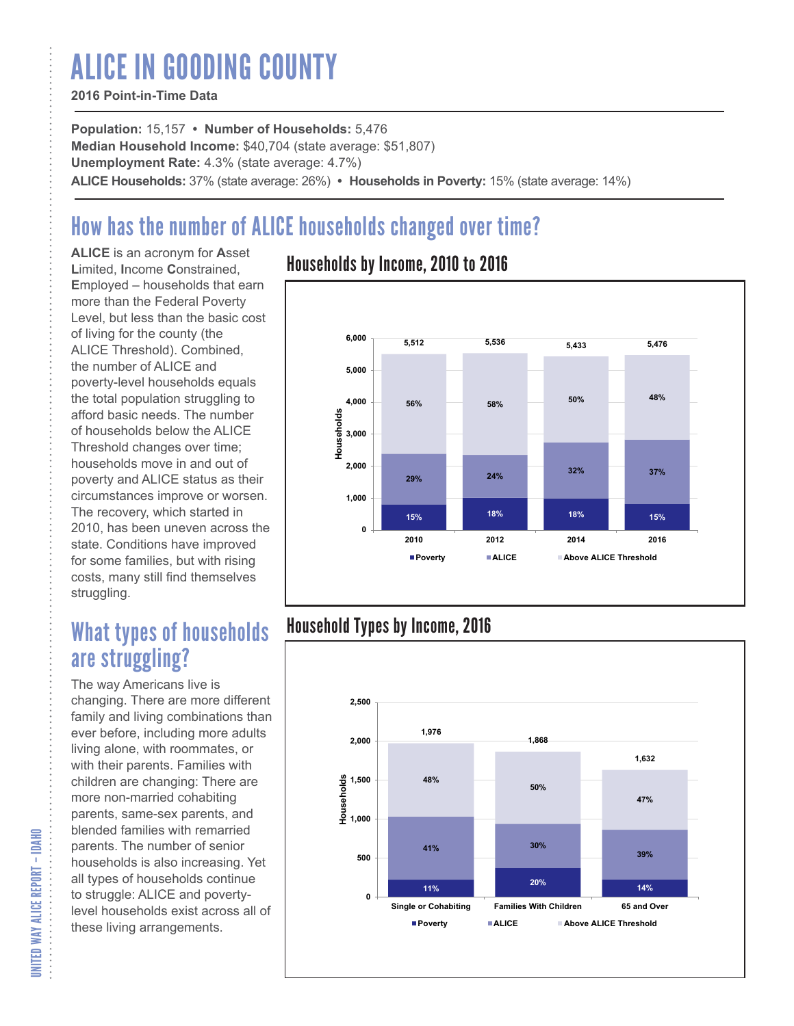# ALICE IN GOODING COUNTY

#### **2016 Point-in-Time Data**

**Population:** 15,157 **• Number of Households:** 5,476 **Median Household Income:** \$40,704 (state average: \$51,807) **Unemployment Rate:** 4.3% (state average: 4.7%) **ALICE Households:** 37% (state average: 26%) **• Households in Poverty:** 15% (state average: 14%)

## How has the number of ALICE households changed over time?

**ALICE** is an acronym for **A**sset **L**imited, **I**ncome **C**onstrained, **E**mployed – households that earn more than the Federal Poverty Level, but less than the basic cost of living for the county (the ALICE Threshold). Combined, the number of ALICE and poverty-level households equals the total population struggling to afford basic needs. The number of households below the ALICE Threshold changes over time; households move in and out of poverty and ALICE status as their circumstances improve or worsen. The recovery, which started in 2010, has been uneven across the state. Conditions have improved for some families, but with rising costs, many still find themselves struggling.

## What types of households are struggling?

The way Americans live is changing. There are more different family and living combinations than ever before, including more adults living alone, with roommates, or with their parents. Families with children are changing: There are more non-married cohabiting parents, same-sex parents, and blended families with remarried parents. The number of senior households is also increasing. Yet all types of households continue to struggle: ALICE and povertylevel households exist across all of these living arrangements.

### Households by Income, 2010 to 2016



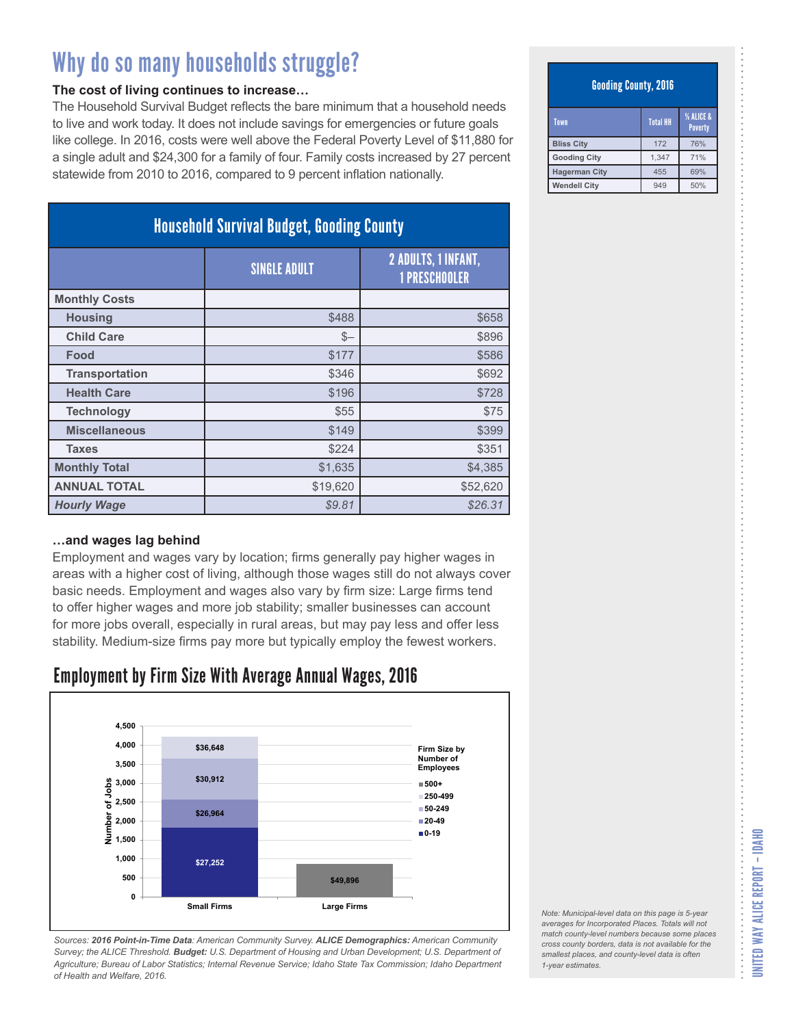#### **The cost of living continues to increase…**

The Household Survival Budget reflects the bare minimum that a household needs to live and work today. It does not include savings for emergencies or future goals like college. In 2016, costs were well above the Federal Poverty Level of \$11,880 for a single adult and \$24,300 for a family of four. Family costs increased by 27 percent statewide from 2010 to 2016, compared to 9 percent inflation nationally.

| <b>Household Survival Budget, Gooding County</b> |                     |                                                    |
|--------------------------------------------------|---------------------|----------------------------------------------------|
|                                                  | <b>SINGLE ADULT</b> | <b>2 ADULTS, 1 INFANT,</b><br><b>1 PRESCHOOLER</b> |
| <b>Monthly Costs</b>                             |                     |                                                    |
| <b>Housing</b>                                   | \$488               | \$658                                              |
| <b>Child Care</b>                                | $S-$                | \$896                                              |
| Food                                             | \$177               | \$586                                              |
| <b>Transportation</b>                            | \$346               | \$692                                              |
| <b>Health Care</b>                               | \$196               | \$728                                              |
| <b>Technology</b>                                | \$55                | \$75                                               |
| <b>Miscellaneous</b>                             | \$149               | \$399                                              |
| <b>Taxes</b>                                     | \$224               | \$351                                              |
| <b>Monthly Total</b>                             | \$1,635             | \$4,385                                            |
| <b>ANNUAL TOTAL</b>                              | \$19,620            | \$52,620                                           |
| <b>Hourly Wage</b>                               | \$9.81              | \$26.31                                            |

#### **…and wages lag behind**

Employment and wages vary by location; firms generally pay higher wages in areas with a higher cost of living, although those wages still do not always cover basic needs. Employment and wages also vary by firm size: Large firms tend to offer higher wages and more job stability; smaller businesses can account for more jobs overall, especially in rural areas, but may pay less and offer less stability. Medium-size firms pay more but typically employ the fewest workers.

### Employment by Firm Size With Average Annual Wages, 2016



*Sources: 2016 Point-in-Time Data: American Community Survey. ALICE Demographics: American Community Survey; the ALICE Threshold. Budget: U.S. Department of Housing and Urban Development; U.S. Department of Agriculture; Bureau of Labor Statistics; Internal Revenue Service; Idaho State Tax Commission; Idaho Department of Health and Welfare, 2016.*

#### Gooding County, 2016

| Town                 | <b>Total HH</b> | <b>% ALICE &amp;</b><br><b>Poverty</b> |
|----------------------|-----------------|----------------------------------------|
| <b>Bliss City</b>    | 172             | 76%                                    |
| <b>Gooding City</b>  | 1.347           | 71%                                    |
| <b>Hagerman City</b> | 455             | 69%                                    |
| <b>Wendell City</b>  | 949             | 50%                                    |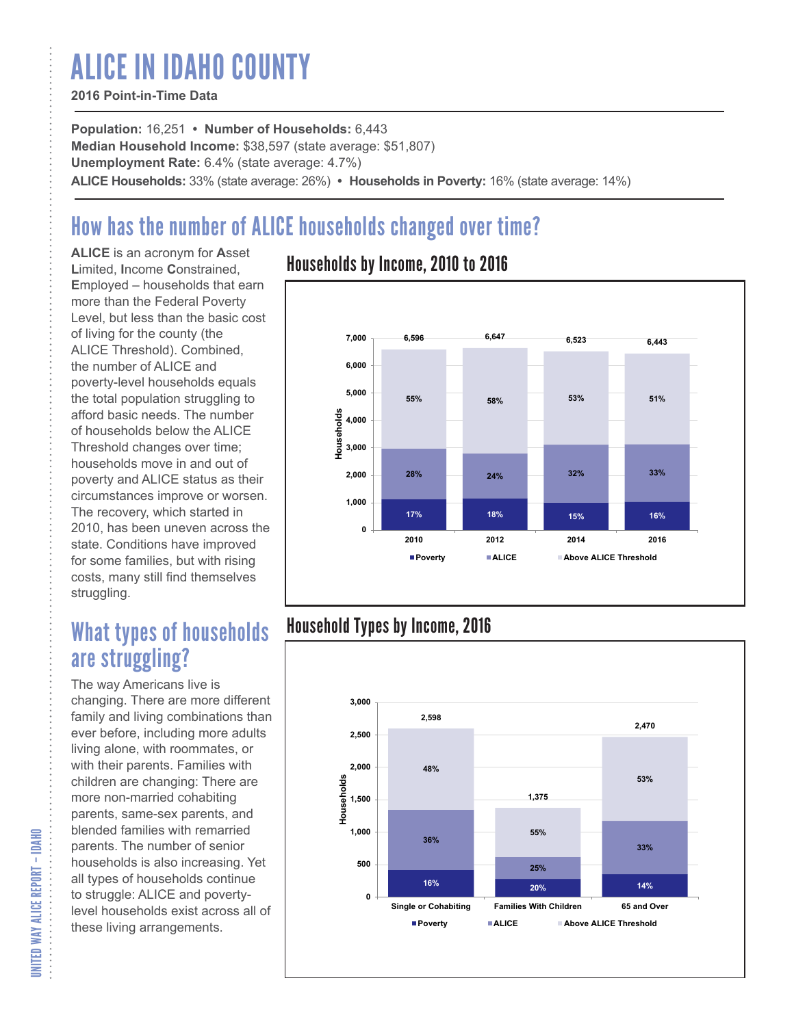# ALICE IN IDAHO COUNTY

#### **2016 Point-in-Time Data**

**Population:** 16,251 **• Number of Households:** 6,443 **Median Household Income:** \$38,597 (state average: \$51,807) **Unemployment Rate:** 6.4% (state average: 4.7%) **ALICE Households:** 33% (state average: 26%) **• Households in Poverty:** 16% (state average: 14%)

## How has the number of ALICE households changed over time?

**ALICE** is an acronym for **A**sset **L**imited, **I**ncome **C**onstrained, **E**mployed – households that earn more than the Federal Poverty Level, but less than the basic cost of living for the county (the ALICE Threshold). Combined, the number of ALICE and poverty-level households equals the total population struggling to afford basic needs. The number of households below the ALICE Threshold changes over time; households move in and out of poverty and ALICE status as their circumstances improve or worsen. The recovery, which started in 2010, has been uneven across the state. Conditions have improved for some families, but with rising costs, many still find themselves struggling.

## What types of households are struggling?

The way Americans live is changing. There are more different family and living combinations than ever before, including more adults living alone, with roommates, or with their parents. Families with children are changing: There are more non-married cohabiting parents, same-sex parents, and blended families with remarried parents. The number of senior households is also increasing. Yet all types of households continue to struggle: ALICE and povertylevel households exist across all of these living arrangements.

### Households by Income, 2010 to 2016



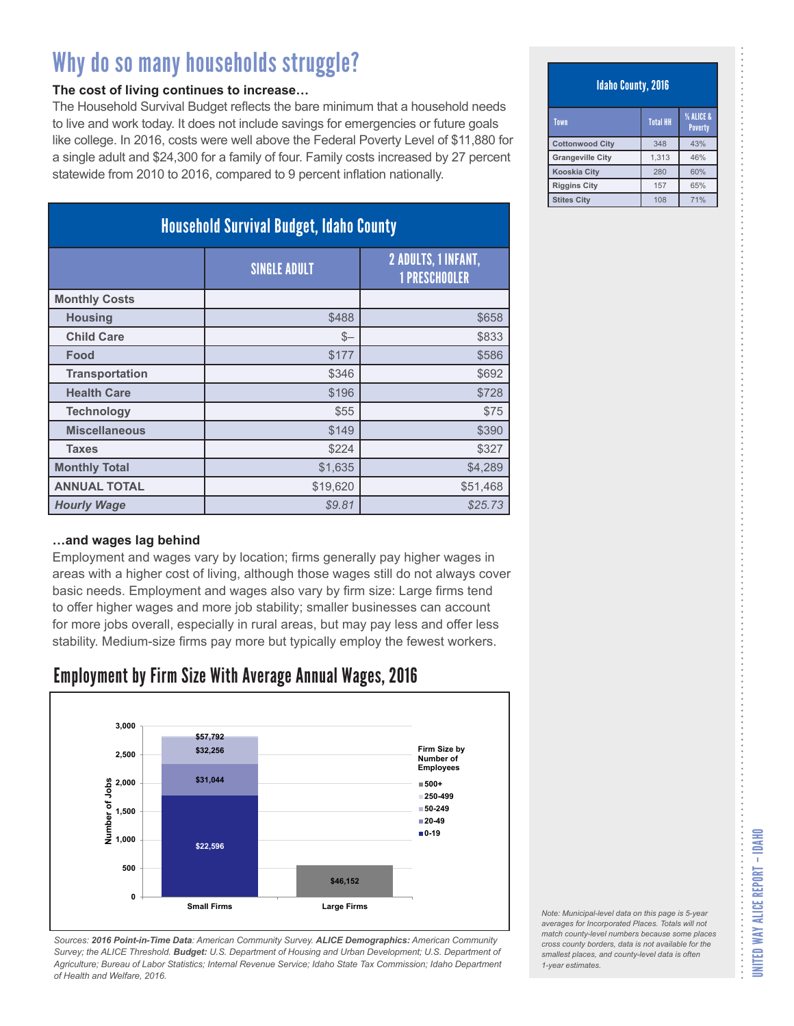#### **The cost of living continues to increase…**

The Household Survival Budget reflects the bare minimum that a household needs to live and work today. It does not include savings for emergencies or future goals like college. In 2016, costs were well above the Federal Poverty Level of \$11,880 for a single adult and \$24,300 for a family of four. Family costs increased by 27 percent statewide from 2010 to 2016, compared to 9 percent inflation nationally.

| <b>Household Survival Budget, Idaho County</b> |                     |                                                    |
|------------------------------------------------|---------------------|----------------------------------------------------|
|                                                | <b>SINGLE ADULT</b> | <b>2 ADULTS, 1 INFANT,</b><br><b>1 PRESCHOOLER</b> |
| <b>Monthly Costs</b>                           |                     |                                                    |
| <b>Housing</b>                                 | \$488               | \$658                                              |
| <b>Child Care</b>                              | $S-$                | \$833                                              |
| Food                                           | \$177               | \$586                                              |
| <b>Transportation</b>                          | \$346               | \$692                                              |
| <b>Health Care</b>                             | \$196               | \$728                                              |
| <b>Technology</b>                              | \$55                | \$75                                               |
| <b>Miscellaneous</b>                           | \$149               | \$390                                              |
| <b>Taxes</b>                                   | \$224               | \$327                                              |
| <b>Monthly Total</b>                           | \$1,635             | \$4,289                                            |
| <b>ANNUAL TOTAL</b>                            | \$19,620            | \$51,468                                           |
| <b>Hourly Wage</b>                             | \$9.81              | \$25.73                                            |

#### **…and wages lag behind**

Employment and wages vary by location; firms generally pay higher wages in areas with a higher cost of living, although those wages still do not always cover basic needs. Employment and wages also vary by firm size: Large firms tend to offer higher wages and more job stability; smaller businesses can account for more jobs overall, especially in rural areas, but may pay less and offer less stability. Medium-size firms pay more but typically employ the fewest workers.

### Employment by Firm Size With Average Annual Wages, 2016



*Sources: 2016 Point-in-Time Data: American Community Survey. ALICE Demographics: American Community Survey; the ALICE Threshold. Budget: U.S. Department of Housing and Urban Development; U.S. Department of Agriculture; Bureau of Labor Statistics; Internal Revenue Service; Idaho State Tax Commission; Idaho Department of Health and Welfare, 2016.*

#### Idaho County, 2016

| Town                    | <b>Total HH</b> | <b>% ALICE &amp;</b><br><b>Poverty</b> |
|-------------------------|-----------------|----------------------------------------|
| <b>Cottonwood City</b>  | 348             | 43%                                    |
| <b>Grangeville City</b> | 1.313           | 46%                                    |
| <b>Kooskia City</b>     | 280             | 60%                                    |
| <b>Riggins City</b>     | 157             | 65%                                    |
| <b>Stites City</b>      | 108             | 71%                                    |

*Note: Municipal-level data on this page is 5-year averages for Incorporated Places. Totals will not match county-level numbers because some places cross county borders, data is not available for the smallest places, and county-level data is often 1-year estimates.*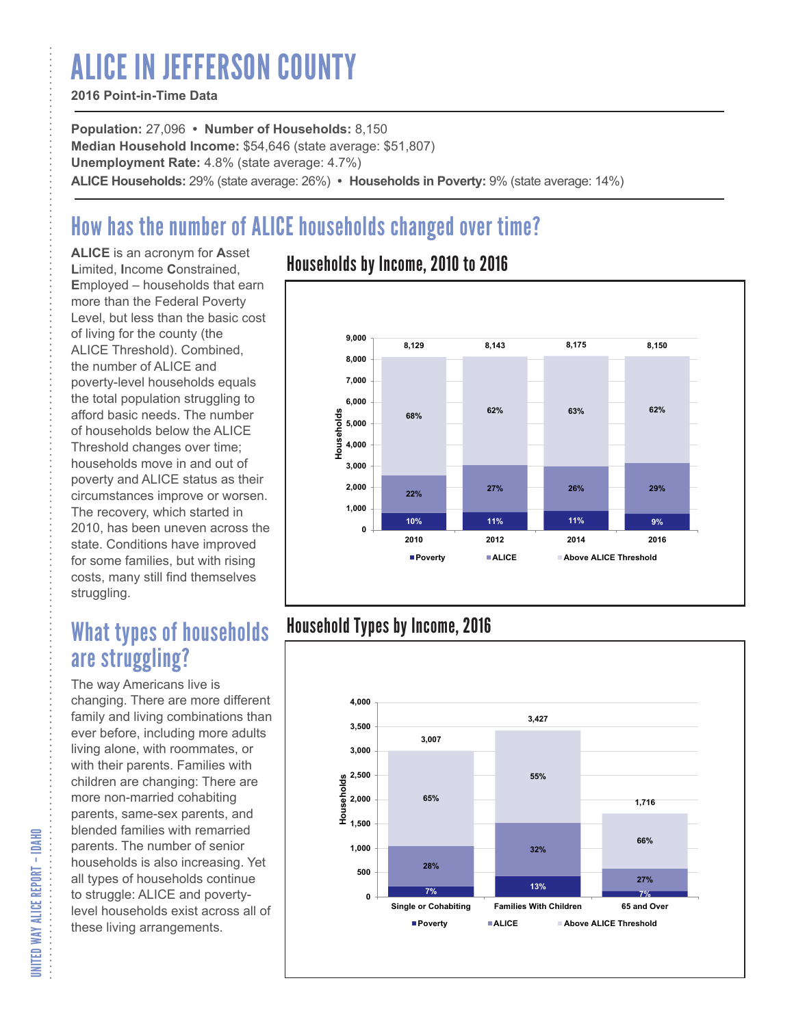# ALICE IN JEFFERSON COUNTY

#### **2016 Point-in-Time Data**

**Population:** 27,096 **• Number of Households:** 8,150 **Median Household Income:** \$54,646 (state average: \$51,807) **Unemployment Rate:** 4.8% (state average: 4.7%) **ALICE Households:** 29% (state average: 26%) **• Households in Poverty:** 9% (state average: 14%)

## How has the number of ALICE households changed over time?

**ALICE** is an acronym for **A**sset **L**imited, **I**ncome **C**onstrained, **E**mployed – households that earn more than the Federal Poverty Level, but less than the basic cost of living for the county (the ALICE Threshold). Combined, the number of ALICE and poverty-level households equals the total population struggling to afford basic needs. The number of households below the ALICE Threshold changes over time; households move in and out of poverty and ALICE status as their circumstances improve or worsen. The recovery, which started in 2010, has been uneven across the state. Conditions have improved for some families, but with rising costs, many still find themselves struggling.

## What types of households are struggling?

The way Americans live is changing. There are more different family and living combinations than ever before, including more adults living alone, with roommates, or with their parents. Families with children are changing: There are more non-married cohabiting parents, same-sex parents, and blended families with remarried parents. The number of senior households is also increasing. Yet all types of households continue to struggle: ALICE and povertylevel households exist across all of these living arrangements.

### Households by Income, 2010 to 2016



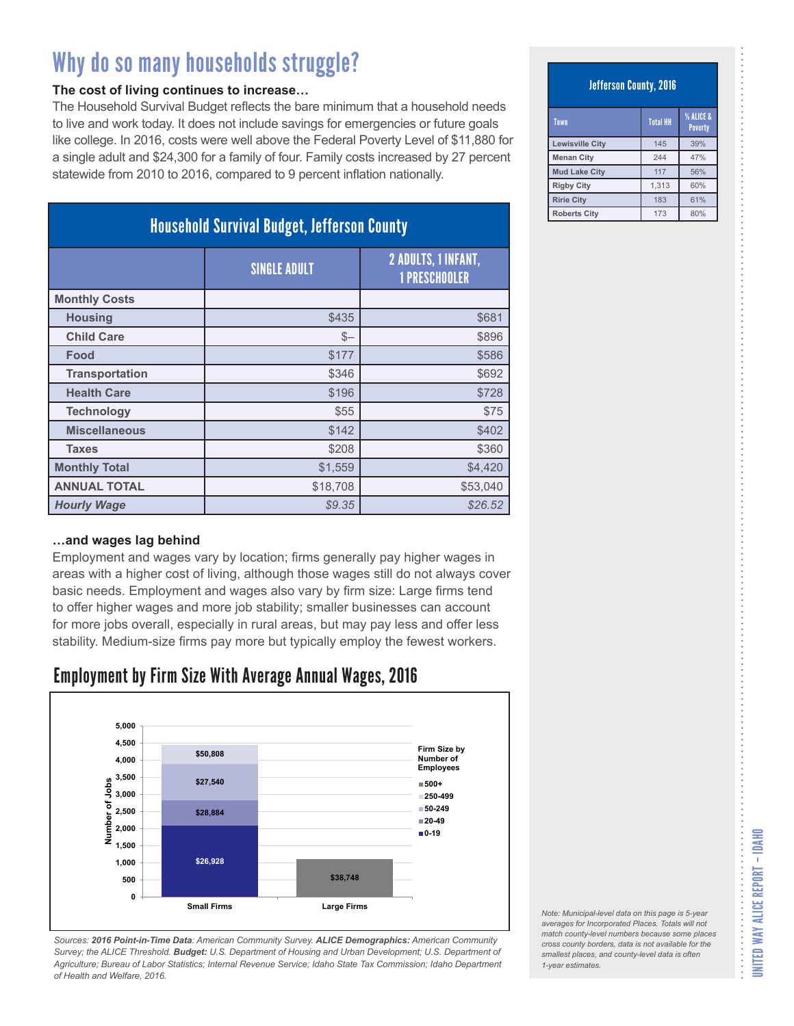#### **The cost of living continues to increase…**

The Household Survival Budget reflects the bare minimum that a household needs to live and work today. It does not include savings for emergencies or future goals like college. In 2016, costs were well above the Federal Poverty Level of \$11,880 for a single adult and \$24,300 for a family of four. Family costs increased by 27 percent statewide from 2010 to 2016, compared to 9 percent inflation nationally.

| <b>Household Survival Budget, Jefferson County</b> |                     |                                             |
|----------------------------------------------------|---------------------|---------------------------------------------|
|                                                    | <b>SINGLE ADULT</b> | 2 ADULTS, 1 INFANT,<br><b>1 PRESCHOOLER</b> |
| <b>Monthly Costs</b>                               |                     |                                             |
| <b>Housing</b>                                     | \$435               | \$681                                       |
| <b>Child Care</b>                                  | $S-$                | \$896                                       |
| Food                                               | \$177               | \$586                                       |
| <b>Transportation</b>                              | \$346               | \$692                                       |
| <b>Health Care</b>                                 | \$196               | \$728                                       |
| <b>Technology</b>                                  | \$55                | \$75                                        |
| <b>Miscellaneous</b>                               | \$142               | \$402                                       |
| <b>Taxes</b>                                       | \$208               | \$360                                       |
| <b>Monthly Total</b>                               | \$1,559             | \$4,420                                     |
| <b>ANNUAL TOTAL</b>                                | \$18,708            | \$53,040                                    |
| <b>Hourly Wage</b>                                 | \$9.35              | \$26.52                                     |

#### **…and wages lag behind**

Employment and wages vary by location; firms generally pay higher wages in areas with a higher cost of living, although those wages still do not always cover basic needs. Employment and wages also vary by firm size: Large firms tend to offer higher wages and more job stability; smaller businesses can account for more jobs overall, especially in rural areas, but may pay less and offer less stability. Medium-size firms pay more but typically employ the fewest workers.

### Employment by Firm Size With Average Annual Wages, 2016



*Sources: 2016 Point-in-Time Data: American Community Survey. ALICE Demographics: American Community Survey; the ALICE Threshold. Budget: U.S. Department of Housing and Urban Development; U.S. Department of Agriculture; Bureau of Labor Statistics; Internal Revenue Service; Idaho State Tax Commission; Idaho Department of Health and Welfare, 2016.*

#### Jefferson County, 2016

| Town                   | <b>Total HH</b> | <b>% ALICE &amp;</b><br><b>Poverty</b> |
|------------------------|-----------------|----------------------------------------|
| <b>Lewisville City</b> | 145             | 39%                                    |
| <b>Menan City</b>      | 244             | 47%                                    |
| <b>Mud Lake City</b>   | 117             | 56%                                    |
| <b>Rigby City</b>      | 1.313           | 60%                                    |
| <b>Ririe City</b>      | 183             | 61%                                    |
| <b>Roberts City</b>    | 173             | 80%                                    |

UNITED WAY ALICE REPORT – IDAHO

UNITED WAY ALICE REPORT - IDAHO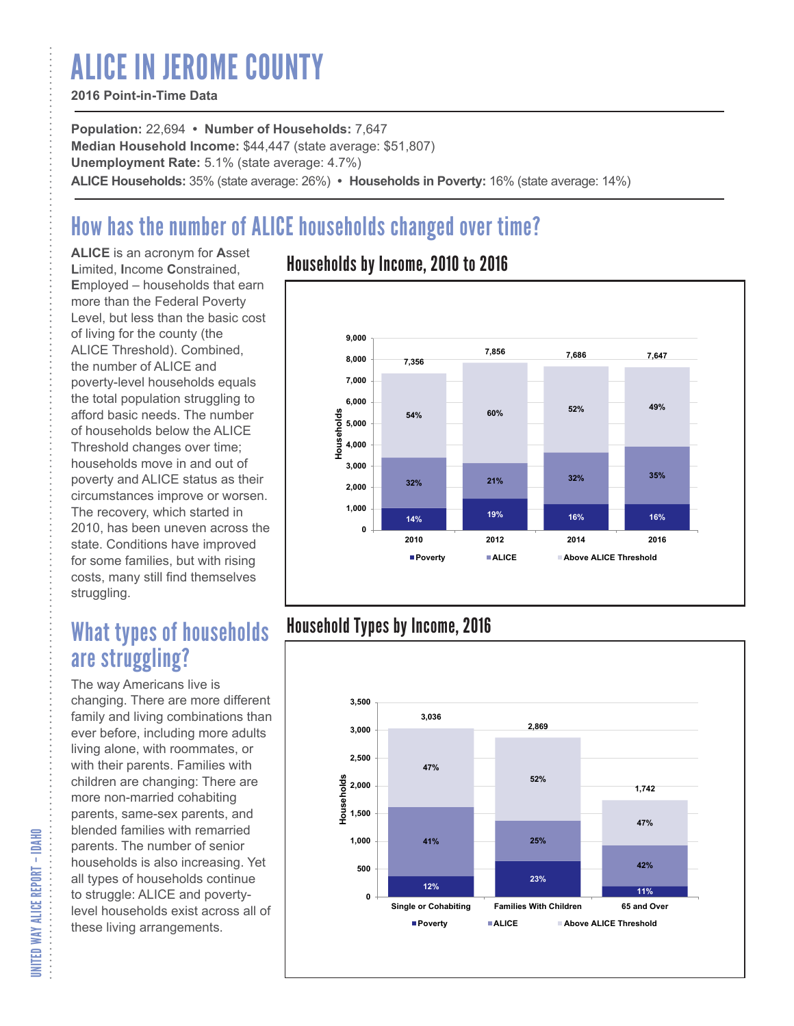# ALICE IN JEROME COUNTY

#### **2016 Point-in-Time Data**

**Population:** 22,694 **• Number of Households:** 7,647 **Median Household Income:** \$44,447 (state average: \$51,807) **Unemployment Rate:** 5.1% (state average: 4.7%) **ALICE Households:** 35% (state average: 26%) **• Households in Poverty:** 16% (state average: 14%)

## How has the number of ALICE households changed over time?

**ALICE** is an acronym for **A**sset **L**imited, **I**ncome **C**onstrained, **E**mployed – households that earn more than the Federal Poverty Level, but less than the basic cost of living for the county (the ALICE Threshold). Combined, the number of ALICE and poverty-level households equals the total population struggling to afford basic needs. The number of households below the ALICE Threshold changes over time; households move in and out of poverty and ALICE status as their circumstances improve or worsen. The recovery, which started in 2010, has been uneven across the state. Conditions have improved for some families, but with rising costs, many still find themselves struggling.

## What types of households are struggling?

The way Americans live is changing. There are more different family and living combinations than ever before, including more adults living alone, with roommates, or with their parents. Families with children are changing: There are more non-married cohabiting parents, same-sex parents, and blended families with remarried parents. The number of senior households is also increasing. Yet all types of households continue to struggle: ALICE and povertylevel households exist across all of these living arrangements.

### Households by Income, 2010 to 2016



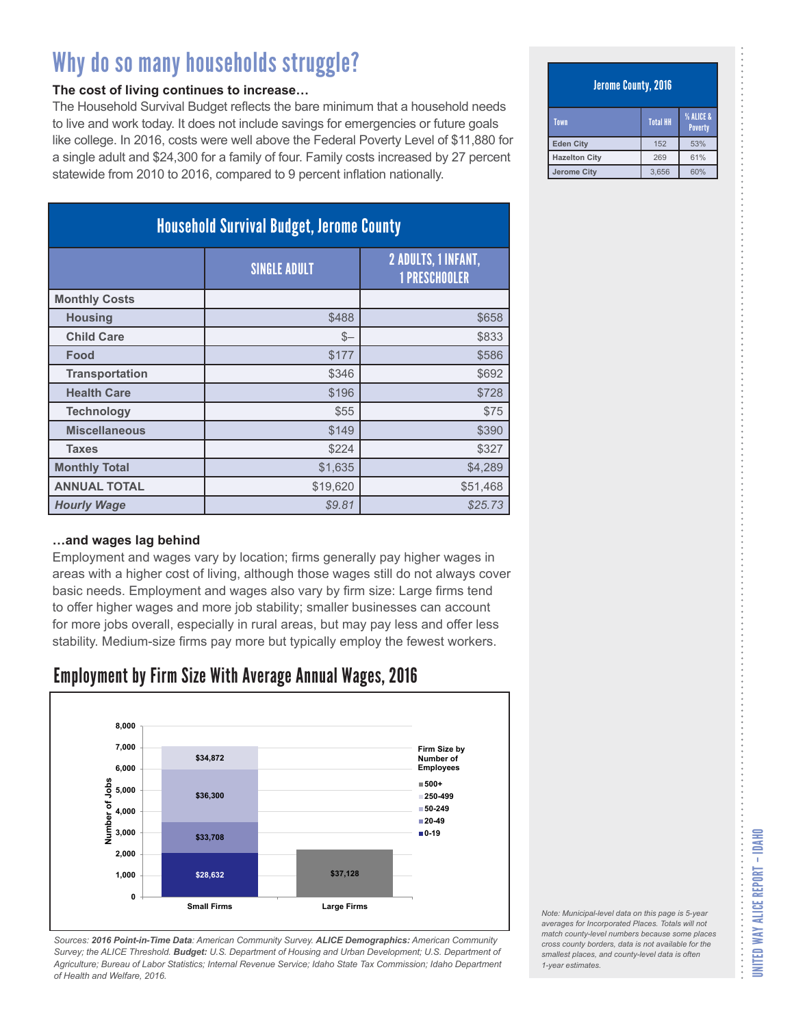#### **The cost of living continues to increase…**

The Household Survival Budget reflects the bare minimum that a household needs to live and work today. It does not include savings for emergencies or future goals like college. In 2016, costs were well above the Federal Poverty Level of \$11,880 for a single adult and \$24,300 for a family of four. Family costs increased by 27 percent statewide from 2010 to 2016, compared to 9 percent inflation nationally.

| <b>Household Survival Budget, Jerome County</b> |                     |                                                    |
|-------------------------------------------------|---------------------|----------------------------------------------------|
|                                                 | <b>SINGLE ADULT</b> | <b>2 ADULTS, 1 INFANT,</b><br><b>1 PRESCHOOLER</b> |
| <b>Monthly Costs</b>                            |                     |                                                    |
| <b>Housing</b>                                  | \$488               | \$658                                              |
| <b>Child Care</b>                               | $S-$                | \$833                                              |
| Food                                            | \$177               | \$586                                              |
| <b>Transportation</b>                           | \$346               | \$692                                              |
| <b>Health Care</b>                              | \$196               | \$728                                              |
| <b>Technology</b>                               | \$55                | \$75                                               |
| <b>Miscellaneous</b>                            | \$149               | \$390                                              |
| <b>Taxes</b>                                    | \$224               | \$327                                              |
| <b>Monthly Total</b>                            | \$1,635             | \$4,289                                            |
| <b>ANNUAL TOTAL</b>                             | \$19,620            | \$51,468                                           |
| <b>Hourly Wage</b>                              | \$9.81              | \$25.73                                            |

#### **…and wages lag behind**

Employment and wages vary by location; firms generally pay higher wages in areas with a higher cost of living, although those wages still do not always cover basic needs. Employment and wages also vary by firm size: Large firms tend to offer higher wages and more job stability; smaller businesses can account for more jobs overall, especially in rural areas, but may pay less and offer less stability. Medium-size firms pay more but typically employ the fewest workers.

### Employment by Firm Size With Average Annual Wages, 2016



*Sources: 2016 Point-in-Time Data: American Community Survey. ALICE Demographics: American Community Survey; the ALICE Threshold. Budget: U.S. Department of Housing and Urban Development; U.S. Department of Agriculture; Bureau of Labor Statistics; Internal Revenue Service; Idaho State Tax Commission; Idaho Department of Health and Welfare, 2016.*

#### Jerome County, 2016

| Town                 | <b>Total HH</b> | % ALICE &<br><b>Poverty</b> |
|----------------------|-----------------|-----------------------------|
| <b>Eden City</b>     | 152             | 53%                         |
| <b>Hazelton City</b> | 269             | 61%                         |
| <b>Jerome City</b>   | 3.656           | 60%                         |

*Note: Municipal-level data on this page is 5-year averages for Incorporated Places. Totals will not match county-level numbers because some places cross county borders, data is not available for the smallest places, and county-level data is often*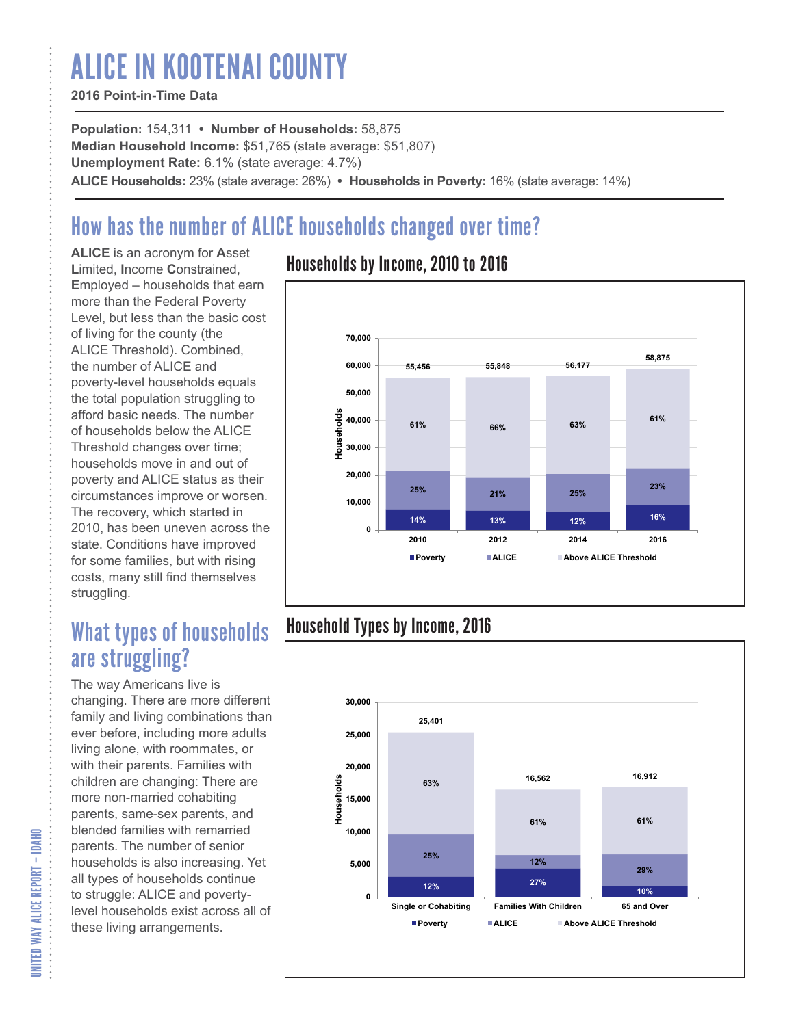# ALICE IN KOOTENAI COUNTY

#### **2016 Point-in-Time Data**

**Population:** 154,311 **• Number of Households:** 58,875 **Median Household Income:** \$51,765 (state average: \$51,807) **Unemployment Rate:** 6.1% (state average: 4.7%) **ALICE Households:** 23% (state average: 26%) **• Households in Poverty:** 16% (state average: 14%)

## How has the number of ALICE households changed over time?

**ALICE** is an acronym for **A**sset **L**imited, **I**ncome **C**onstrained, **E**mployed – households that earn more than the Federal Poverty Level, but less than the basic cost of living for the county (the ALICE Threshold). Combined, the number of ALICE and poverty-level households equals the total population struggling to afford basic needs. The number of households below the ALICE Threshold changes over time; households move in and out of poverty and ALICE status as their circumstances improve or worsen. The recovery, which started in 2010, has been uneven across the state. Conditions have improved for some families, but with rising costs, many still find themselves struggling.

## What types of households are struggling?

The way Americans live is changing. There are more different family and living combinations than ever before, including more adults living alone, with roommates, or with their parents. Families with children are changing: There are more non-married cohabiting parents, same-sex parents, and blended families with remarried parents. The number of senior households is also increasing. Yet all types of households continue to struggle: ALICE and povertylevel households exist across all of these living arrangements.

### Households by Income, 2010 to 2016



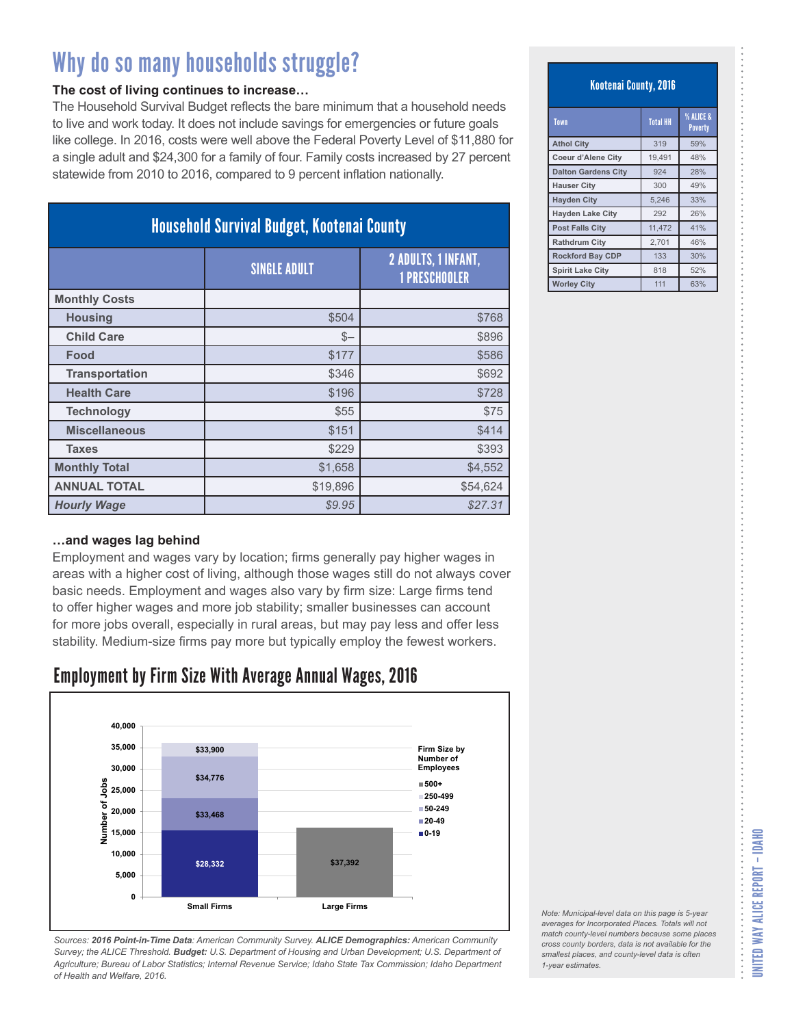#### **The cost of living continues to increase…**

The Household Survival Budget reflects the bare minimum that a household needs to live and work today. It does not include savings for emergencies or future goals like college. In 2016, costs were well above the Federal Poverty Level of \$11,880 for a single adult and \$24,300 for a family of four. Family costs increased by 27 percent statewide from 2010 to 2016, compared to 9 percent inflation nationally.

| <b>Household Survival Budget, Kootenai County</b> |                     |                                                    |
|---------------------------------------------------|---------------------|----------------------------------------------------|
|                                                   | <b>SINGLE ADULT</b> | <b>2 ADULTS, 1 INFANT,</b><br><b>1 PRESCHOOLER</b> |
| <b>Monthly Costs</b>                              |                     |                                                    |
| <b>Housing</b>                                    | \$504               | \$768                                              |
| <b>Child Care</b>                                 | $S-$                | \$896                                              |
| Food                                              | \$177               | \$586                                              |
| <b>Transportation</b>                             | \$346               | \$692                                              |
| <b>Health Care</b>                                | \$196               | \$728                                              |
| <b>Technology</b>                                 | \$55                | \$75                                               |
| <b>Miscellaneous</b>                              | \$151               | \$414                                              |
| <b>Taxes</b>                                      | \$229               | \$393                                              |
| <b>Monthly Total</b>                              | \$1,658             | \$4,552                                            |
| <b>ANNUAL TOTAL</b>                               | \$19,896            | \$54,624                                           |
| <b>Hourly Wage</b>                                | \$9.95              | \$27.31                                            |

#### **…and wages lag behind**

Employment and wages vary by location; firms generally pay higher wages in areas with a higher cost of living, although those wages still do not always cover basic needs. Employment and wages also vary by firm size: Large firms tend to offer higher wages and more job stability; smaller businesses can account for more jobs overall, especially in rural areas, but may pay less and offer less stability. Medium-size firms pay more but typically employ the fewest workers.

### Employment by Firm Size With Average Annual Wages, 2016



*Sources: 2016 Point-in-Time Data: American Community Survey. ALICE Demographics: American Community Survey; the ALICE Threshold. Budget: U.S. Department of Housing and Urban Development; U.S. Department of Agriculture; Bureau of Labor Statistics; Internal Revenue Service; Idaho State Tax Commission; Idaho Department of Health and Welfare, 2016.*

Kootenai County, 2016

| Town                       | <b>Total HH</b> | % ALICE &<br><b>Poverty</b> |
|----------------------------|-----------------|-----------------------------|
| <b>Athol City</b>          | 319             | 59%                         |
| <b>Coeur d'Alene City</b>  | 19.491          | 48%                         |
| <b>Dalton Gardens City</b> | 924             | 28%                         |
| <b>Hauser City</b>         | 300             | 49%                         |
| <b>Hayden City</b>         | 5.246           | 33%                         |
| <b>Hayden Lake City</b>    | 292             | 26%                         |
| <b>Post Falls City</b>     | 11,472          | 41%                         |
| <b>Rathdrum City</b>       | 2,701           | 46%                         |
| <b>Rockford Bay CDP</b>    | 133             | 30%                         |
| <b>Spirit Lake City</b>    | 818             | 52%                         |
| <b>Worley City</b>         | 111             | 63%                         |

| Note: Municipal-level data on this page is 5-year   |
|-----------------------------------------------------|
| averages for Incorporated Places. Totals will not   |
| match county-level numbers because some places      |
| cross county borders, data is not available for the |
| smallest places, and county-level data is often     |
| 1-year estimates.                                   |
|                                                     |

 $1-y<sub>e</sub>$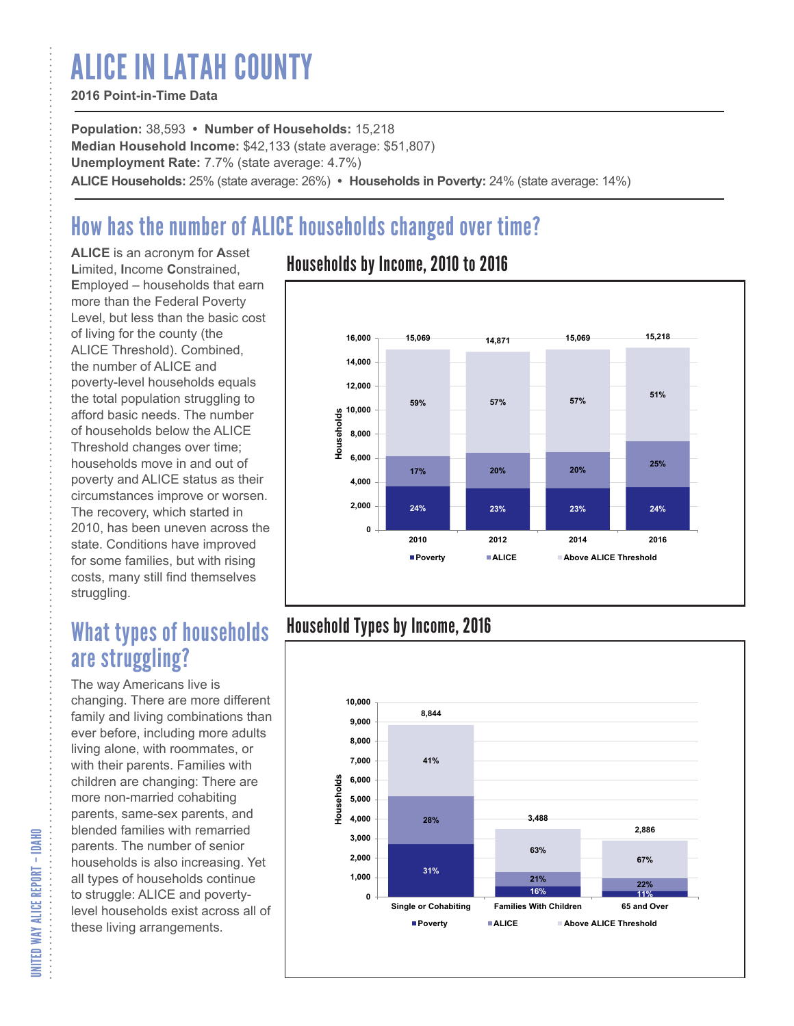# ALICE IN LATAH COUNTY

#### **2016 Point-in-Time Data**

**Population:** 38,593 **• Number of Households:** 15,218 **Median Household Income:** \$42,133 (state average: \$51,807) **Unemployment Rate:** 7.7% (state average: 4.7%) **ALICE Households:** 25% (state average: 26%) **• Households in Poverty:** 24% (state average: 14%)

## How has the number of ALICE households changed over time?

**ALICE** is an acronym for **A**sset **L**imited, **I**ncome **C**onstrained, **E**mployed – households that earn more than the Federal Poverty Level, but less than the basic cost of living for the county (the ALICE Threshold). Combined, the number of ALICE and poverty-level households equals the total population struggling to afford basic needs. The number of households below the ALICE Threshold changes over time; households move in and out of poverty and ALICE status as their circumstances improve or worsen. The recovery, which started in 2010, has been uneven across the state. Conditions have improved for some families, but with rising costs, many still find themselves struggling.

## What types of households are struggling?

The way Americans live is changing. There are more different family and living combinations than ever before, including more adults living alone, with roommates, or with their parents. Families with children are changing: There are more non-married cohabiting parents, same-sex parents, and blended families with remarried parents. The number of senior households is also increasing. Yet all types of households continue to struggle: ALICE and povertylevel households exist across all of these living arrangements.

### Households by Income, 2010 to 2016



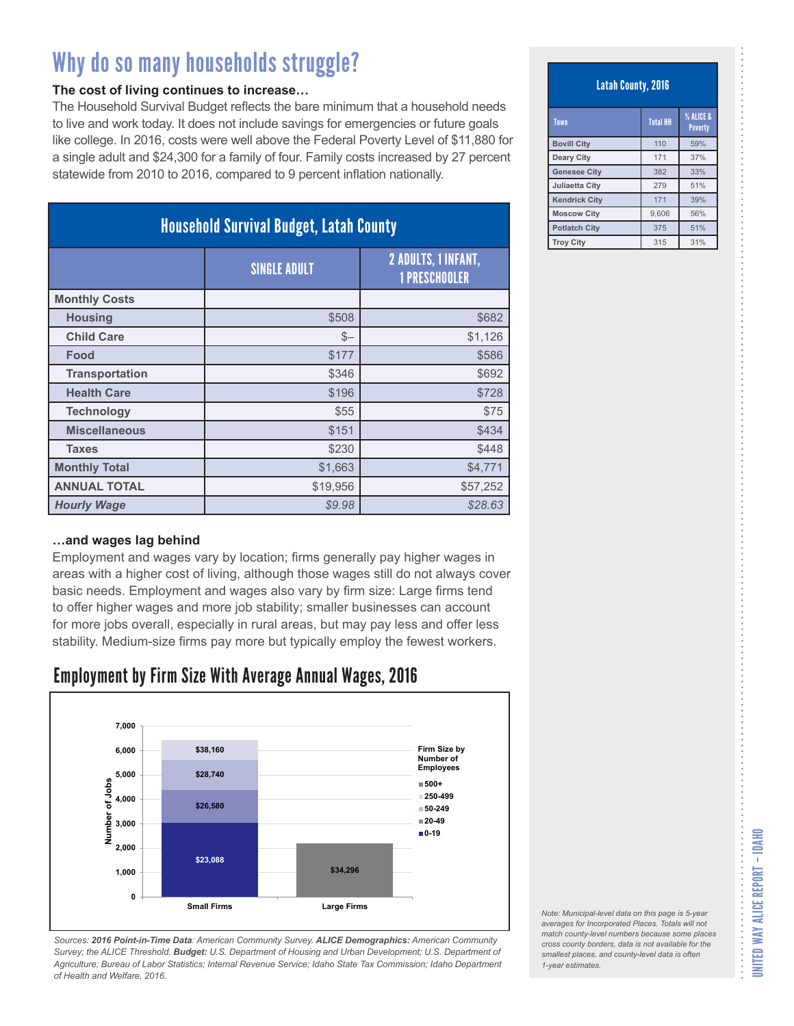#### **The cost of living continues to increase…**

The Household Survival Budget reflects the bare minimum that a household needs to live and work today. It does not include savings for emergencies or future goals like college. In 2016, costs were well above the Federal Poverty Level of \$11,880 for a single adult and \$24,300 for a family of four. Family costs increased by 27 percent statewide from 2010 to 2016, compared to 9 percent inflation nationally.

| <b>Household Survival Budget, Latah County</b> |                     |                                                    |
|------------------------------------------------|---------------------|----------------------------------------------------|
|                                                | <b>SINGLE ADULT</b> | <b>2 ADULTS, 1 INFANT,</b><br><b>1 PRESCHOOLER</b> |
| <b>Monthly Costs</b>                           |                     |                                                    |
| <b>Housing</b>                                 | \$508               | \$682                                              |
| <b>Child Care</b>                              | $S-$                | \$1,126                                            |
| Food                                           | \$177               | \$586                                              |
| <b>Transportation</b>                          | \$346               | \$692                                              |
| <b>Health Care</b>                             | \$196               | \$728                                              |
| <b>Technology</b>                              | \$55                | \$75                                               |
| <b>Miscellaneous</b>                           | \$151               | \$434                                              |
| <b>Taxes</b>                                   | \$230               | \$448                                              |
| <b>Monthly Total</b>                           | \$1,663             | \$4,771                                            |
| <b>ANNUAL TOTAL</b>                            | \$19,956            | \$57,252                                           |
| <b>Hourly Wage</b>                             | \$9.98              | \$28.63                                            |

#### **…and wages lag behind**

Employment and wages vary by location; firms generally pay higher wages in areas with a higher cost of living, although those wages still do not always cover basic needs. Employment and wages also vary by firm size: Large firms tend to offer higher wages and more job stability; smaller businesses can account for more jobs overall, especially in rural areas, but may pay less and offer less stability. Medium-size firms pay more but typically employ the fewest workers.

### Employment by Firm Size With Average Annual Wages, 2016



*Sources: 2016 Point-in-Time Data: American Community Survey. ALICE Demographics: American Community Survey; the ALICE Threshold. Budget: U.S. Department of Housing and Urban Development; U.S. Department of Agriculture; Bureau of Labor Statistics; Internal Revenue Service; Idaho State Tax Commission; Idaho Department of Health and Welfare, 2016.*

Latah County, 2016

| Town                  | <b>Total HH</b> | % ALICE &<br><b>Poverty</b> |
|-----------------------|-----------------|-----------------------------|
| <b>Bovill City</b>    | 110             | 59%                         |
| <b>Deary City</b>     | 171             | 37%                         |
| <b>Genesee City</b>   | 382             | 33%                         |
| <b>Juliaetta City</b> | 279             | 51%                         |
| <b>Kendrick City</b>  | 171             | 39%                         |
| <b>Moscow City</b>    | 9,606           | 56%                         |
| <b>Potlatch City</b>  | 375             | 51%                         |
| <b>Trov City</b>      | 315             | 31%                         |

*Note: Municipal-level data on this page is 5-year averages for Incorporated Places. Totals will not match county-level numbers because some places cross county borders, data is not available for the smallest places, and county-level data is often*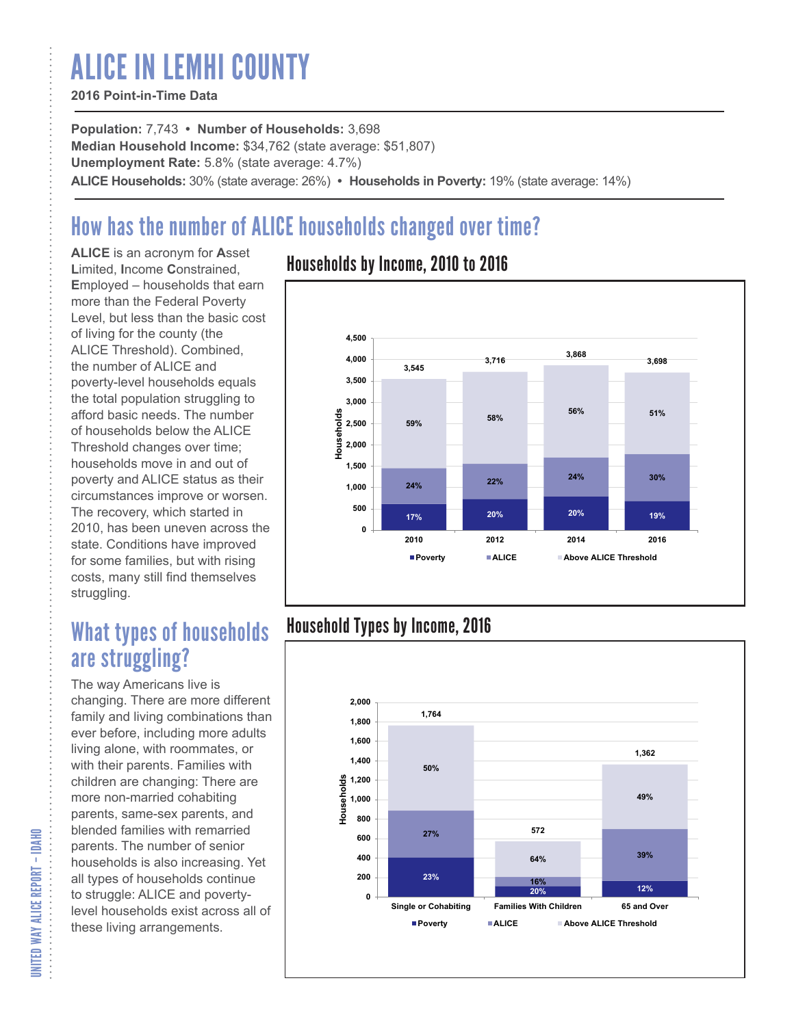# ALICE IN LEMHI COUNTY

#### **2016 Point-in-Time Data**

**Population:** 7,743 **• Number of Households:** 3,698 **Median Household Income:** \$34,762 (state average: \$51,807) **Unemployment Rate:** 5.8% (state average: 4.7%) **ALICE Households:** 30% (state average: 26%) **• Households in Poverty:** 19% (state average: 14%)

## How has the number of ALICE households changed over time?

**ALICE** is an acronym for **A**sset **L**imited, **I**ncome **C**onstrained, **E**mployed – households that earn more than the Federal Poverty Level, but less than the basic cost of living for the county (the ALICE Threshold). Combined, the number of ALICE and poverty-level households equals the total population struggling to afford basic needs. The number of households below the ALICE Threshold changes over time; households move in and out of poverty and ALICE status as their circumstances improve or worsen. The recovery, which started in 2010, has been uneven across the state. Conditions have improved for some families, but with rising costs, many still find themselves struggling.

## What types of households are struggling?

The way Americans live is changing. There are more different family and living combinations than ever before, including more adults living alone, with roommates, or with their parents. Families with children are changing: There are more non-married cohabiting parents, same-sex parents, and blended families with remarried parents. The number of senior households is also increasing. Yet all types of households continue to struggle: ALICE and povertylevel households exist across all of these living arrangements.

### Households by Income, 2010 to 2016



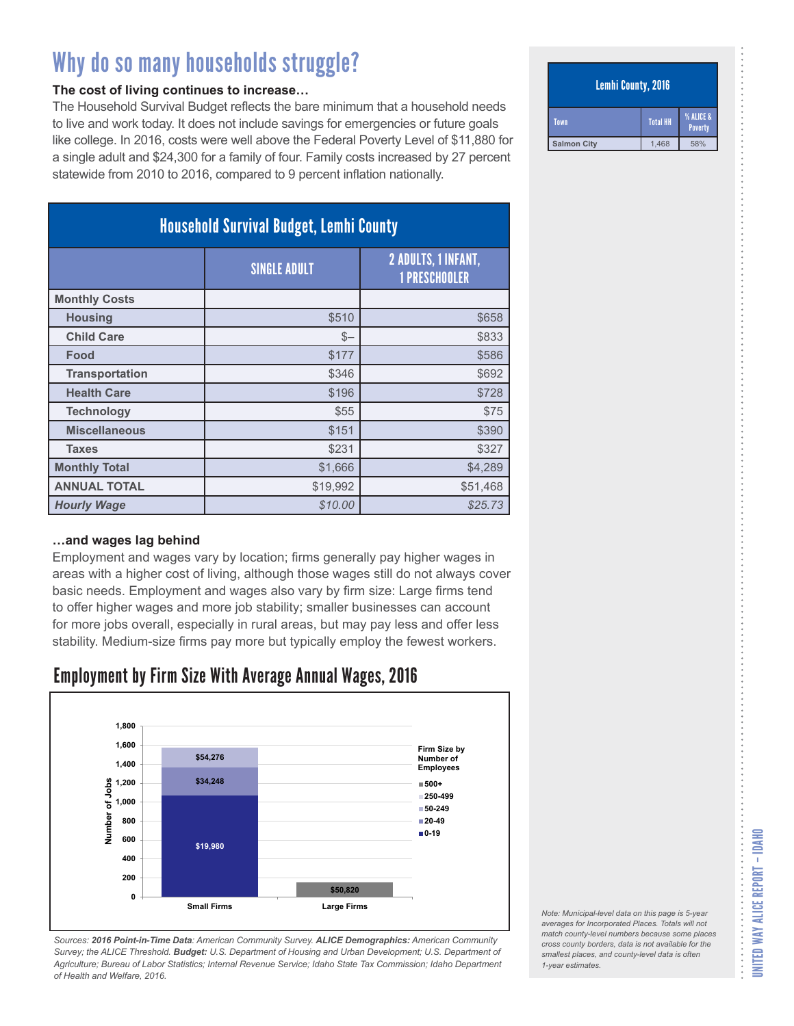#### **The cost of living continues to increase…**

The Household Survival Budget reflects the bare minimum that a household needs to live and work today. It does not include savings for emergencies or future goals like college. In 2016, costs were well above the Federal Poverty Level of \$11,880 for a single adult and \$24,300 for a family of four. Family costs increased by 27 percent statewide from 2010 to 2016, compared to 9 percent inflation nationally.

| <b>Household Survival Budget, Lemhi County</b> |                     |                                                    |
|------------------------------------------------|---------------------|----------------------------------------------------|
|                                                | <b>SINGLE ADULT</b> | <b>2 ADULTS, 1 INFANT,</b><br><b>1 PRESCHOOLER</b> |
| <b>Monthly Costs</b>                           |                     |                                                    |
| <b>Housing</b>                                 | \$510               | \$658                                              |
| <b>Child Care</b>                              | $S-$                | \$833                                              |
| Food                                           | \$177               | \$586                                              |
| <b>Transportation</b>                          | \$346               | \$692                                              |
| <b>Health Care</b>                             | \$196               | \$728                                              |
| <b>Technology</b>                              | \$55                | \$75                                               |
| <b>Miscellaneous</b>                           | \$151               | \$390                                              |
| <b>Taxes</b>                                   | \$231               | \$327                                              |
| <b>Monthly Total</b>                           | \$1,666             | \$4,289                                            |
| <b>ANNUAL TOTAL</b>                            | \$19,992            | \$51,468                                           |
| <b>Hourly Wage</b>                             | \$10.00             | \$25.73                                            |

#### **…and wages lag behind**

Employment and wages vary by location; firms generally pay higher wages in areas with a higher cost of living, although those wages still do not always cover basic needs. Employment and wages also vary by firm size: Large firms tend to offer higher wages and more job stability; smaller businesses can account for more jobs overall, especially in rural areas, but may pay less and offer less stability. Medium-size firms pay more but typically employ the fewest workers.

### Employment by Firm Size With Average Annual Wages, 2016



*Sources: 2016 Point-in-Time Data: American Community Survey. ALICE Demographics: American Community Survey; the ALICE Threshold. Budget: U.S. Department of Housing and Urban Development; U.S. Department of Agriculture; Bureau of Labor Statistics; Internal Revenue Service; Idaho State Tax Commission; Idaho Department of Health and Welfare, 2016.*

#### Lemhi County, 2016

| Town               | <b>Total HH</b> | % ALICE &<br>Poverty |
|--------------------|-----------------|----------------------|
| <b>Salmon City</b> | 1.468           | 58%                  |

*Note: Municipal-level data on this page is 5-year averages for Incorporated Places. Totals will not match county-level numbers because some places cross county borders, data is not available for the smallest places, and county-level data is often*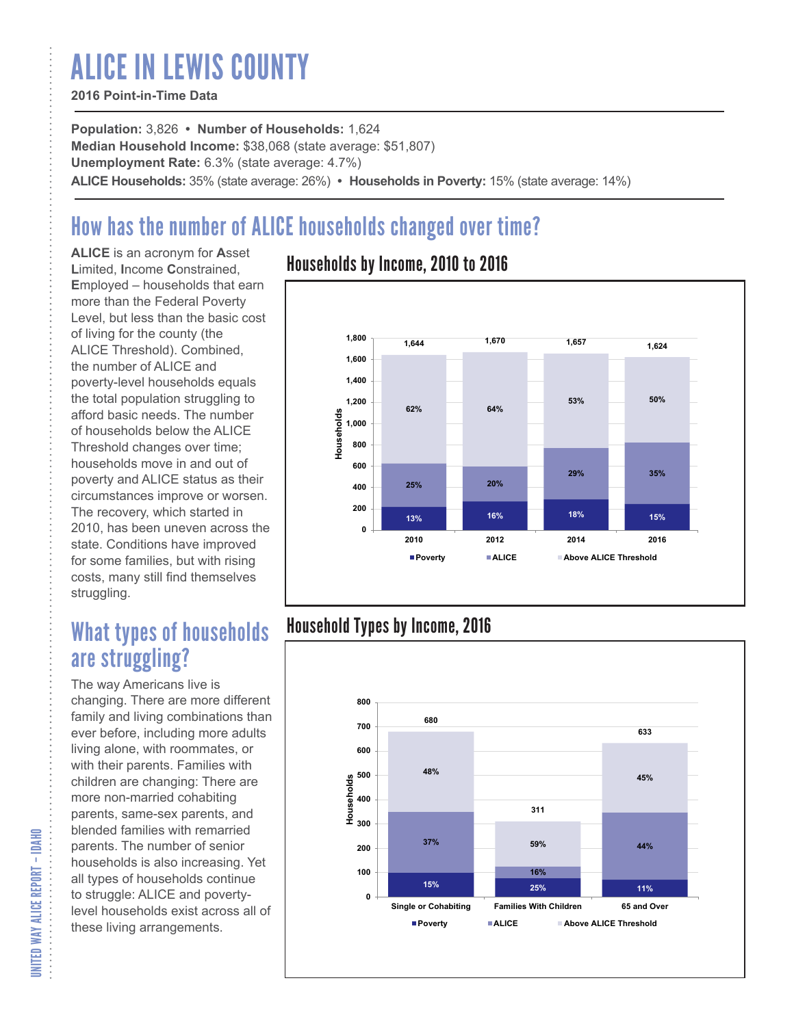# ALICE IN LEWIS COUNTY

#### **2016 Point-in-Time Data**

**Population:** 3,826 **• Number of Households:** 1,624 **Median Household Income:** \$38,068 (state average: \$51,807) **Unemployment Rate:** 6.3% (state average: 4.7%) **ALICE Households:** 35% (state average: 26%) **• Households in Poverty:** 15% (state average: 14%)

## How has the number of ALICE households changed over time?

**ALICE** is an acronym for **A**sset **L**imited, **I**ncome **C**onstrained, **E**mployed – households that earn more than the Federal Poverty Level, but less than the basic cost of living for the county (the ALICE Threshold). Combined, the number of ALICE and poverty-level households equals the total population struggling to afford basic needs. The number of households below the ALICE Threshold changes over time; households move in and out of poverty and ALICE status as their circumstances improve or worsen. The recovery, which started in 2010, has been uneven across the state. Conditions have improved for some families, but with rising costs, many still find themselves struggling.

## What types of households are struggling?

The way Americans live is changing. There are more different family and living combinations than ever before, including more adults living alone, with roommates, or with their parents. Families with children are changing: There are more non-married cohabiting parents, same-sex parents, and blended families with remarried parents. The number of senior households is also increasing. Yet all types of households continue to struggle: ALICE and povertylevel households exist across all of these living arrangements.

### Households by Income, 2010 to 2016



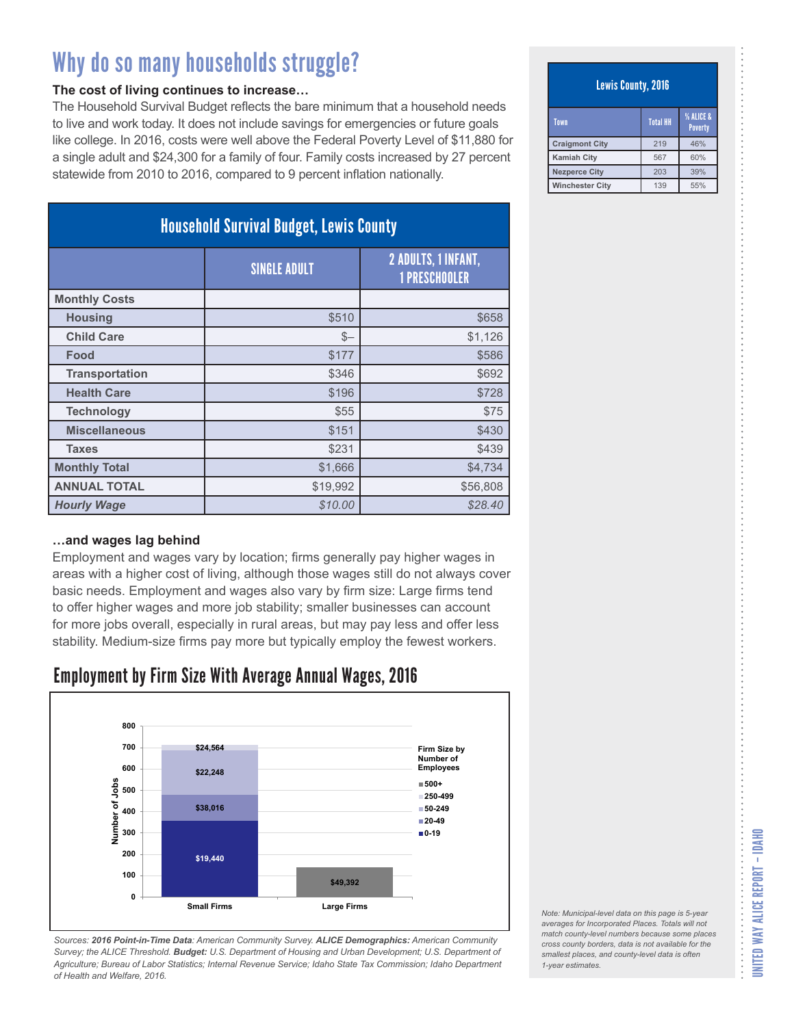#### **The cost of living continues to increase…**

The Household Survival Budget reflects the bare minimum that a household needs to live and work today. It does not include savings for emergencies or future goals like college. In 2016, costs were well above the Federal Poverty Level of \$11,880 for a single adult and \$24,300 for a family of four. Family costs increased by 27 percent statewide from 2010 to 2016, compared to 9 percent inflation nationally.

| <b>Household Survival Budget, Lewis County</b> |                     |                                                    |
|------------------------------------------------|---------------------|----------------------------------------------------|
|                                                | <b>SINGLE ADULT</b> | <b>2 ADULTS, 1 INFANT,</b><br><b>1 PRESCHOOLER</b> |
| <b>Monthly Costs</b>                           |                     |                                                    |
| <b>Housing</b>                                 | \$510               | \$658                                              |
| <b>Child Care</b>                              | $S-$                | \$1,126                                            |
| Food                                           | \$177               | \$586                                              |
| <b>Transportation</b>                          | \$346               | \$692                                              |
| <b>Health Care</b>                             | \$196               | \$728                                              |
| <b>Technology</b>                              | \$55                | \$75                                               |
| <b>Miscellaneous</b>                           | \$151               | \$430                                              |
| <b>Taxes</b>                                   | \$231               | \$439                                              |
| <b>Monthly Total</b>                           | \$1,666             | \$4,734                                            |
| <b>ANNUAL TOTAL</b>                            | \$19,992            | \$56,808                                           |
| <b>Hourly Wage</b>                             | \$10.00             | \$28.40                                            |

#### **…and wages lag behind**

Employment and wages vary by location; firms generally pay higher wages in areas with a higher cost of living, although those wages still do not always cover basic needs. Employment and wages also vary by firm size: Large firms tend to offer higher wages and more job stability; smaller businesses can account for more jobs overall, especially in rural areas, but may pay less and offer less stability. Medium-size firms pay more but typically employ the fewest workers.

### Employment by Firm Size With Average Annual Wages, 2016



*Sources: 2016 Point-in-Time Data: American Community Survey. ALICE Demographics: American Community Survey; the ALICE Threshold. Budget: U.S. Department of Housing and Urban Development; U.S. Department of Agriculture; Bureau of Labor Statistics; Internal Revenue Service; Idaho State Tax Commission; Idaho Department of Health and Welfare, 2016.*

#### Lewis County, 2016

| Town                   | <b>Total HH</b> | <b>% ALICE &amp;</b><br><b>Poverty</b> |
|------------------------|-----------------|----------------------------------------|
| <b>Craigmont City</b>  | 219             | 46%                                    |
| <b>Kamiah City</b>     | 567             | 60%                                    |
| <b>Nezperce City</b>   | 203             | 39%                                    |
| <b>Winchester City</b> | 139             | 55%                                    |

| Note: Municipal-level data on this page is 5-year   |
|-----------------------------------------------------|
| averages for Incorporated Places. Totals will not   |
| match county-level numbers because some places      |
| cross county borders, data is not available for the |
| smallest places, and county-level data is often     |
| 1-year estimates.                                   |
|                                                     |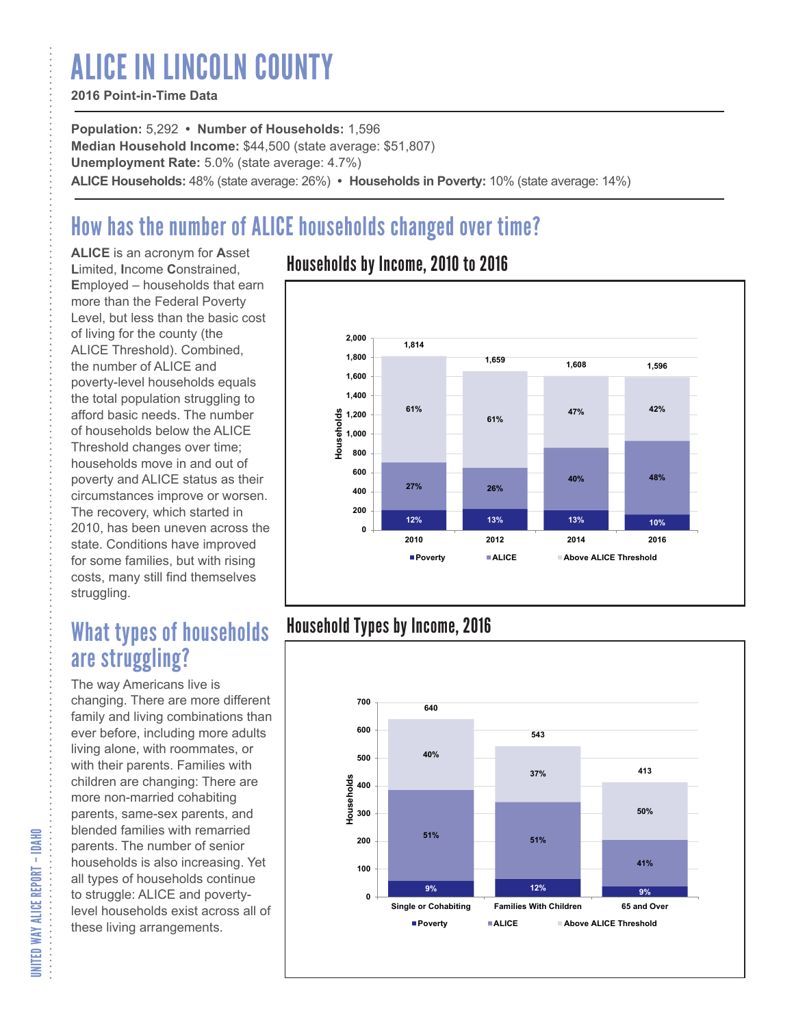# ALICE IN LINCOLN COUNTY

#### **2016 Point-in-Time Data**

**Population:** 5,292 **• Number of Households:** 1,596 **Median Household Income:** \$44,500 (state average: \$51,807) **Unemployment Rate:** 5.0% (state average: 4.7%) **ALICE Households:** 48% (state average: 26%) **• Households in Poverty:** 10% (state average: 14%)

## How has the number of ALICE households changed over time?

**ALICE** is an acronym for **A**sset **L**imited, **I**ncome **C**onstrained, **E**mployed – households that earn more than the Federal Poverty Level, but less than the basic cost of living for the county (the ALICE Threshold). Combined, the number of ALICE and poverty-level households equals the total population struggling to afford basic needs. The number of households below the ALICE Threshold changes over time; households move in and out of poverty and ALICE status as their circumstances improve or worsen. The recovery, which started in 2010, has been uneven across the state. Conditions have improved for some families, but with rising costs, many still find themselves struggling.

## What types of households are struggling?

The way Americans live is changing. There are more different family and living combinations than ever before, including more adults living alone, with roommates, or with their parents. Families with children are changing: There are more non-married cohabiting parents, same-sex parents, and blended families with remarried parents. The number of senior households is also increasing. Yet all types of households continue to struggle: ALICE and povertylevel households exist across all of these living arrangements.

### Households by Income, 2010 to 2016



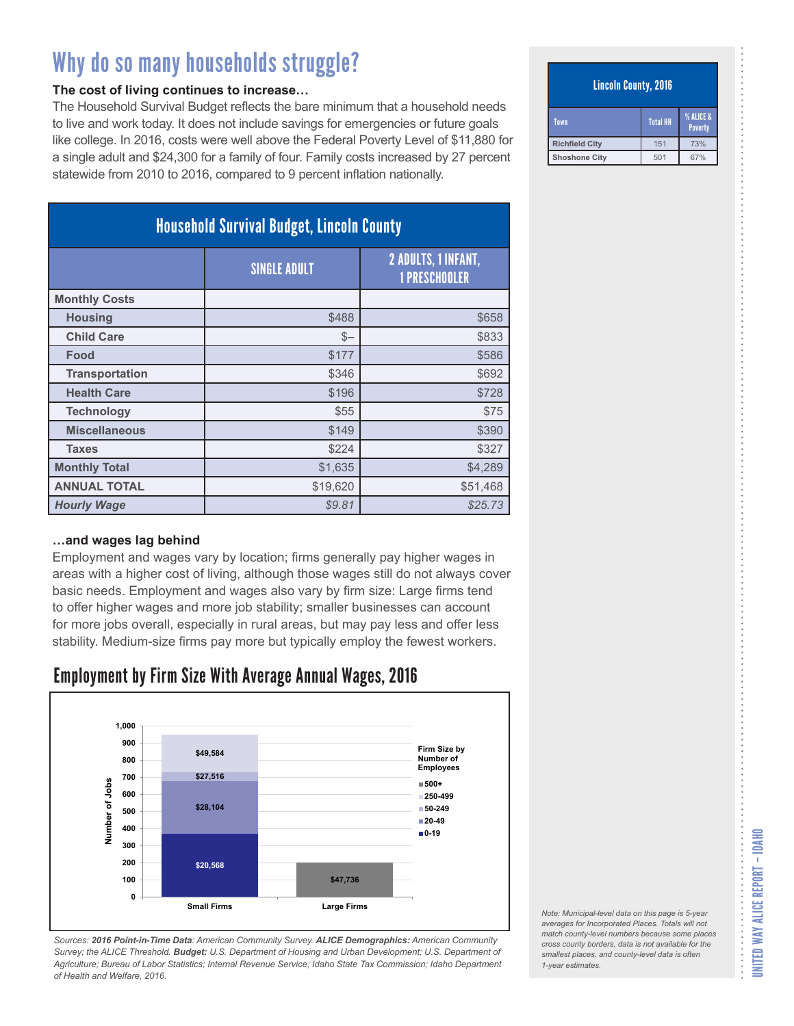#### **The cost of living continues to increase…**

The Household Survival Budget reflects the bare minimum that a household needs to live and work today. It does not include savings for emergencies or future goals like college. In 2016, costs were well above the Federal Poverty Level of \$11,880 for a single adult and \$24,300 for a family of four. Family costs increased by 27 percent statewide from 2010 to 2016, compared to 9 percent inflation nationally.

| <b>Household Survival Budget, Lincoln County</b> |                     |                                                    |
|--------------------------------------------------|---------------------|----------------------------------------------------|
|                                                  | <b>SINGLE ADULT</b> | <b>2 ADULTS, 1 INFANT,</b><br><b>1 PRESCHOOLER</b> |
| <b>Monthly Costs</b>                             |                     |                                                    |
| <b>Housing</b>                                   | \$488               | \$658                                              |
| <b>Child Care</b>                                | $S-$                | \$833                                              |
| Food                                             | \$177               | \$586                                              |
| <b>Transportation</b>                            | \$346               | \$692                                              |
| <b>Health Care</b>                               | \$196               | \$728                                              |
| <b>Technology</b>                                | \$55                | \$75                                               |
| <b>Miscellaneous</b>                             | \$149               | \$390                                              |
| <b>Taxes</b>                                     | \$224               | \$327                                              |
| <b>Monthly Total</b>                             | \$1,635             | \$4,289                                            |
| <b>ANNUAL TOTAL</b>                              | \$19,620            | \$51,468                                           |
| <b>Hourly Wage</b>                               | \$9.81              | \$25.73                                            |

#### **…and wages lag behind**

Employment and wages vary by location; firms generally pay higher wages in areas with a higher cost of living, although those wages still do not always cover basic needs. Employment and wages also vary by firm size: Large firms tend to offer higher wages and more job stability; smaller businesses can account for more jobs overall, especially in rural areas, but may pay less and offer less stability. Medium-size firms pay more but typically employ the fewest workers.

### Employment by Firm Size With Average Annual Wages, 2016



*Sources: 2016 Point-in-Time Data: American Community Survey. ALICE Demographics: American Community Survey; the ALICE Threshold. Budget: U.S. Department of Housing and Urban Development; U.S. Department of Agriculture; Bureau of Labor Statistics; Internal Revenue Service; Idaho State Tax Commission; Idaho Department of Health and Welfare, 2016.*

#### Lincoln County, 2016

| Town                  | <b>Total HH</b> | % ALICE &<br><b>Poverty</b> |
|-----------------------|-----------------|-----------------------------|
| <b>Richfield City</b> | 151             | 73%                         |
| <b>Shoshone City</b>  | 501             | 67%                         |

*Note: Municipal-level data on this page is 5-year averages for Incorporated Places. Totals will not match county-level numbers because some places cross county borders, data is not available for the smallest places, and county-level data is often*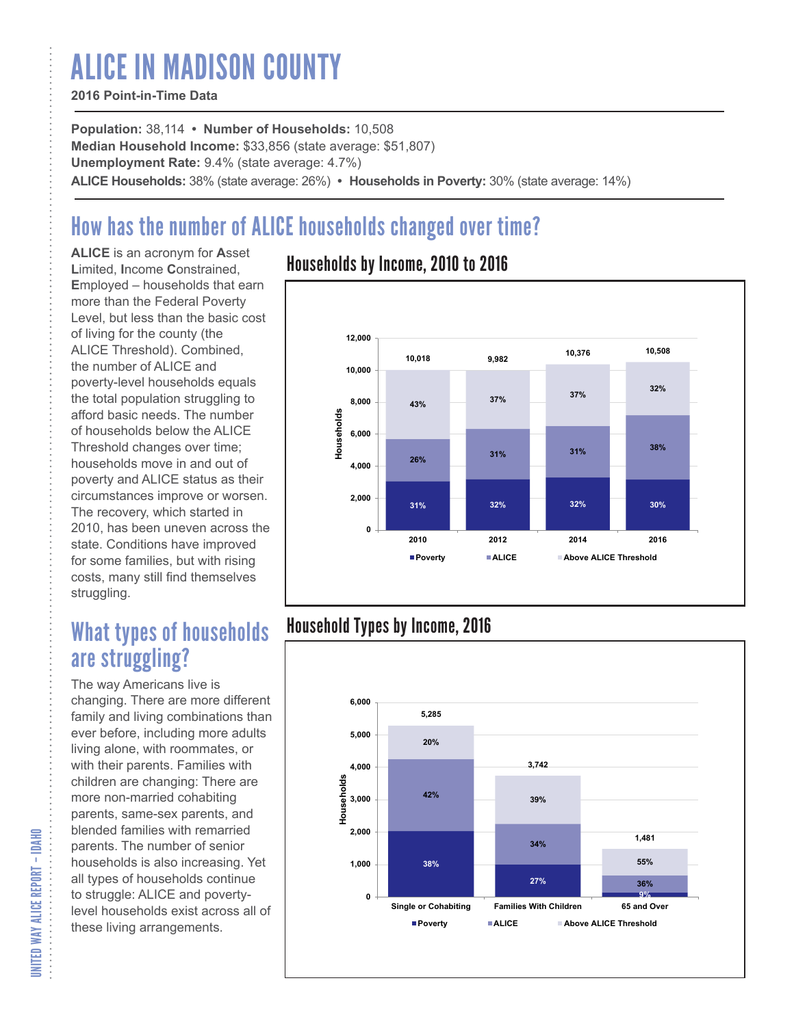# ALICE IN MADISON COUNTY

#### **2016 Point-in-Time Data**

**Population:** 38,114 **• Number of Households:** 10,508 **Median Household Income:** \$33,856 (state average: \$51,807) **Unemployment Rate:** 9.4% (state average: 4.7%) **ALICE Households:** 38% (state average: 26%) **• Households in Poverty:** 30% (state average: 14%)

## How has the number of ALICE households changed over time?

**ALICE** is an acronym for **A**sset **L**imited, **I**ncome **C**onstrained, **E**mployed – households that earn more than the Federal Poverty Level, but less than the basic cost of living for the county (the ALICE Threshold). Combined, the number of ALICE and poverty-level households equals the total population struggling to afford basic needs. The number of households below the ALICE Threshold changes over time; households move in and out of poverty and ALICE status as their circumstances improve or worsen. The recovery, which started in 2010, has been uneven across the state. Conditions have improved for some families, but with rising costs, many still find themselves struggling.

## What types of households are struggling?

The way Americans live is changing. There are more different family and living combinations than ever before, including more adults living alone, with roommates, or with their parents. Families with children are changing: There are more non-married cohabiting parents, same-sex parents, and blended families with remarried parents. The number of senior households is also increasing. Yet all types of households continue to struggle: ALICE and povertylevel households exist across all of these living arrangements.

### Households by Income, 2010 to 2016



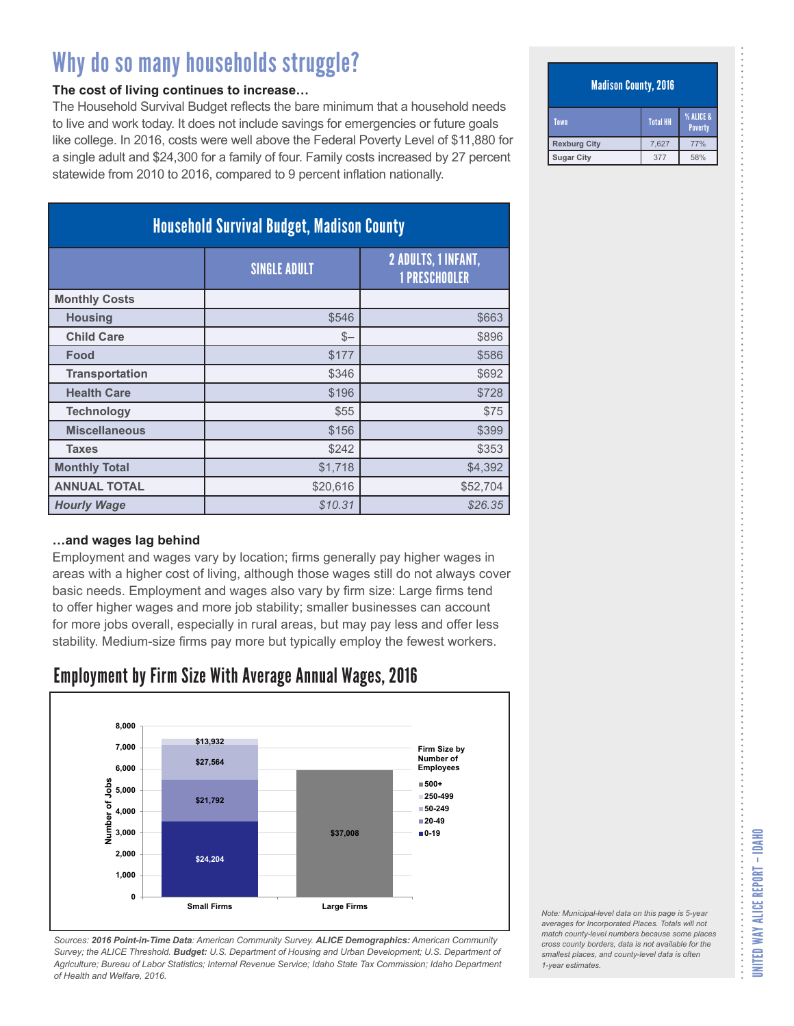#### **The cost of living continues to increase…**

The Household Survival Budget reflects the bare minimum that a household needs to live and work today. It does not include savings for emergencies or future goals like college. In 2016, costs were well above the Federal Poverty Level of \$11,880 for a single adult and \$24,300 for a family of four. Family costs increased by 27 percent statewide from 2010 to 2016, compared to 9 percent inflation nationally.

| <b>Household Survival Budget, Madison County</b> |                     |                                             |
|--------------------------------------------------|---------------------|---------------------------------------------|
|                                                  | <b>SINGLE ADULT</b> | 2 ADULTS, 1 INFANT,<br><b>1 PRESCHOOLER</b> |
| <b>Monthly Costs</b>                             |                     |                                             |
| <b>Housing</b>                                   | \$546               | \$663                                       |
| <b>Child Care</b>                                | $S-$                | \$896                                       |
| Food                                             | \$177               | \$586                                       |
| <b>Transportation</b>                            | \$346               | \$692                                       |
| <b>Health Care</b>                               | \$196               | \$728                                       |
| <b>Technology</b>                                | \$55                | \$75                                        |
| <b>Miscellaneous</b>                             | \$156               | \$399                                       |
| <b>Taxes</b>                                     | \$242               | \$353                                       |
| <b>Monthly Total</b>                             | \$1,718             | \$4,392                                     |
| <b>ANNUAL TOTAL</b>                              | \$20,616            | \$52,704                                    |
| <b>Hourly Wage</b>                               | \$10.31             | \$26.35                                     |

#### **…and wages lag behind**

Employment and wages vary by location; firms generally pay higher wages in areas with a higher cost of living, although those wages still do not always cover basic needs. Employment and wages also vary by firm size: Large firms tend to offer higher wages and more job stability; smaller businesses can account for more jobs overall, especially in rural areas, but may pay less and offer less stability. Medium-size firms pay more but typically employ the fewest workers.

### Employment by Firm Size With Average Annual Wages, 2016



*Sources: 2016 Point-in-Time Data: American Community Survey. ALICE Demographics: American Community Survey; the ALICE Threshold. Budget: U.S. Department of Housing and Urban Development; U.S. Department of Agriculture; Bureau of Labor Statistics; Internal Revenue Service; Idaho State Tax Commission; Idaho Department of Health and Welfare, 2016.*

#### Madison County, 2016

| <b>Town</b>         | Total HH | <b>% ALICE &amp;</b><br><b>Poverty</b> |
|---------------------|----------|----------------------------------------|
| <b>Rexburg City</b> | 7.627    | 77%                                    |
| <b>Sugar City</b>   | 377      | 58%                                    |

*Note: Municipal-level data on this page is 5-year averages for Incorporated Places. Totals will not match county-level numbers because some places cross county borders, data is not available for the smallest places, and county-level data is often*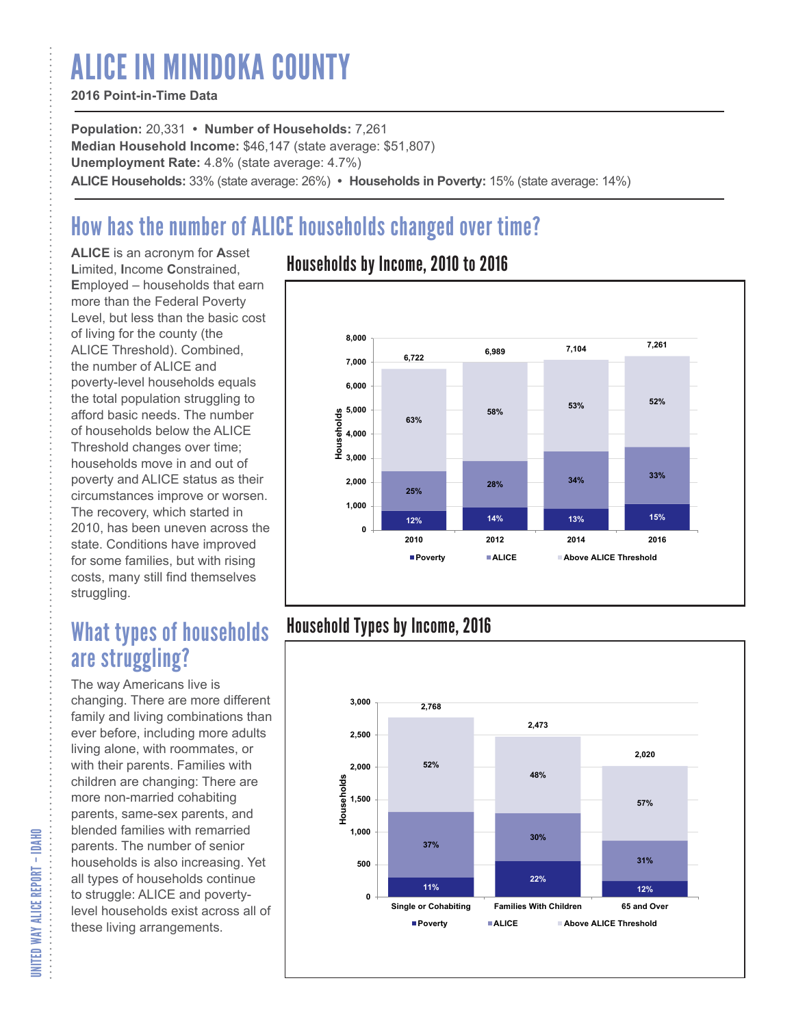# ALICE IN MINIDOKA COUNTY

#### **2016 Point-in-Time Data**

**Population:** 20,331 **• Number of Households:** 7,261 **Median Household Income:** \$46,147 (state average: \$51,807) **Unemployment Rate:** 4.8% (state average: 4.7%) **ALICE Households:** 33% (state average: 26%) **• Households in Poverty:** 15% (state average: 14%)

## How has the number of ALICE households changed over time?

**ALICE** is an acronym for **A**sset **L**imited, **I**ncome **C**onstrained, **E**mployed – households that earn more than the Federal Poverty Level, but less than the basic cost of living for the county (the ALICE Threshold). Combined, the number of ALICE and poverty-level households equals the total population struggling to afford basic needs. The number of households below the ALICE Threshold changes over time; households move in and out of poverty and ALICE status as their circumstances improve or worsen. The recovery, which started in 2010, has been uneven across the state. Conditions have improved for some families, but with rising costs, many still find themselves struggling.

## What types of households are struggling?

The way Americans live is changing. There are more different family and living combinations than ever before, including more adults living alone, with roommates, or with their parents. Families with children are changing: There are more non-married cohabiting parents, same-sex parents, and blended families with remarried parents. The number of senior households is also increasing. Yet all types of households continue to struggle: ALICE and povertylevel households exist across all of these living arrangements.

### Households by Income, 2010 to 2016



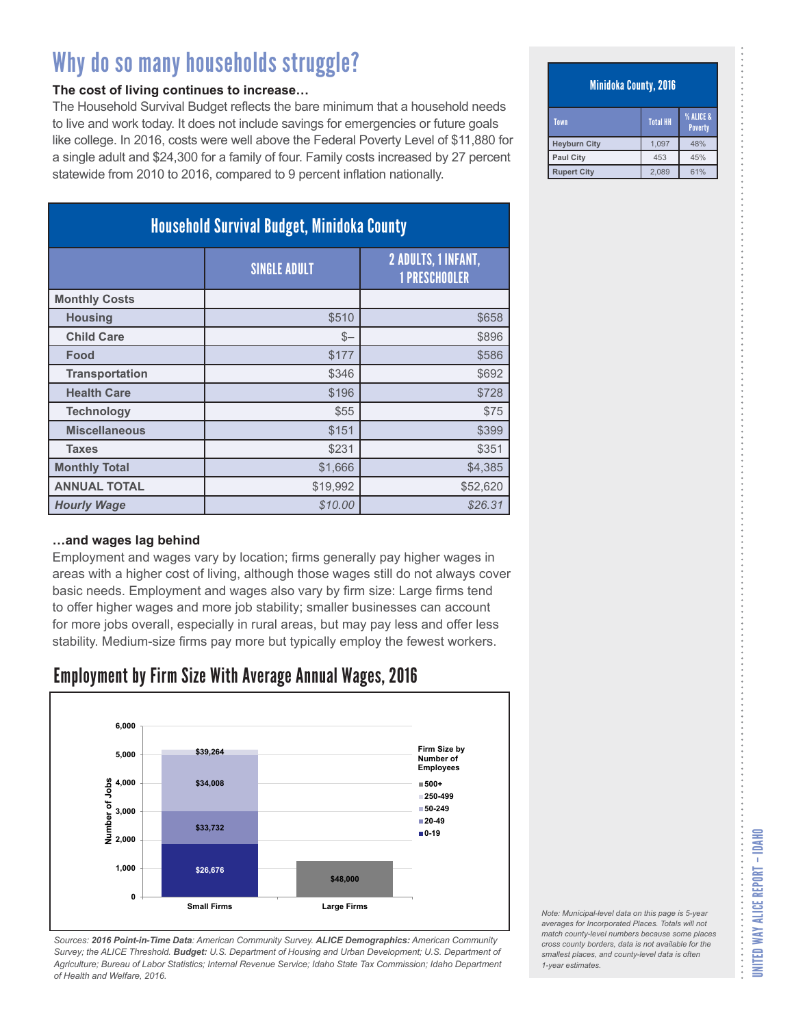#### **The cost of living continues to increase…**

The Household Survival Budget reflects the bare minimum that a household needs to live and work today. It does not include savings for emergencies or future goals like college. In 2016, costs were well above the Federal Poverty Level of \$11,880 for a single adult and \$24,300 for a family of four. Family costs increased by 27 percent statewide from 2010 to 2016, compared to 9 percent inflation nationally.

| <b>Household Survival Budget, Minidoka County</b> |                     |                                             |
|---------------------------------------------------|---------------------|---------------------------------------------|
|                                                   | <b>SINGLE ADULT</b> | 2 ADULTS, 1 INFANT,<br><b>1 PRESCHOOLER</b> |
| <b>Monthly Costs</b>                              |                     |                                             |
| <b>Housing</b>                                    | \$510               | \$658                                       |
| <b>Child Care</b>                                 | $S-$                | \$896                                       |
| Food                                              | \$177               | \$586                                       |
| <b>Transportation</b>                             | \$346               | \$692                                       |
| <b>Health Care</b>                                | \$196               | \$728                                       |
| <b>Technology</b>                                 | \$55                | \$75                                        |
| <b>Miscellaneous</b>                              | \$151               | \$399                                       |
| <b>Taxes</b>                                      | \$231               | \$351                                       |
| <b>Monthly Total</b>                              | \$1,666             | \$4,385                                     |
| <b>ANNUAL TOTAL</b>                               | \$19,992            | \$52,620                                    |
| <b>Hourly Wage</b>                                | \$10.00             | \$26.31                                     |

#### **…and wages lag behind**

Employment and wages vary by location; firms generally pay higher wages in areas with a higher cost of living, although those wages still do not always cover basic needs. Employment and wages also vary by firm size: Large firms tend to offer higher wages and more job stability; smaller businesses can account for more jobs overall, especially in rural areas, but may pay less and offer less stability. Medium-size firms pay more but typically employ the fewest workers.

### Employment by Firm Size With Average Annual Wages, 2016



*Sources: 2016 Point-in-Time Data: American Community Survey. ALICE Demographics: American Community Survey; the ALICE Threshold. Budget: U.S. Department of Housing and Urban Development; U.S. Department of Agriculture; Bureau of Labor Statistics; Internal Revenue Service; Idaho State Tax Commission; Idaho Department of Health and Welfare, 2016.*

#### Minidoka County, 2016

| Town                | <b>Total HH</b> | <b>% ALICE &amp;</b><br><b>Poverty</b> |
|---------------------|-----------------|----------------------------------------|
| <b>Heyburn City</b> | 1.097           | 48%                                    |
| <b>Paul City</b>    | 453             | 45%                                    |
| <b>Rupert City</b>  | 2,089           | 61%                                    |

| Note: Municipal-level data on this page is 5-year   |
|-----------------------------------------------------|
| averages for Incorporated Places. Totals will not   |
| match county-level numbers because some places      |
| cross county borders, data is not available for the |
| smallest places, and county-level data is often     |
| 1-year estimates.                                   |
|                                                     |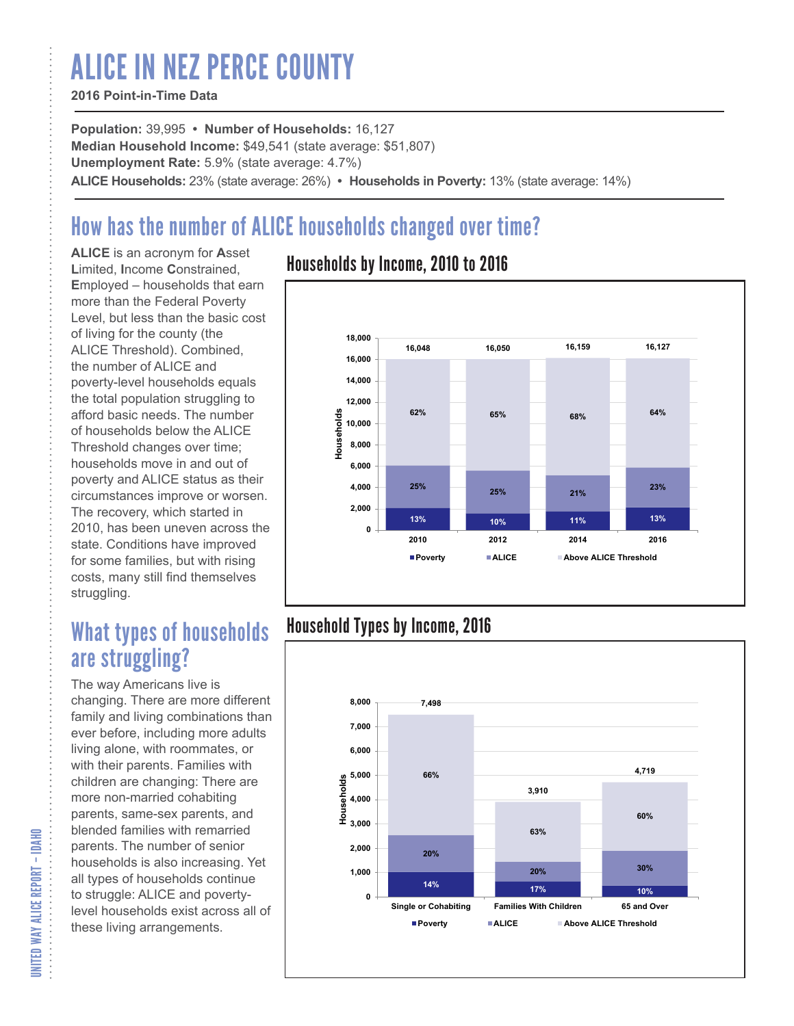# ALICE IN NEZ PERCE COUNTY

#### **2016 Point-in-Time Data**

**Population:** 39,995 **• Number of Households:** 16,127 **Median Household Income:** \$49,541 (state average: \$51,807) **Unemployment Rate:** 5.9% (state average: 4.7%) **ALICE Households:** 23% (state average: 26%) **• Households in Poverty:** 13% (state average: 14%)

## How has the number of ALICE households changed over time?

**ALICE** is an acronym for **A**sset **L**imited, **I**ncome **C**onstrained, **E**mployed – households that earn more than the Federal Poverty Level, but less than the basic cost of living for the county (the ALICE Threshold). Combined, the number of ALICE and poverty-level households equals the total population struggling to afford basic needs. The number of households below the ALICE Threshold changes over time; households move in and out of poverty and ALICE status as their circumstances improve or worsen. The recovery, which started in 2010, has been uneven across the state. Conditions have improved for some families, but with rising costs, many still find themselves struggling.

## What types of households are struggling?

The way Americans live is changing. There are more different family and living combinations than ever before, including more adults living alone, with roommates, or with their parents. Families with children are changing: There are more non-married cohabiting parents, same-sex parents, and blended families with remarried parents. The number of senior households is also increasing. Yet all types of households continue to struggle: ALICE and povertylevel households exist across all of these living arrangements.

### Households by Income, 2010 to 2016



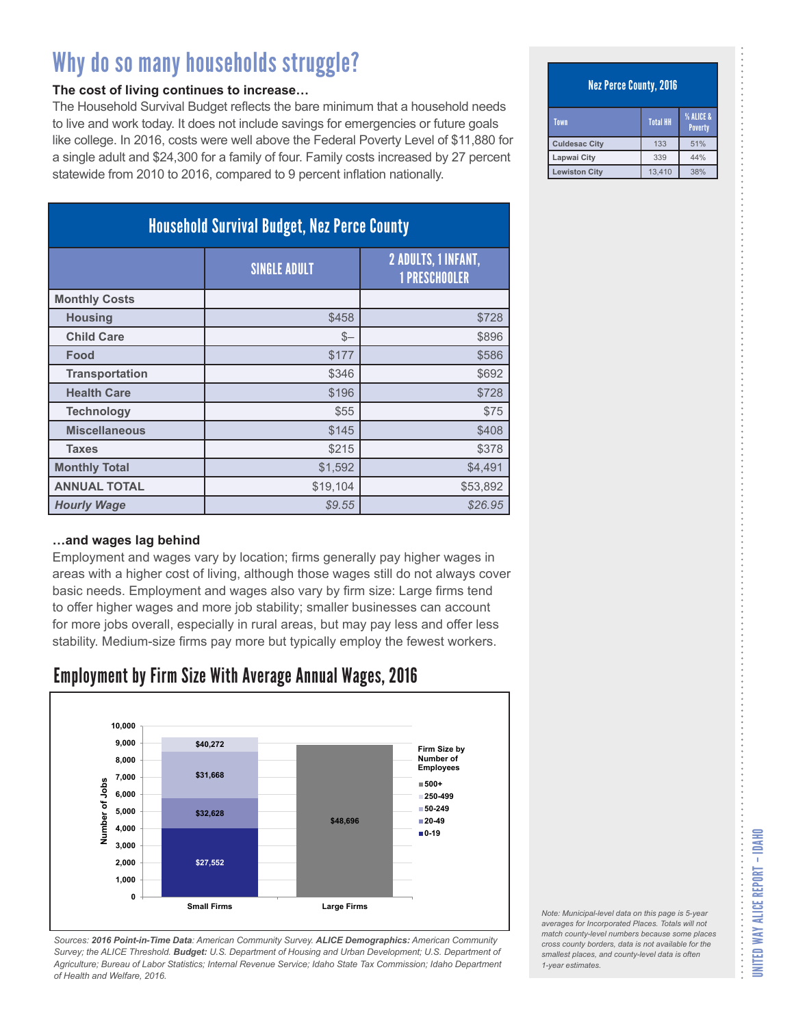#### **The cost of living continues to increase…**

The Household Survival Budget reflects the bare minimum that a household needs to live and work today. It does not include savings for emergencies or future goals like college. In 2016, costs were well above the Federal Poverty Level of \$11,880 for a single adult and \$24,300 for a family of four. Family costs increased by 27 percent statewide from 2010 to 2016, compared to 9 percent inflation nationally.

| <b>Household Survival Budget, Nez Perce County</b> |                     |                                                    |  |  |
|----------------------------------------------------|---------------------|----------------------------------------------------|--|--|
|                                                    | <b>SINGLE ADULT</b> | <b>2 ADULTS, 1 INFANT,</b><br><b>1 PRESCHOOLER</b> |  |  |
| <b>Monthly Costs</b>                               |                     |                                                    |  |  |
| <b>Housing</b>                                     | \$458               | \$728                                              |  |  |
| <b>Child Care</b>                                  | $S-$                | \$896                                              |  |  |
| Food                                               | \$177               | \$586                                              |  |  |
| <b>Transportation</b>                              | \$346               | \$692                                              |  |  |
| <b>Health Care</b>                                 | \$196               | \$728                                              |  |  |
| <b>Technology</b>                                  | \$55                | \$75                                               |  |  |
| <b>Miscellaneous</b>                               | \$145               | \$408                                              |  |  |
| <b>Taxes</b>                                       | \$215               | \$378                                              |  |  |
| <b>Monthly Total</b>                               | \$1,592             | \$4,491                                            |  |  |
| <b>ANNUAL TOTAL</b>                                | \$19,104            | \$53,892                                           |  |  |
| <b>Hourly Wage</b>                                 | \$9.55              | \$26.95                                            |  |  |

#### **…and wages lag behind**

Employment and wages vary by location; firms generally pay higher wages in areas with a higher cost of living, although those wages still do not always cover basic needs. Employment and wages also vary by firm size: Large firms tend to offer higher wages and more job stability; smaller businesses can account for more jobs overall, especially in rural areas, but may pay less and offer less stability. Medium-size firms pay more but typically employ the fewest workers.

### Employment by Firm Size With Average Annual Wages, 2016



*Sources: 2016 Point-in-Time Data: American Community Survey. ALICE Demographics: American Community Survey; the ALICE Threshold. Budget: U.S. Department of Housing and Urban Development; U.S. Department of Agriculture; Bureau of Labor Statistics; Internal Revenue Service; Idaho State Tax Commission; Idaho Department of Health and Welfare, 2016.*

#### Nez Perce County, 2016

| Town                 | <b>Total HH</b> | <b>% ALICE &amp;</b><br><b>Poverty</b> |
|----------------------|-----------------|----------------------------------------|
| <b>Culdesac City</b> | 133             | 51%                                    |
| Lapwai City          | 339             | 44%                                    |
| <b>Lewiston City</b> | 13.410          | 38%                                    |

UNITED WAY ALICE REPORT – IDAHO

UNITED WAY ALICE REPORT - IDAHO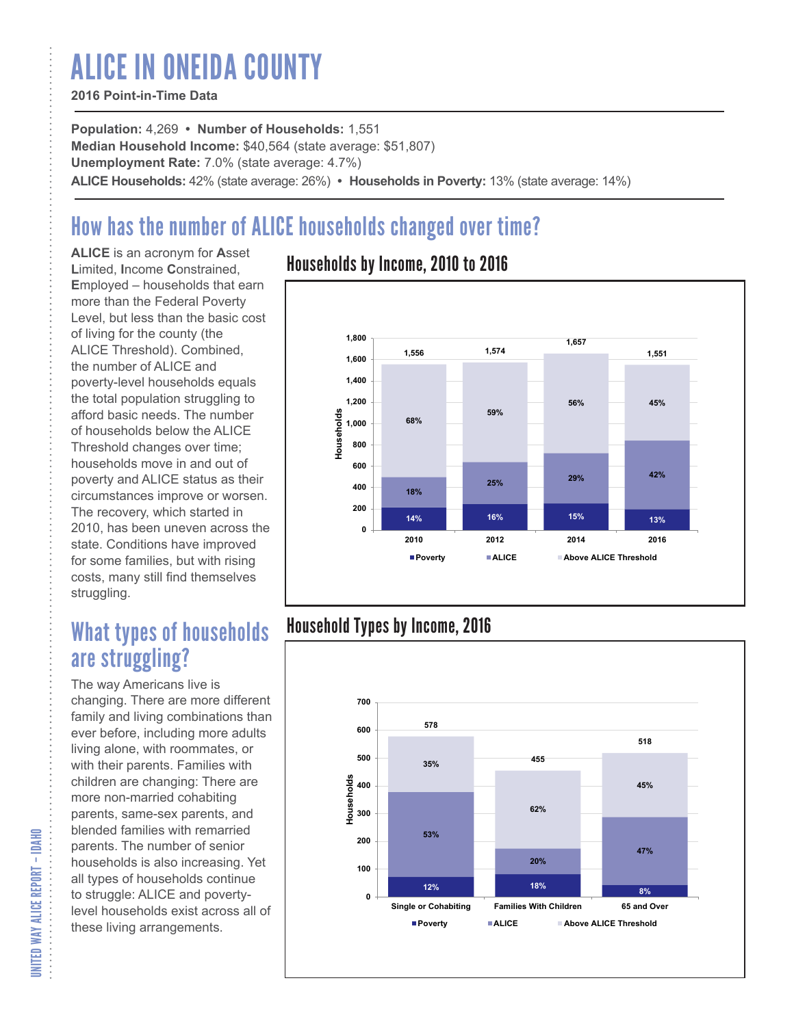# ALICE IN ONEIDA COUNTY

#### **2016 Point-in-Time Data**

**Population:** 4,269 **• Number of Households:** 1,551 **Median Household Income:** \$40,564 (state average: \$51,807) **Unemployment Rate:** 7.0% (state average: 4.7%) **ALICE Households:** 42% (state average: 26%) **• Households in Poverty:** 13% (state average: 14%)

## How has the number of ALICE households changed over time?

**ALICE** is an acronym for **A**sset **L**imited, **I**ncome **C**onstrained, **E**mployed – households that earn more than the Federal Poverty Level, but less than the basic cost of living for the county (the ALICE Threshold). Combined, the number of ALICE and poverty-level households equals the total population struggling to afford basic needs. The number of households below the ALICE Threshold changes over time; households move in and out of poverty and ALICE status as their circumstances improve or worsen. The recovery, which started in 2010, has been uneven across the state. Conditions have improved for some families, but with rising costs, many still find themselves struggling.

## What types of households are struggling?

The way Americans live is changing. There are more different family and living combinations than ever before, including more adults living alone, with roommates, or with their parents. Families with children are changing: There are more non-married cohabiting parents, same-sex parents, and blended families with remarried parents. The number of senior households is also increasing. Yet all types of households continue to struggle: ALICE and povertylevel households exist across all of these living arrangements.

### Households by Income, 2010 to 2016



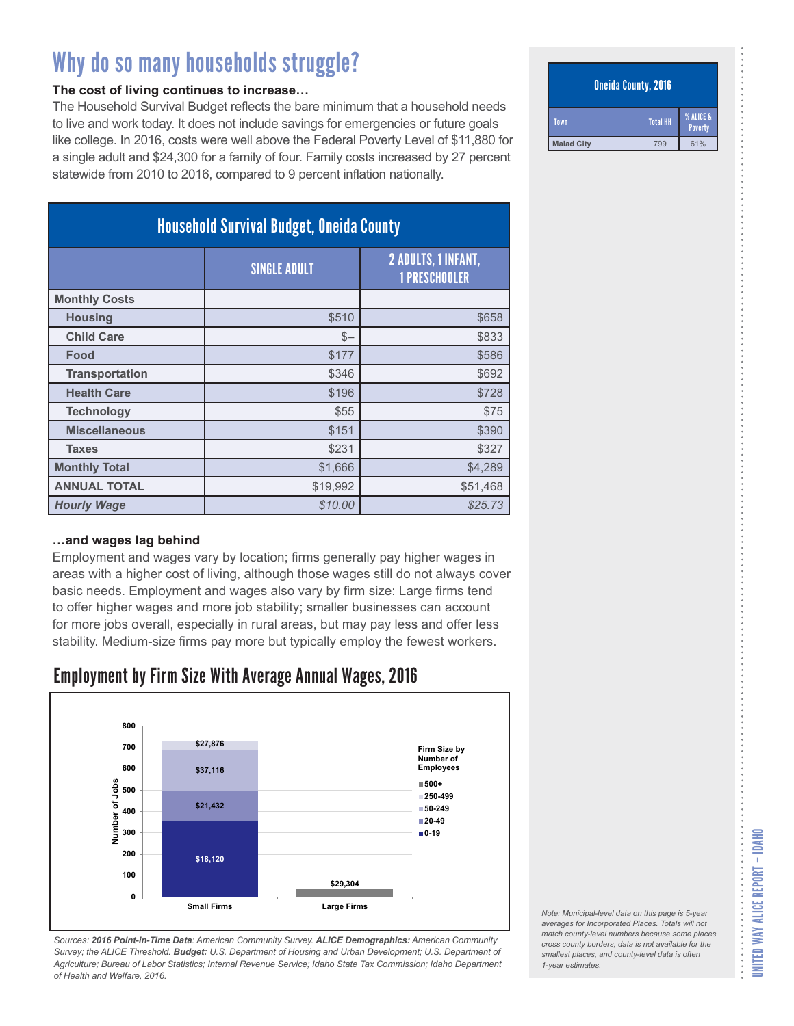#### **The cost of living continues to increase…**

The Household Survival Budget reflects the bare minimum that a household needs to live and work today. It does not include savings for emergencies or future goals like college. In 2016, costs were well above the Federal Poverty Level of \$11,880 for a single adult and \$24,300 for a family of four. Family costs increased by 27 percent statewide from 2010 to 2016, compared to 9 percent inflation nationally.

| <b>Household Survival Budget, Oneida County</b> |                     |                                                    |  |  |
|-------------------------------------------------|---------------------|----------------------------------------------------|--|--|
|                                                 | <b>SINGLE ADULT</b> | <b>2 ADULTS, 1 INFANT,</b><br><b>1 PRESCHOOLER</b> |  |  |
| <b>Monthly Costs</b>                            |                     |                                                    |  |  |
| <b>Housing</b>                                  | \$510               | \$658                                              |  |  |
| <b>Child Care</b>                               | $S-$                | \$833                                              |  |  |
| Food                                            | \$177               | \$586                                              |  |  |
| <b>Transportation</b>                           | \$346               | \$692                                              |  |  |
| <b>Health Care</b>                              | \$196               | \$728                                              |  |  |
| <b>Technology</b>                               | \$55                | \$75                                               |  |  |
| <b>Miscellaneous</b>                            | \$151               | \$390                                              |  |  |
| <b>Taxes</b>                                    | \$231               | \$327                                              |  |  |
| <b>Monthly Total</b>                            | \$1,666             | \$4,289                                            |  |  |
| <b>ANNUAL TOTAL</b>                             | \$19,992            | \$51,468                                           |  |  |
| <b>Hourly Wage</b>                              | \$10.00             | \$25.73                                            |  |  |

#### **…and wages lag behind**

Employment and wages vary by location; firms generally pay higher wages in areas with a higher cost of living, although those wages still do not always cover basic needs. Employment and wages also vary by firm size: Large firms tend to offer higher wages and more job stability; smaller businesses can account for more jobs overall, especially in rural areas, but may pay less and offer less stability. Medium-size firms pay more but typically employ the fewest workers.

### Employment by Firm Size With Average Annual Wages, 2016



*Sources: 2016 Point-in-Time Data: American Community Survey. ALICE Demographics: American Community Survey; the ALICE Threshold. Budget: U.S. Department of Housing and Urban Development; U.S. Department of Agriculture; Bureau of Labor Statistics; Internal Revenue Service; Idaho State Tax Commission; Idaho Department of Health and Welfare, 2016.*

#### Oneida County, 2016

| Town              | <b>Total HH</b> | % ALICE &<br>Poverty |
|-------------------|-----------------|----------------------|
| <b>Malad City</b> | чч              | 61%                  |

*Note: Municipal-level data on this page is 5-year averages for Incorporated Places. Totals will not match county-level numbers because some places cross county borders, data is not available for the smallest places, and county-level data is often 1-year estimates.*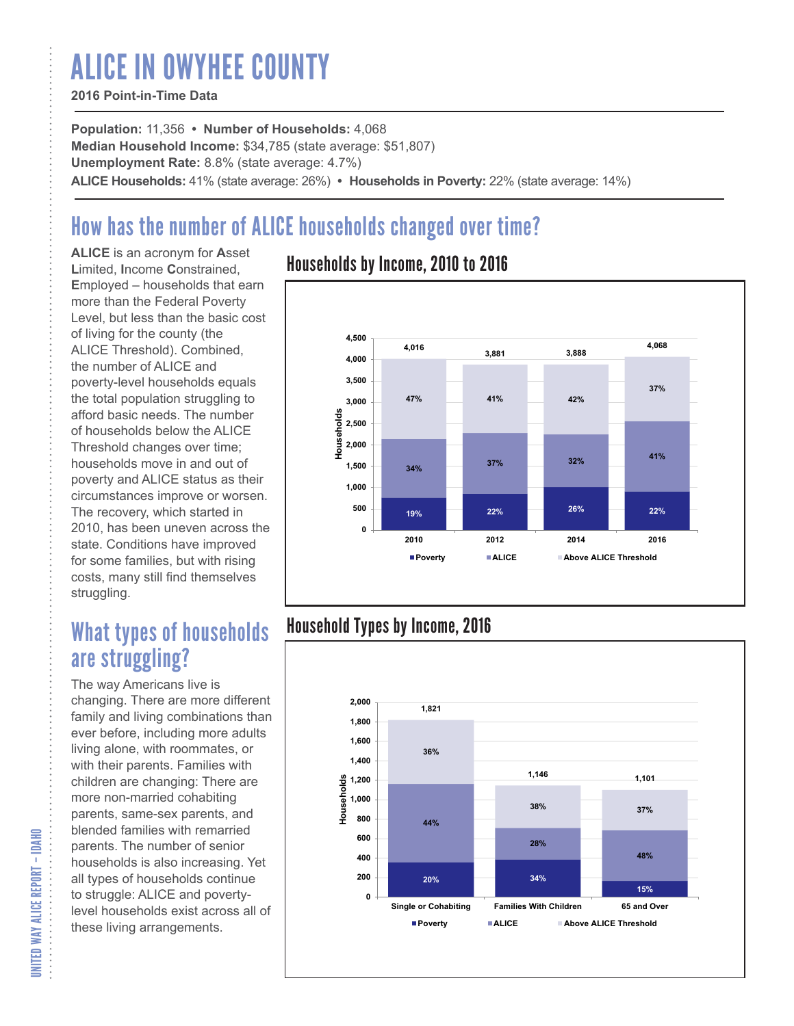# ALICE IN OWYHEE COUNTY

### **2016 Point-in-Time Data**

**Population:** 11,356 **• Number of Households:** 4,068 **Median Household Income:** \$34,785 (state average: \$51,807) **Unemployment Rate:** 8.8% (state average: 4.7%) **ALICE Households:** 41% (state average: 26%) **• Households in Poverty:** 22% (state average: 14%)

# How has the number of ALICE households changed over time?

**ALICE** is an acronym for **A**sset **L**imited, **I**ncome **C**onstrained, **E**mployed – households that earn more than the Federal Poverty Level, but less than the basic cost of living for the county (the ALICE Threshold). Combined, the number of ALICE and poverty-level households equals the total population struggling to afford basic needs. The number of households below the ALICE Threshold changes over time; households move in and out of poverty and ALICE status as their circumstances improve or worsen. The recovery, which started in 2010, has been uneven across the state. Conditions have improved for some families, but with rising costs, many still find themselves struggling.

## What types of households are struggling?

The way Americans live is changing. There are more different family and living combinations than ever before, including more adults living alone, with roommates, or with their parents. Families with children are changing: There are more non-married cohabiting parents, same-sex parents, and blended families with remarried parents. The number of senior households is also increasing. Yet all types of households continue to struggle: ALICE and povertylevel households exist across all of these living arrangements.

### Households by Income, 2010 to 2016



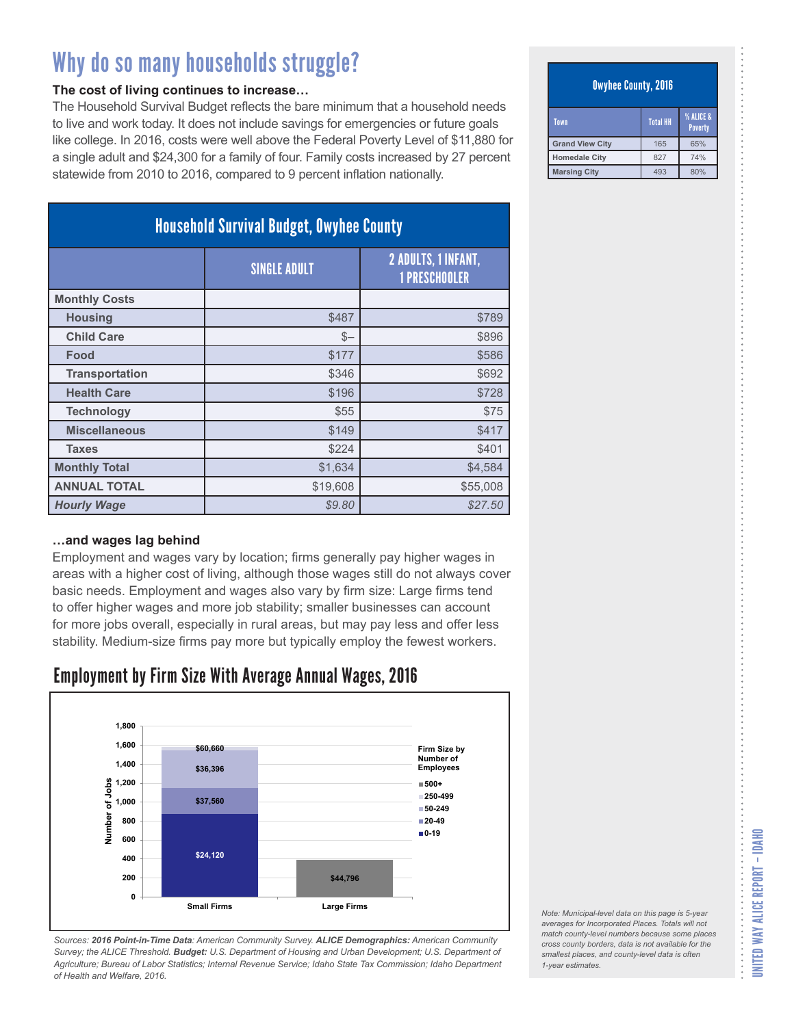#### **The cost of living continues to increase…**

The Household Survival Budget reflects the bare minimum that a household needs to live and work today. It does not include savings for emergencies or future goals like college. In 2016, costs were well above the Federal Poverty Level of \$11,880 for a single adult and \$24,300 for a family of four. Family costs increased by 27 percent statewide from 2010 to 2016, compared to 9 percent inflation nationally.

| <b>Household Survival Budget, Owyhee County</b> |                     |                                                    |
|-------------------------------------------------|---------------------|----------------------------------------------------|
|                                                 | <b>SINGLE ADULT</b> | <b>2 ADULTS, 1 INFANT,</b><br><b>1 PRESCHOOLER</b> |
| <b>Monthly Costs</b>                            |                     |                                                    |
| <b>Housing</b>                                  | \$487               | \$789                                              |
| <b>Child Care</b>                               | $S-$                | \$896                                              |
| Food                                            | \$177               | \$586                                              |
| <b>Transportation</b>                           | \$346               | \$692                                              |
| <b>Health Care</b>                              | \$196               | \$728                                              |
| <b>Technology</b>                               | \$55                | \$75                                               |
| <b>Miscellaneous</b>                            | \$149               | \$417                                              |
| <b>Taxes</b>                                    | \$224               | \$401                                              |
| <b>Monthly Total</b>                            | \$1,634             | \$4,584                                            |
| <b>ANNUAL TOTAL</b>                             | \$19,608            | \$55,008                                           |
| <b>Hourly Wage</b>                              | \$9.80              | \$27.50                                            |

#### **…and wages lag behind**

Employment and wages vary by location; firms generally pay higher wages in areas with a higher cost of living, although those wages still do not always cover basic needs. Employment and wages also vary by firm size: Large firms tend to offer higher wages and more job stability; smaller businesses can account for more jobs overall, especially in rural areas, but may pay less and offer less stability. Medium-size firms pay more but typically employ the fewest workers.

### Employment by Firm Size With Average Annual Wages, 2016



*Sources: 2016 Point-in-Time Data: American Community Survey. ALICE Demographics: American Community Survey; the ALICE Threshold. Budget: U.S. Department of Housing and Urban Development; U.S. Department of Agriculture; Bureau of Labor Statistics; Internal Revenue Service; Idaho State Tax Commission; Idaho Department of Health and Welfare, 2016.*

#### Owyhee County, 2016

| Town                   | <b>Total HH</b> | <b>% ALICE &amp;</b><br><b>Poverty</b> |
|------------------------|-----------------|----------------------------------------|
| <b>Grand View City</b> | 165             | 65%                                    |
| <b>Homedale City</b>   | 827             | 74%                                    |
| <b>Marsing City</b>    | 493             | 80%                                    |

*Note: Municipal-level data on this page is 5-year averages for Incorporated Places. Totals will not match county-level numbers because some places cross county borders, data is not available for the smallest places, and county-level data is often*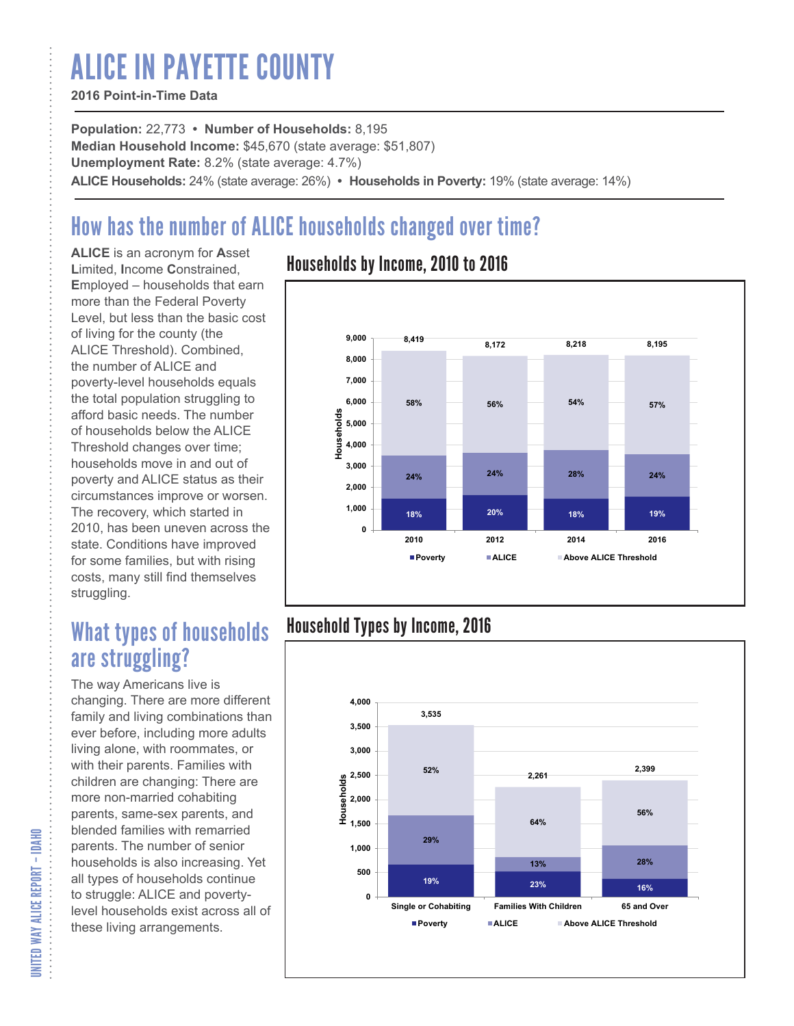# ALICE IN PAYETTE COUNTY

### **2016 Point-in-Time Data**

**Population:** 22,773 **• Number of Households:** 8,195 **Median Household Income:** \$45,670 (state average: \$51,807) **Unemployment Rate:** 8.2% (state average: 4.7%) **ALICE Households:** 24% (state average: 26%) **• Households in Poverty:** 19% (state average: 14%)

# How has the number of ALICE households changed over time?

**ALICE** is an acronym for **A**sset **L**imited, **I**ncome **C**onstrained, **E**mployed – households that earn more than the Federal Poverty Level, but less than the basic cost of living for the county (the ALICE Threshold). Combined, the number of ALICE and poverty-level households equals the total population struggling to afford basic needs. The number of households below the ALICE Threshold changes over time; households move in and out of poverty and ALICE status as their circumstances improve or worsen. The recovery, which started in 2010, has been uneven across the state. Conditions have improved for some families, but with rising costs, many still find themselves struggling.

## What types of households are struggling?

The way Americans live is changing. There are more different family and living combinations than ever before, including more adults living alone, with roommates, or with their parents. Families with children are changing: There are more non-married cohabiting parents, same-sex parents, and blended families with remarried parents. The number of senior households is also increasing. Yet all types of households continue to struggle: ALICE and povertylevel households exist across all of these living arrangements.

### Households by Income, 2010 to 2016



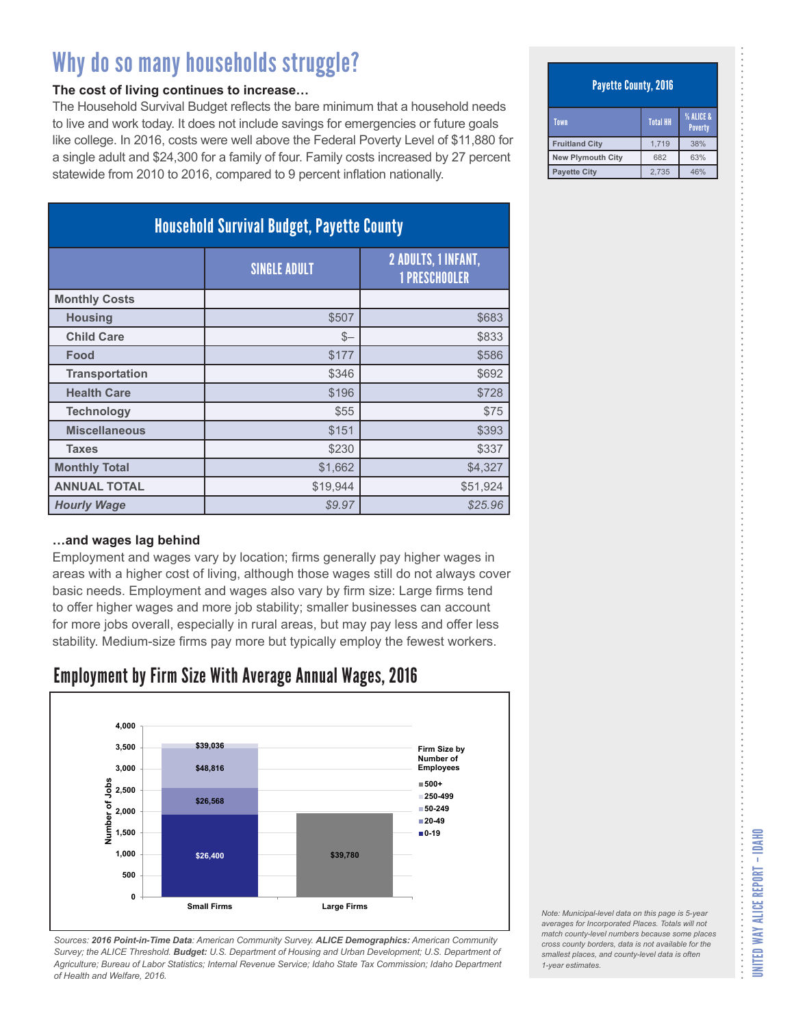#### **The cost of living continues to increase…**

The Household Survival Budget reflects the bare minimum that a household needs to live and work today. It does not include savings for emergencies or future goals like college. In 2016, costs were well above the Federal Poverty Level of \$11,880 for a single adult and \$24,300 for a family of four. Family costs increased by 27 percent statewide from 2010 to 2016, compared to 9 percent inflation nationally.

| <b>Household Survival Budget, Payette County</b> |                     |                                                    |
|--------------------------------------------------|---------------------|----------------------------------------------------|
|                                                  | <b>SINGLE ADULT</b> | <b>2 ADULTS, 1 INFANT,</b><br><b>1 PRESCHOOLER</b> |
| <b>Monthly Costs</b>                             |                     |                                                    |
| <b>Housing</b>                                   | \$507               | \$683                                              |
| <b>Child Care</b>                                | $S-$                | \$833                                              |
| Food                                             | \$177               | \$586                                              |
| <b>Transportation</b>                            | \$346               | \$692                                              |
| <b>Health Care</b>                               | \$196               | \$728                                              |
| <b>Technology</b>                                | \$55                | \$75                                               |
| <b>Miscellaneous</b>                             | \$151               | \$393                                              |
| <b>Taxes</b>                                     | \$230               | \$337                                              |
| <b>Monthly Total</b>                             | \$1,662             | \$4,327                                            |
| <b>ANNUAL TOTAL</b>                              | \$19,944            | \$51,924                                           |
| <b>Hourly Wage</b>                               | \$9.97              | \$25.96                                            |

#### **…and wages lag behind**

Employment and wages vary by location; firms generally pay higher wages in areas with a higher cost of living, although those wages still do not always cover basic needs. Employment and wages also vary by firm size: Large firms tend to offer higher wages and more job stability; smaller businesses can account for more jobs overall, especially in rural areas, but may pay less and offer less stability. Medium-size firms pay more but typically employ the fewest workers.

### Employment by Firm Size With Average Annual Wages, 2016



*Sources: 2016 Point-in-Time Data: American Community Survey. ALICE Demographics: American Community Survey; the ALICE Threshold. Budget: U.S. Department of Housing and Urban Development; U.S. Department of Agriculture; Bureau of Labor Statistics; Internal Revenue Service; Idaho State Tax Commission; Idaho Department of Health and Welfare, 2016.*

#### Payette County, 2016

| Town                  | <b>Total HH</b> | <b>% ALICE &amp;</b><br><b>Poverty</b> |
|-----------------------|-----------------|----------------------------------------|
| <b>Fruitland City</b> | 1.719           | 38%                                    |
| New Plymouth City     | 682             | 63%                                    |
| <b>Payette City</b>   | 2.735           | 46%                                    |

| Note: Municipal-level data on this page is 5-year   |
|-----------------------------------------------------|
| averages for Incorporated Places. Totals will not   |
| match county-level numbers because some places      |
| cross county borders, data is not available for the |
| smallest places, and county-level data is often     |
| 1-year estimates.                                   |
|                                                     |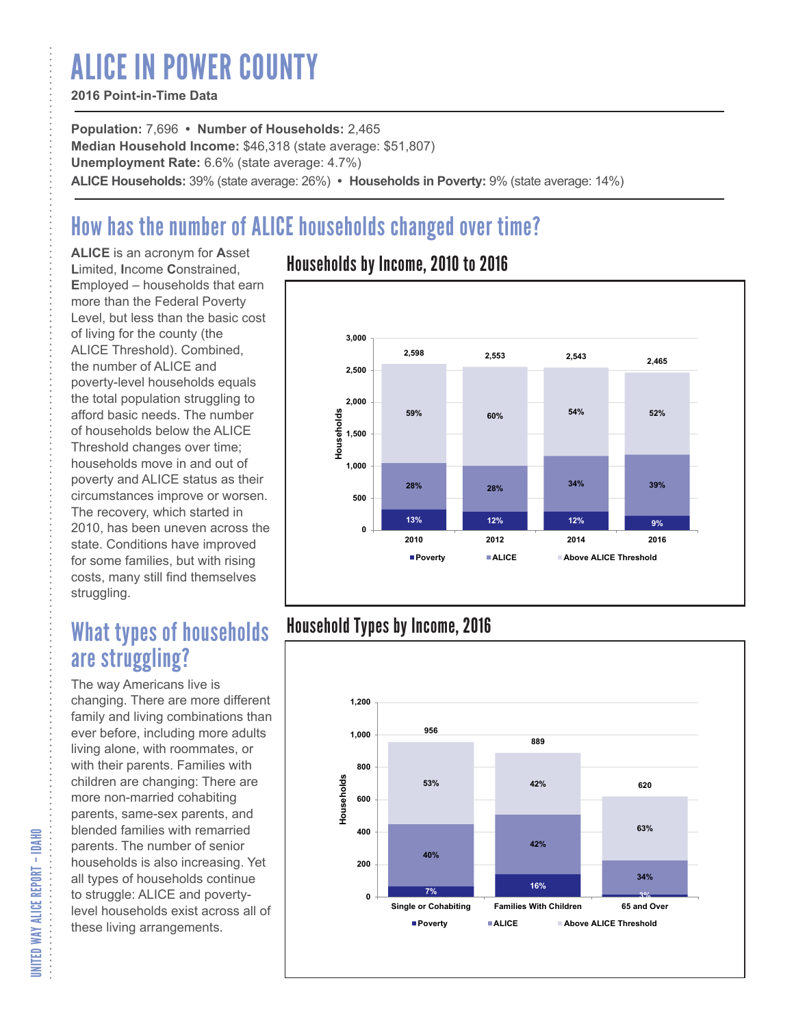# ALICE IN POWER COUNTY

### **2016 Point-in-Time Data**

**Population:** 7,696 **• Number of Households:** 2,465 **Median Household Income:** \$46,318 (state average: \$51,807) **Unemployment Rate:** 6.6% (state average: 4.7%) **ALICE Households:** 39% (state average: 26%) **• Households in Poverty:** 9% (state average: 14%)

# How has the number of ALICE households changed over time?

**ALICE** is an acronym for **A**sset **L**imited, **I**ncome **C**onstrained, **E**mployed – households that earn more than the Federal Poverty Level, but less than the basic cost of living for the county (the ALICE Threshold). Combined, the number of ALICE and poverty-level households equals the total population struggling to afford basic needs. The number of households below the ALICE Threshold changes over time; households move in and out of poverty and ALICE status as their circumstances improve or worsen. The recovery, which started in 2010, has been uneven across the state. Conditions have improved for some families, but with rising costs, many still find themselves struggling.

## What types of households are struggling?

The way Americans live is changing. There are more different family and living combinations than ever before, including more adults living alone, with roommates, or with their parents. Families with children are changing: There are more non-married cohabiting parents, same-sex parents, and blended families with remarried parents. The number of senior households is also increasing. Yet all types of households continue to struggle: ALICE and povertylevel households exist across all of these living arrangements.

### Households by Income, 2010 to 2016



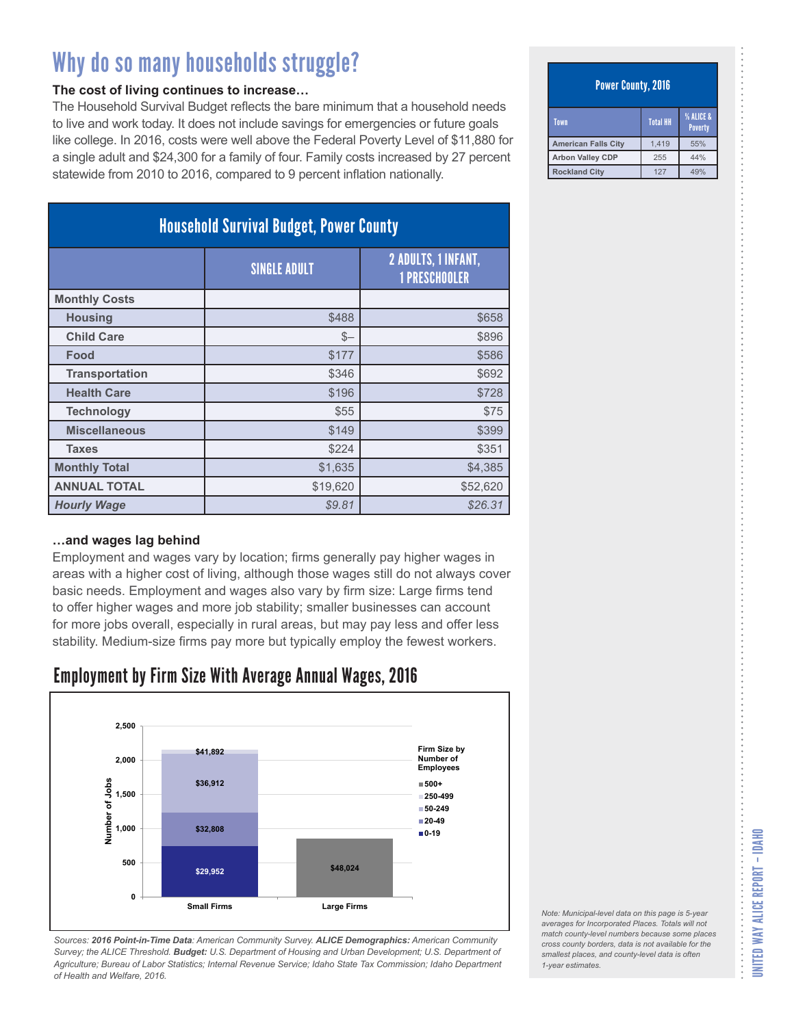#### **The cost of living continues to increase…**

The Household Survival Budget reflects the bare minimum that a household needs to live and work today. It does not include savings for emergencies or future goals like college. In 2016, costs were well above the Federal Poverty Level of \$11,880 for a single adult and \$24,300 for a family of four. Family costs increased by 27 percent statewide from 2010 to 2016, compared to 9 percent inflation nationally.

| <b>Household Survival Budget, Power County</b> |                     |                                                    |
|------------------------------------------------|---------------------|----------------------------------------------------|
|                                                | <b>SINGLE ADULT</b> | <b>2 ADULTS, 1 INFANT,</b><br><b>1 PRESCHOOLER</b> |
| <b>Monthly Costs</b>                           |                     |                                                    |
| <b>Housing</b>                                 | \$488               | \$658                                              |
| <b>Child Care</b>                              | $S-$                | \$896                                              |
| Food                                           | \$177               | \$586                                              |
| <b>Transportation</b>                          | \$346               | \$692                                              |
| <b>Health Care</b>                             | \$196               | \$728                                              |
| <b>Technology</b>                              | \$55                | \$75                                               |
| <b>Miscellaneous</b>                           | \$149               | \$399                                              |
| <b>Taxes</b>                                   | \$224               | \$351                                              |
| <b>Monthly Total</b>                           | \$1,635             | \$4,385                                            |
| <b>ANNUAL TOTAL</b>                            | \$19,620            | \$52,620                                           |
| <b>Hourly Wage</b>                             | \$9.81              | \$26.31                                            |

#### **…and wages lag behind**

Employment and wages vary by location; firms generally pay higher wages in areas with a higher cost of living, although those wages still do not always cover basic needs. Employment and wages also vary by firm size: Large firms tend to offer higher wages and more job stability; smaller businesses can account for more jobs overall, especially in rural areas, but may pay less and offer less stability. Medium-size firms pay more but typically employ the fewest workers.

### Employment by Firm Size With Average Annual Wages, 2016



*Sources: 2016 Point-in-Time Data: American Community Survey. ALICE Demographics: American Community Survey; the ALICE Threshold. Budget: U.S. Department of Housing and Urban Development; U.S. Department of Agriculture; Bureau of Labor Statistics; Internal Revenue Service; Idaho State Tax Commission; Idaho Department of Health and Welfare, 2016.*

#### Power County, 2016

| Town                       | <b>Total HH</b> | <b>% ALICE &amp;</b><br><b>Poverty</b> |
|----------------------------|-----------------|----------------------------------------|
| <b>American Falls City</b> | 1,419           | 55%                                    |
| <b>Arbon Valley CDP</b>    | 255             | 44%                                    |
| <b>Rockland City</b>       | 127             | 49%                                    |

*Note: Municipal-level data on this page is 5-year averages for Incorporated Places. Totals will not match county-level numbers because some places cross county borders, data is not available for the smallest places, and county-level data is often*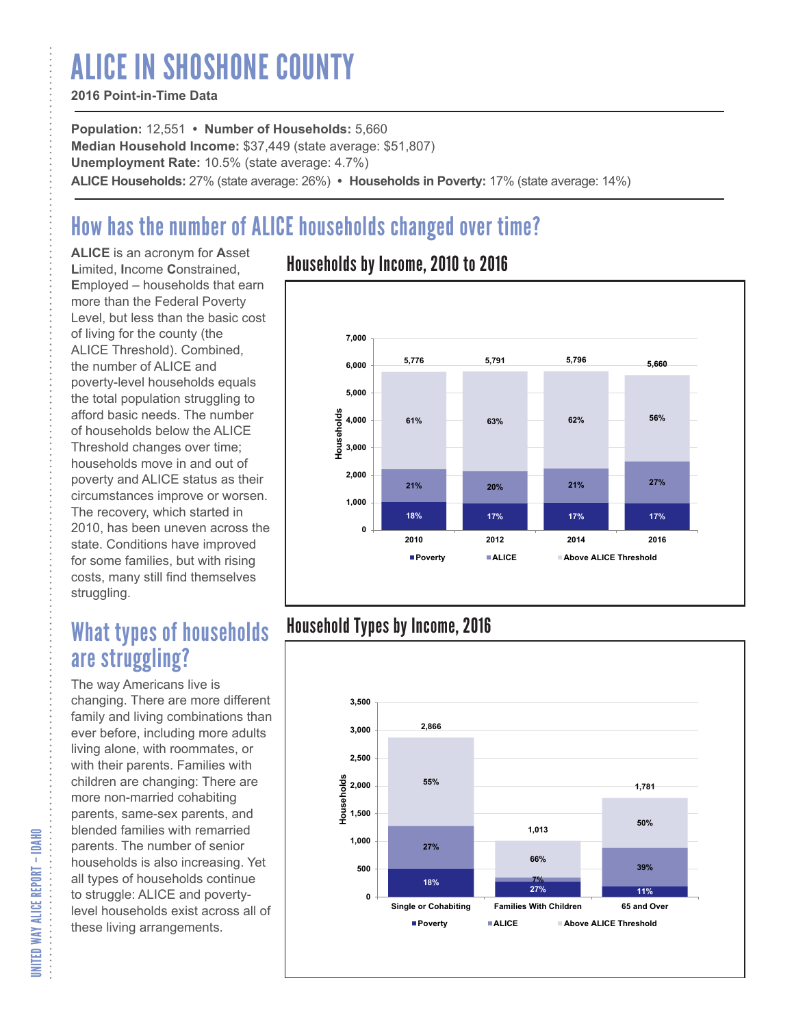# ALICE IN SHOSHONE COUNTY

### **2016 Point-in-Time Data**

**Population:** 12,551 **• Number of Households:** 5,660 **Median Household Income:** \$37,449 (state average: \$51,807) **Unemployment Rate:** 10.5% (state average: 4.7%) **ALICE Households:** 27% (state average: 26%) **• Households in Poverty:** 17% (state average: 14%)

# How has the number of ALICE households changed over time?

**ALICE** is an acronym for **A**sset **L**imited, **I**ncome **C**onstrained, **E**mployed – households that earn more than the Federal Poverty Level, but less than the basic cost of living for the county (the ALICE Threshold). Combined, the number of ALICE and poverty-level households equals the total population struggling to afford basic needs. The number of households below the ALICE Threshold changes over time; households move in and out of poverty and ALICE status as their circumstances improve or worsen. The recovery, which started in 2010, has been uneven across the state. Conditions have improved for some families, but with rising costs, many still find themselves struggling.

## What types of households are struggling?

The way Americans live is changing. There are more different family and living combinations than ever before, including more adults living alone, with roommates, or with their parents. Families with children are changing: There are more non-married cohabiting parents, same-sex parents, and blended families with remarried parents. The number of senior households is also increasing. Yet all types of households continue to struggle: ALICE and povertylevel households exist across all of these living arrangements.

### Households by Income, 2010 to 2016



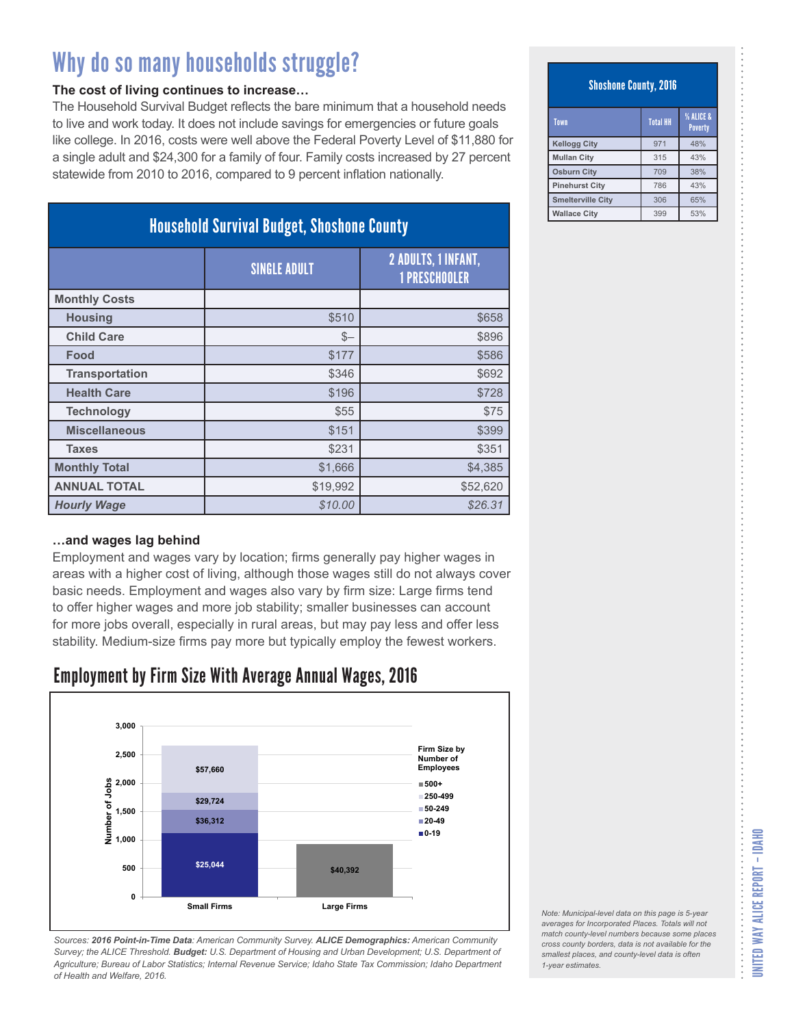#### **The cost of living continues to increase…**

The Household Survival Budget reflects the bare minimum that a household needs to live and work today. It does not include savings for emergencies or future goals like college. In 2016, costs were well above the Federal Poverty Level of \$11,880 for a single adult and \$24,300 for a family of four. Family costs increased by 27 percent statewide from 2010 to 2016, compared to 9 percent inflation nationally.

| <b>Household Survival Budget, Shoshone County</b> |                     |                                                    |
|---------------------------------------------------|---------------------|----------------------------------------------------|
|                                                   | <b>SINGLE ADULT</b> | <b>2 ADULTS, 1 INFANT,</b><br><b>1 PRESCHOOLER</b> |
| <b>Monthly Costs</b>                              |                     |                                                    |
| <b>Housing</b>                                    | \$510               | \$658                                              |
| <b>Child Care</b>                                 | $S-$                | \$896                                              |
| Food                                              | \$177               | \$586                                              |
| <b>Transportation</b>                             | \$346               | \$692                                              |
| <b>Health Care</b>                                | \$196               | \$728                                              |
| <b>Technology</b>                                 | \$55                | \$75                                               |
| <b>Miscellaneous</b>                              | \$151               | \$399                                              |
| <b>Taxes</b>                                      | \$231               | \$351                                              |
| <b>Monthly Total</b>                              | \$1,666             | \$4,385                                            |
| <b>ANNUAL TOTAL</b>                               | \$19,992            | \$52,620                                           |
| <b>Hourly Wage</b>                                | \$10.00             | \$26.31                                            |

#### **…and wages lag behind**

Employment and wages vary by location; firms generally pay higher wages in areas with a higher cost of living, although those wages still do not always cover basic needs. Employment and wages also vary by firm size: Large firms tend to offer higher wages and more job stability; smaller businesses can account for more jobs overall, especially in rural areas, but may pay less and offer less stability. Medium-size firms pay more but typically employ the fewest workers.

### Employment by Firm Size With Average Annual Wages, 2016



*Sources: 2016 Point-in-Time Data: American Community Survey. ALICE Demographics: American Community Survey; the ALICE Threshold. Budget: U.S. Department of Housing and Urban Development; U.S. Department of Agriculture; Bureau of Labor Statistics; Internal Revenue Service; Idaho State Tax Commission; Idaho Department of Health and Welfare, 2016.*

#### Shoshone County, 2016

| Town                     | <b>Total HH</b> | % ALICE &<br><b>Poverty</b> |
|--------------------------|-----------------|-----------------------------|
| <b>Kellogg City</b>      | 971             | 48%                         |
| <b>Mullan City</b>       | 315             | 43%                         |
| <b>Osburn City</b>       | 709             | 38%                         |
| <b>Pinehurst City</b>    | 786             | 43%                         |
| <b>Smelterville City</b> | 306             | 65%                         |
| <b>Wallace City</b>      | 399             | 53%                         |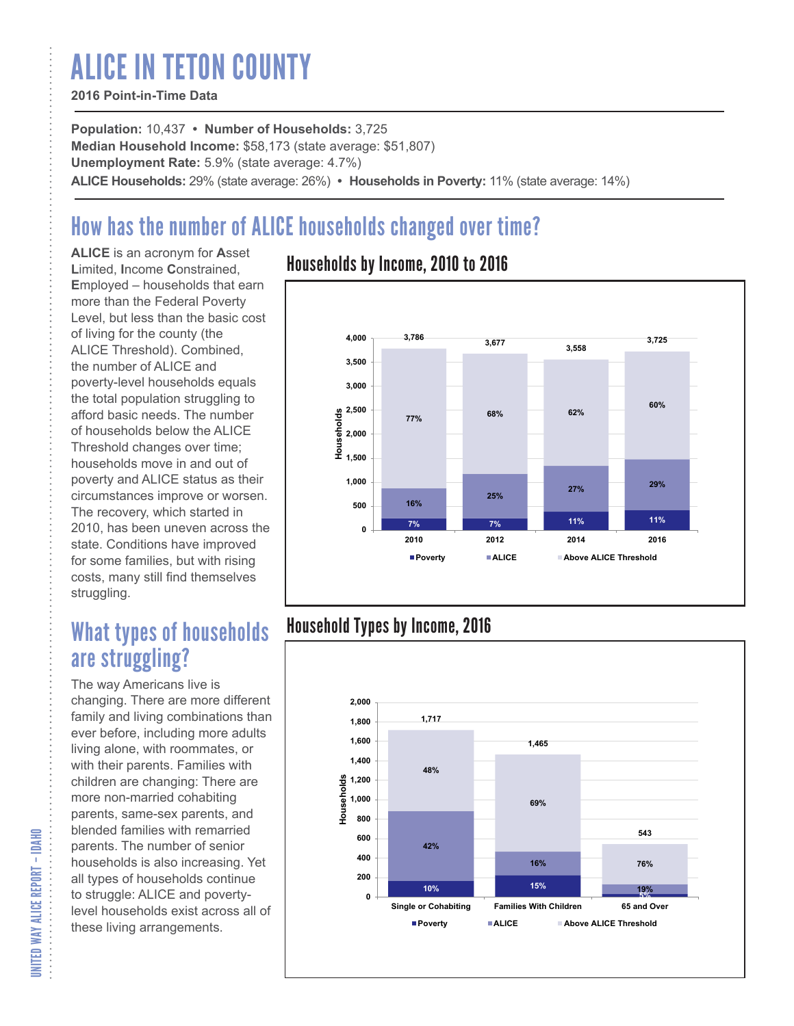# ALICE IN TETON COUNTY

### **2016 Point-in-Time Data**

**Population:** 10,437 **• Number of Households:** 3,725 **Median Household Income:** \$58,173 (state average: \$51,807) **Unemployment Rate:** 5.9% (state average: 4.7%) **ALICE Households:** 29% (state average: 26%) **• Households in Poverty:** 11% (state average: 14%)

# How has the number of ALICE households changed over time?

**ALICE** is an acronym for **A**sset **L**imited, **I**ncome **C**onstrained, **E**mployed – households that earn more than the Federal Poverty Level, but less than the basic cost of living for the county (the ALICE Threshold). Combined, the number of ALICE and poverty-level households equals the total population struggling to afford basic needs. The number of households below the ALICE Threshold changes over time; households move in and out of poverty and ALICE status as their circumstances improve or worsen. The recovery, which started in 2010, has been uneven across the state. Conditions have improved for some families, but with rising costs, many still find themselves struggling.

## What types of households are struggling?

The way Americans live is changing. There are more different family and living combinations than ever before, including more adults living alone, with roommates, or with their parents. Families with children are changing: There are more non-married cohabiting parents, same-sex parents, and blended families with remarried parents. The number of senior households is also increasing. Yet all types of households continue to struggle: ALICE and povertylevel households exist across all of these living arrangements.

### Households by Income, 2010 to 2016



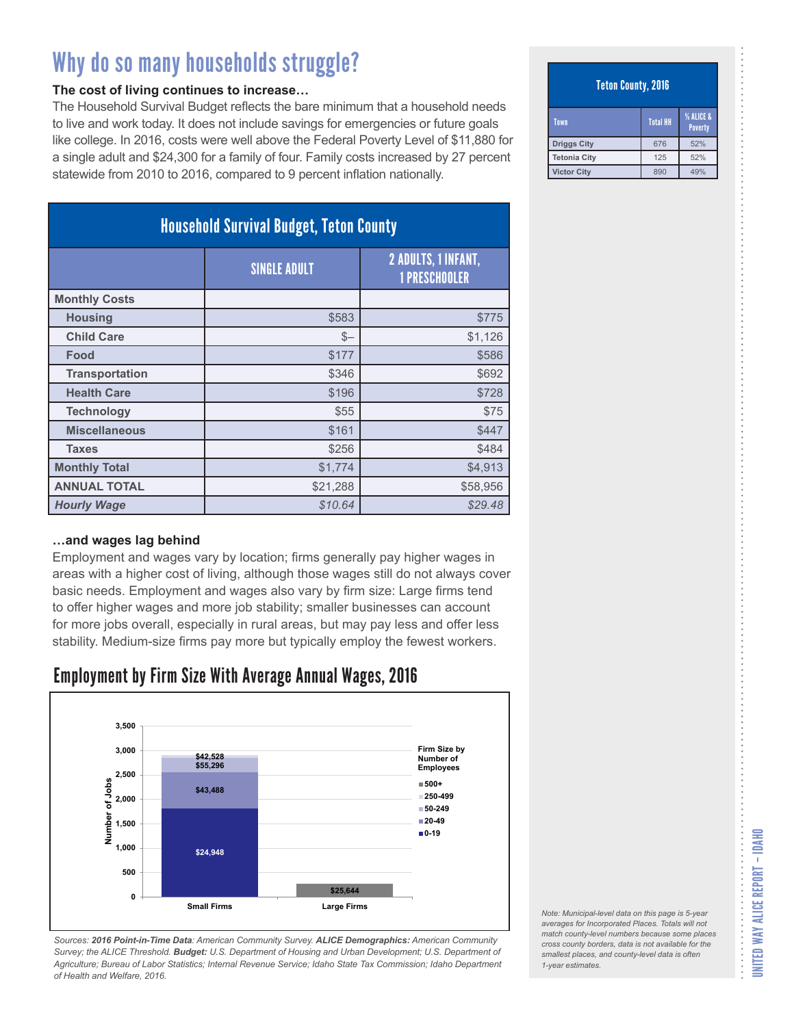#### **The cost of living continues to increase…**

The Household Survival Budget reflects the bare minimum that a household needs to live and work today. It does not include savings for emergencies or future goals like college. In 2016, costs were well above the Federal Poverty Level of \$11,880 for a single adult and \$24,300 for a family of four. Family costs increased by 27 percent statewide from 2010 to 2016, compared to 9 percent inflation nationally.

| <b>Household Survival Budget, Teton County</b> |                     |                                                    |
|------------------------------------------------|---------------------|----------------------------------------------------|
|                                                | <b>SINGLE ADULT</b> | <b>2 ADULTS, 1 INFANT,</b><br><b>1 PRESCHOOLER</b> |
| <b>Monthly Costs</b>                           |                     |                                                    |
| <b>Housing</b>                                 | \$583               | \$775                                              |
| <b>Child Care</b>                              | $S-$                | \$1,126                                            |
| Food                                           | \$177               | \$586                                              |
| <b>Transportation</b>                          | \$346               | \$692                                              |
| <b>Health Care</b>                             | \$196               | \$728                                              |
| <b>Technology</b>                              | \$55                | \$75                                               |
| <b>Miscellaneous</b>                           | \$161               | \$447                                              |
| <b>Taxes</b>                                   | \$256               | \$484                                              |
| <b>Monthly Total</b>                           | \$1,774             | \$4,913                                            |
| <b>ANNUAL TOTAL</b>                            | \$21,288            | \$58,956                                           |
| <b>Hourly Wage</b>                             | \$10.64             | \$29.48                                            |

#### **…and wages lag behind**

Employment and wages vary by location; firms generally pay higher wages in areas with a higher cost of living, although those wages still do not always cover basic needs. Employment and wages also vary by firm size: Large firms tend to offer higher wages and more job stability; smaller businesses can account for more jobs overall, especially in rural areas, but may pay less and offer less stability. Medium-size firms pay more but typically employ the fewest workers.

### Employment by Firm Size With Average Annual Wages, 2016



*Sources: 2016 Point-in-Time Data: American Community Survey. ALICE Demographics: American Community Survey; the ALICE Threshold. Budget: U.S. Department of Housing and Urban Development; U.S. Department of Agriculture; Bureau of Labor Statistics; Internal Revenue Service; Idaho State Tax Commission; Idaho Department of Health and Welfare, 2016.*

#### Teton County, 2016

| Town               | <b>Total HH</b> | <b>% ALICE &amp;</b><br><b>Poverty</b> |
|--------------------|-----------------|----------------------------------------|
| <b>Driggs City</b> | 676             | 52%                                    |
| Tetonia City       | 125             | 52%                                    |
| <b>Victor City</b> | 890             | 49%                                    |

UNITED WAY ALICE REPORT – IDAHO

*smallest places, and county-level data is often*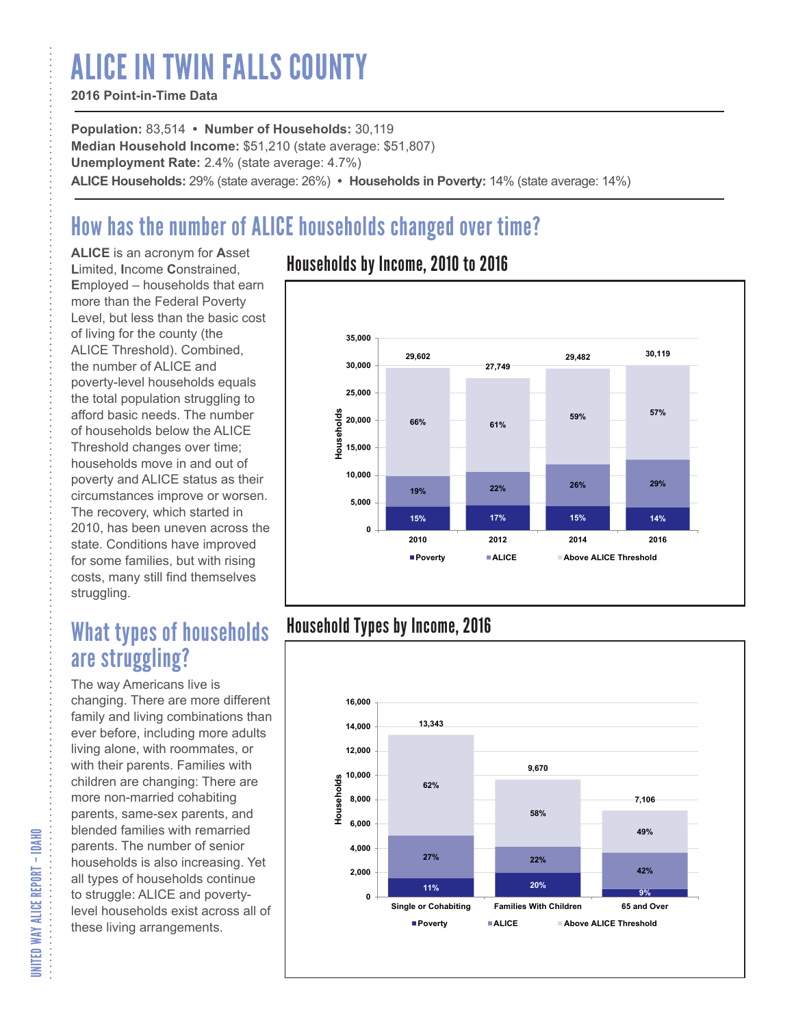# ALICE IN TWIN FALLS COUNTY

### **2016 Point-in-Time Data**

**Population:** 83,514 **• Number of Households:** 30,119 **Median Household Income:** \$51,210 (state average: \$51,807) **Unemployment Rate:** 2.4% (state average: 4.7%) **ALICE Households:** 29% (state average: 26%) **• Households in Poverty:** 14% (state average: 14%)

# How has the number of ALICE households changed over time?

**ALICE** is an acronym for **A**sset **L**imited, **I**ncome **C**onstrained, **E**mployed – households that earn more than the Federal Poverty Level, but less than the basic cost of living for the county (the ALICE Threshold). Combined, the number of ALICE and poverty-level households equals the total population struggling to afford basic needs. The number of households below the ALICE Threshold changes over time; households move in and out of poverty and ALICE status as their circumstances improve or worsen. The recovery, which started in 2010, has been uneven across the state. Conditions have improved for some families, but with rising costs, many still find themselves struggling.

## What types of households are struggling?

The way Americans live is changing. There are more different family and living combinations than ever before, including more adults living alone, with roommates, or with their parents. Families with children are changing: There are more non-married cohabiting parents, same-sex parents, and blended families with remarried parents. The number of senior households is also increasing. Yet all types of households continue to struggle: ALICE and povertylevel households exist across all of these living arrangements.

### Households by Income, 2010 to 2016



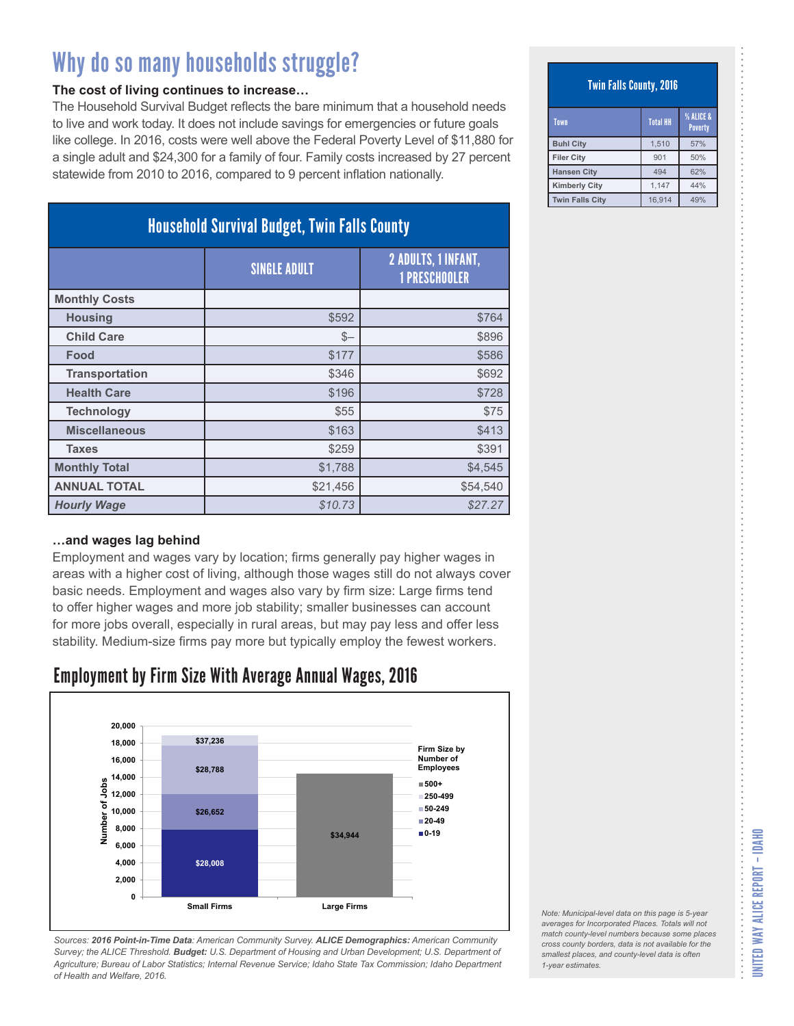#### **The cost of living continues to increase…**

The Household Survival Budget reflects the bare minimum that a household needs to live and work today. It does not include savings for emergencies or future goals like college. In 2016, costs were well above the Federal Poverty Level of \$11,880 for a single adult and \$24,300 for a family of four. Family costs increased by 27 percent statewide from 2010 to 2016, compared to 9 percent inflation nationally.

| <b>Household Survival Budget, Twin Falls County</b> |                     |                                             |
|-----------------------------------------------------|---------------------|---------------------------------------------|
|                                                     | <b>SINGLE ADULT</b> | 2 ADULTS, 1 INFANT,<br><b>1 PRESCHOOLER</b> |
| <b>Monthly Costs</b>                                |                     |                                             |
| <b>Housing</b>                                      | \$592               | \$764                                       |
| <b>Child Care</b>                                   | $S-$                | \$896                                       |
| Food                                                | \$177               | \$586                                       |
| <b>Transportation</b>                               | \$346               | \$692                                       |
| <b>Health Care</b>                                  | \$196               | \$728                                       |
| <b>Technology</b>                                   | \$55                | \$75                                        |
| <b>Miscellaneous</b>                                | \$163               | \$413                                       |
| <b>Taxes</b>                                        | \$259               | \$391                                       |
| <b>Monthly Total</b>                                | \$1,788             | \$4,545                                     |
| <b>ANNUAL TOTAL</b>                                 | \$21,456            | \$54,540                                    |
| <b>Hourly Wage</b>                                  | \$10.73             | \$27.27                                     |

#### **…and wages lag behind**

Employment and wages vary by location; firms generally pay higher wages in areas with a higher cost of living, although those wages still do not always cover basic needs. Employment and wages also vary by firm size: Large firms tend to offer higher wages and more job stability; smaller businesses can account for more jobs overall, especially in rural areas, but may pay less and offer less stability. Medium-size firms pay more but typically employ the fewest workers.

### Employment by Firm Size With Average Annual Wages, 2016



*Sources: 2016 Point-in-Time Data: American Community Survey. ALICE Demographics: American Community Survey; the ALICE Threshold. Budget: U.S. Department of Housing and Urban Development; U.S. Department of Agriculture; Bureau of Labor Statistics; Internal Revenue Service; Idaho State Tax Commission; Idaho Department of Health and Welfare, 2016.*

Twin Falls County, 2016

| Town                   | <b>Total HH</b> | % ALICE &<br><b>Poverty</b> |
|------------------------|-----------------|-----------------------------|
| <b>Buhl City</b>       | 1.510           | 57%                         |
| <b>Filer City</b>      | 901             | 50%                         |
| <b>Hansen City</b>     | 494             | 62%                         |
| <b>Kimberly City</b>   | 1.147           | 44%                         |
| <b>Twin Falls City</b> | 16.914          | 49%                         |

*Note: Municipal-level data on this page is 5-year averages for Incorporated Places. Totals will not match county-level numbers because some places cross county borders, data is not available for the smallest places, and county-level data is often 1-year estimates.*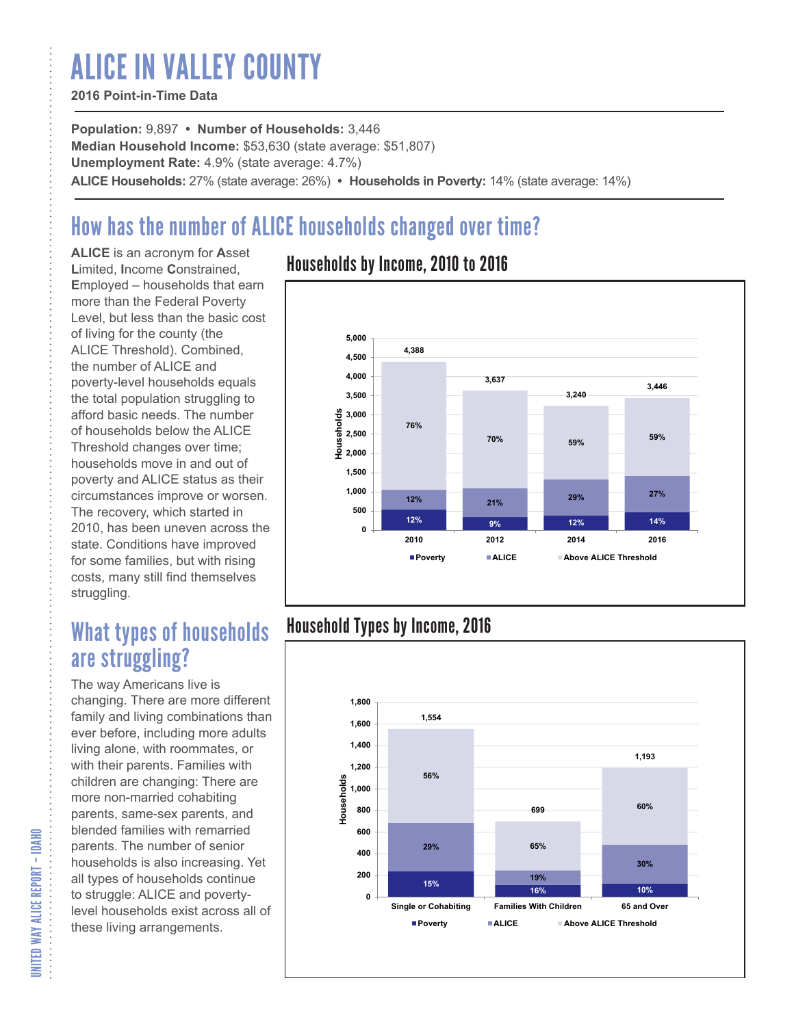# ALICE IN VALLEY COUNTY

### **2016 Point-in-Time Data**

**Population:** 9,897 **• Number of Households:** 3,446 **Median Household Income:** \$53,630 (state average: \$51,807) **Unemployment Rate:** 4.9% (state average: 4.7%) **ALICE Households:** 27% (state average: 26%) **• Households in Poverty:** 14% (state average: 14%)

# How has the number of ALICE households changed over time?

**ALICE** is an acronym for **A**sset **L**imited, **I**ncome **C**onstrained, **E**mployed – households that earn more than the Federal Poverty Level, but less than the basic cost of living for the county (the ALICE Threshold). Combined, the number of ALICE and poverty-level households equals the total population struggling to afford basic needs. The number of households below the ALICE Threshold changes over time; households move in and out of poverty and ALICE status as their circumstances improve or worsen. The recovery, which started in 2010, has been uneven across the state. Conditions have improved for some families, but with rising costs, many still find themselves struggling.

## What types of households are struggling?

The way Americans live is changing. There are more different family and living combinations than ever before, including more adults living alone, with roommates, or with their parents. Families with children are changing: There are more non-married cohabiting parents, same-sex parents, and blended families with remarried parents. The number of senior households is also increasing. Yet all types of households continue to struggle: ALICE and povertylevel households exist across all of these living arrangements.

### Households by Income, 2010 to 2016



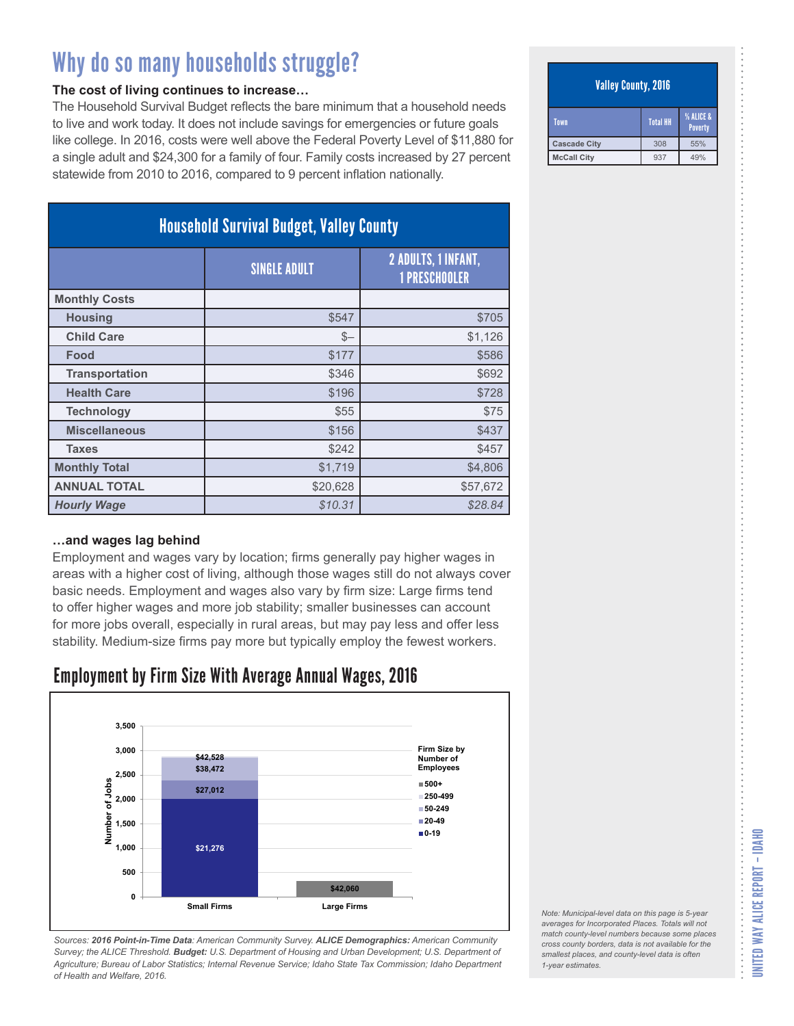#### **The cost of living continues to increase…**

The Household Survival Budget reflects the bare minimum that a household needs to live and work today. It does not include savings for emergencies or future goals like college. In 2016, costs were well above the Federal Poverty Level of \$11,880 for a single adult and \$24,300 for a family of four. Family costs increased by 27 percent statewide from 2010 to 2016, compared to 9 percent inflation nationally.

| <b>Household Survival Budget, Valley County</b> |                     |                                                    |  |
|-------------------------------------------------|---------------------|----------------------------------------------------|--|
|                                                 | <b>SINGLE ADULT</b> | <b>2 ADULTS, 1 INFANT,</b><br><b>1 PRESCHOOLER</b> |  |
| <b>Monthly Costs</b>                            |                     |                                                    |  |
| <b>Housing</b>                                  | \$547               | \$705                                              |  |
| <b>Child Care</b>                               | $S-$                | \$1,126                                            |  |
| Food                                            | \$177               | \$586                                              |  |
| <b>Transportation</b>                           | \$346               | \$692                                              |  |
| <b>Health Care</b>                              | \$196               | \$728                                              |  |
| <b>Technology</b>                               | \$55                | \$75                                               |  |
| <b>Miscellaneous</b>                            | \$156               | \$437                                              |  |
| <b>Taxes</b>                                    | \$242               | \$457                                              |  |
| <b>Monthly Total</b>                            | \$1,719             | \$4,806                                            |  |
| <b>ANNUAL TOTAL</b>                             | \$20,628            | \$57,672                                           |  |
| <b>Hourly Wage</b>                              | \$10.31             | \$28.84                                            |  |

#### **…and wages lag behind**

Employment and wages vary by location; firms generally pay higher wages in areas with a higher cost of living, although those wages still do not always cover basic needs. Employment and wages also vary by firm size: Large firms tend to offer higher wages and more job stability; smaller businesses can account for more jobs overall, especially in rural areas, but may pay less and offer less stability. Medium-size firms pay more but typically employ the fewest workers.

### Employment by Firm Size With Average Annual Wages, 2016



*Sources: 2016 Point-in-Time Data: American Community Survey. ALICE Demographics: American Community Survey; the ALICE Threshold. Budget: U.S. Department of Housing and Urban Development; U.S. Department of Agriculture; Bureau of Labor Statistics; Internal Revenue Service; Idaho State Tax Commission; Idaho Department of Health and Welfare, 2016.*

#### Valley County, 2016

| Town                | <b>Total HH</b> | % ALICE &<br><b>Poverty</b> |
|---------------------|-----------------|-----------------------------|
| <b>Cascade City</b> | 308             | 55%                         |
| <b>McCall City</b>  | 937             | 49%                         |

*Note: Municipal-level data on this page is 5-year averages for Incorporated Places. Totals will not match county-level numbers because some places cross county borders, data is not available for the smallest places, and county-level data is often*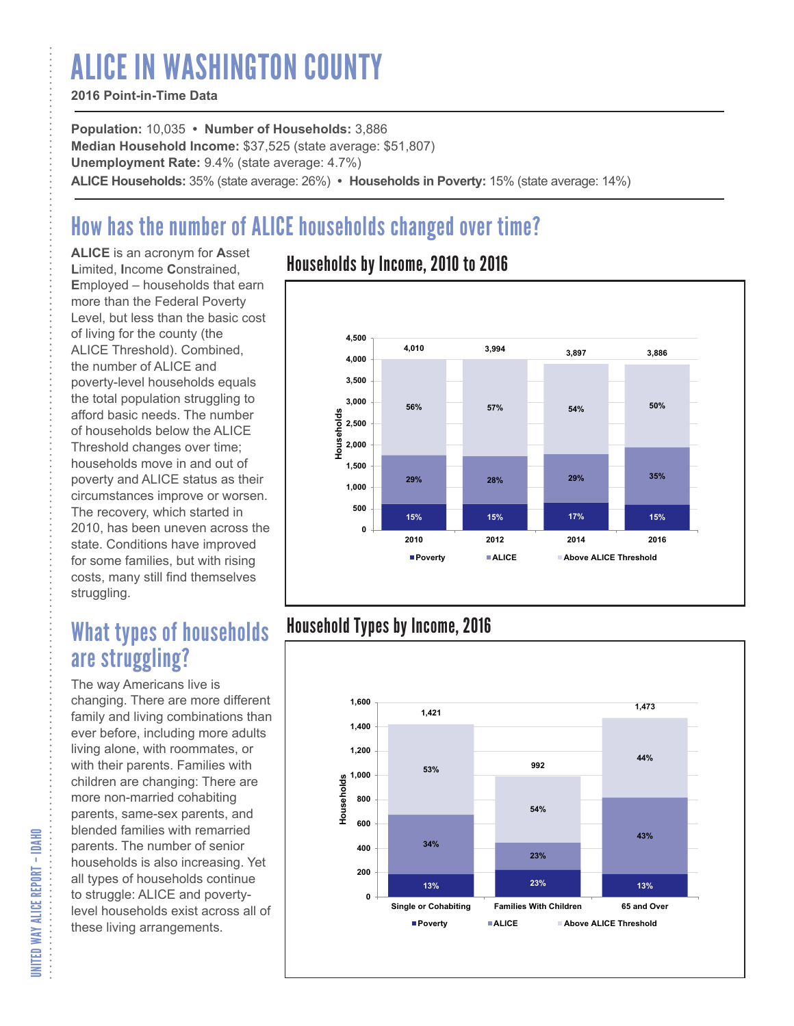# ALICE IN WASHINGTON COUNTY

### **2016 Point-in-Time Data**

**Population:** 10,035 **• Number of Households:** 3,886 **Median Household Income:** \$37,525 (state average: \$51,807) **Unemployment Rate:** 9.4% (state average: 4.7%) **ALICE Households:** 35% (state average: 26%) **• Households in Poverty:** 15% (state average: 14%)

# How has the number of ALICE households changed over time?

**ALICE** is an acronym for **A**sset **L**imited, **I**ncome **C**onstrained, **E**mployed – households that earn more than the Federal Poverty Level, but less than the basic cost of living for the county (the ALICE Threshold). Combined, the number of ALICE and poverty-level households equals the total population struggling to afford basic needs. The number of households below the ALICE Threshold changes over time; households move in and out of poverty and ALICE status as their circumstances improve or worsen. The recovery, which started in 2010, has been uneven across the state. Conditions have improved for some families, but with rising costs, many still find themselves struggling.

## What types of households are struggling?

The way Americans live is changing. There are more different family and living combinations than ever before, including more adults living alone, with roommates, or with their parents. Families with children are changing: There are more non-married cohabiting parents, same-sex parents, and blended families with remarried parents. The number of senior households is also increasing. Yet all types of households continue to struggle: ALICE and povertylevel households exist across all of these living arrangements.

### Households by Income, 2010 to 2016